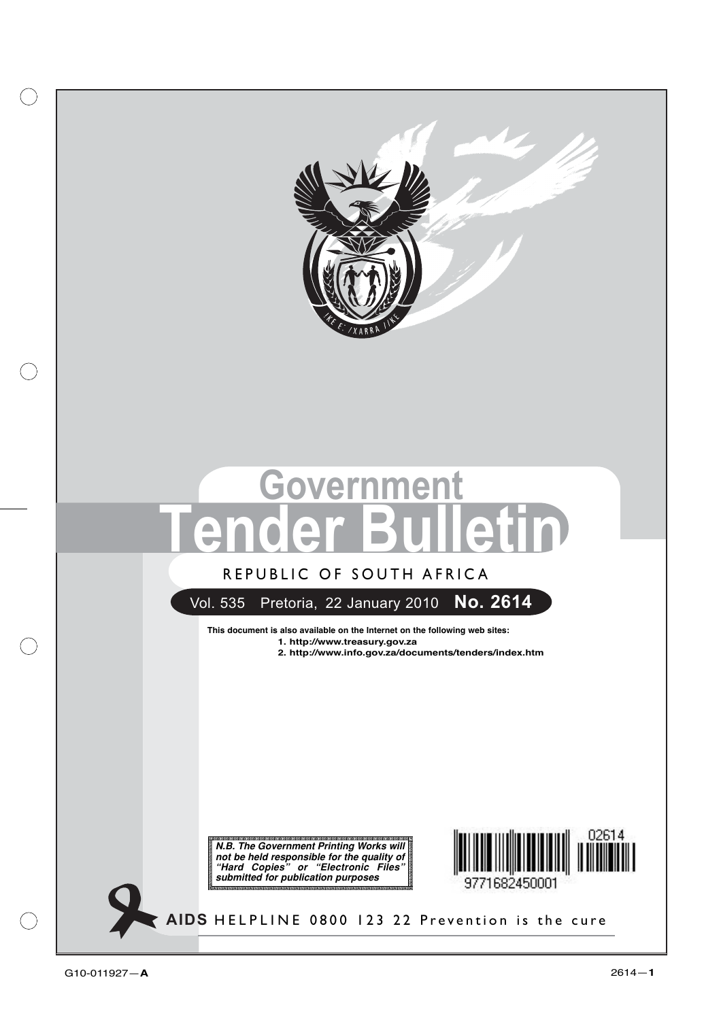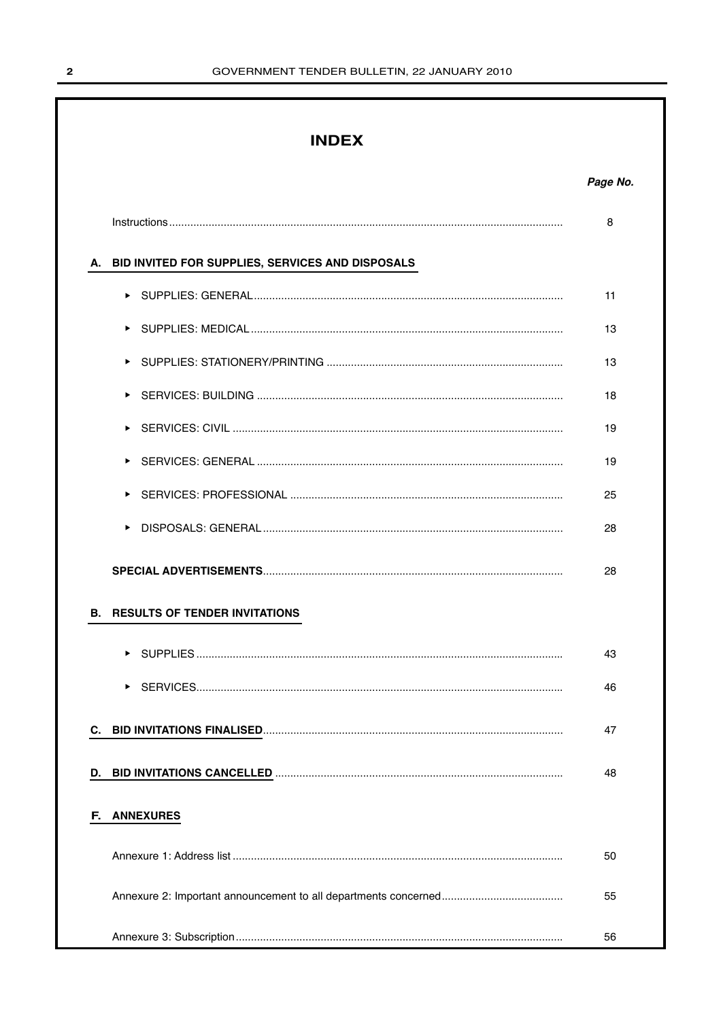## **INDEX**

|    |                                                     | 8  |
|----|-----------------------------------------------------|----|
|    | A. BID INVITED FOR SUPPLIES, SERVICES AND DISPOSALS |    |
|    |                                                     | 11 |
|    |                                                     | 13 |
|    | ▶                                                   | 13 |
|    | ▶                                                   | 18 |
|    | ▶                                                   | 19 |
|    |                                                     | 19 |
|    | ▶                                                   | 25 |
|    |                                                     | 28 |
|    |                                                     | 28 |
| В. | <b>RESULTS OF TENDER INVITATIONS</b>                |    |
|    | ▶                                                   | 43 |
|    |                                                     | 46 |
| C. |                                                     | 47 |
| D. |                                                     | 48 |
| F. | <b>ANNEXURES</b>                                    |    |
|    |                                                     | 50 |
|    |                                                     | 55 |
|    |                                                     | 56 |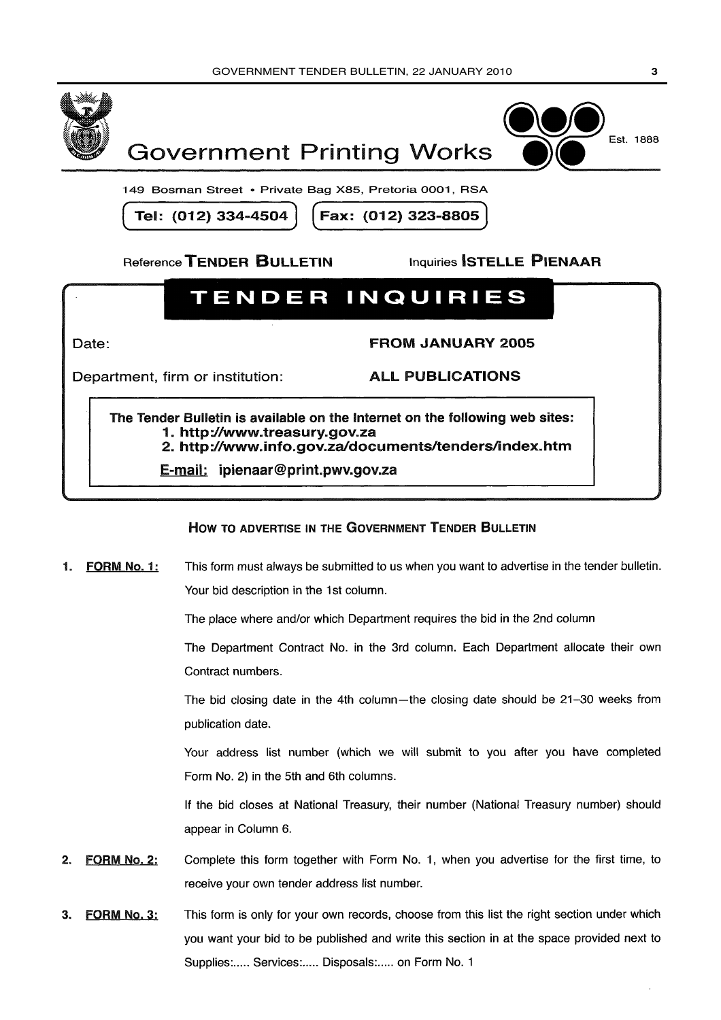



149 Bosman Street • Private Bag X85, Pretoria 0001, RSA

Tel: (012) 334-4504

Fax: (012) 323-8805

Reference TENDER BULLETIN

**Inquiries STELLE PIENAAR** 

# **TENDER INQUIRIES**

Date:

**FROM JANUARY 2005** 

Department, firm or institution:

**ALL PUBLICATIONS** 

The Tender Bulletin is available on the Internet on the following web sites: 1. http://www.treasurv.gov.za 2. http://www.info.gov.za/documents/tenders/index.htm

E-mail: ipienaar@print.pwv.gov.za

## HOW TO ADVERTISE IN THE GOVERNMENT TENDER BULLETIN

This form must always be submitted to us when you want to advertise in the tender bulletin. FORM No. 1: 1. Your bid description in the 1st column.

The place where and/or which Department requires the bid in the 2nd column

The Department Contract No. in the 3rd column. Each Department allocate their own Contract numbers.

The bid closing date in the 4th column—the closing date should be 21-30 weeks from publication date.

Your address list number (which we will submit to you after you have completed Form No. 2) in the 5th and 6th columns.

If the bid closes at National Treasury, their number (National Treasury number) should appear in Column 6.

- **FORM No. 2:** Complete this form together with Form No. 1, when you advertise for the first time, to  $2.$ receive your own tender address list number.
- This form is only for your own records, choose from this list the right section under which FORM No. 3:  $\mathbf{R}$ you want your bid to be published and write this section in at the space provided next to Supplies:..... Services:..... Disposals:..... on Form No. 1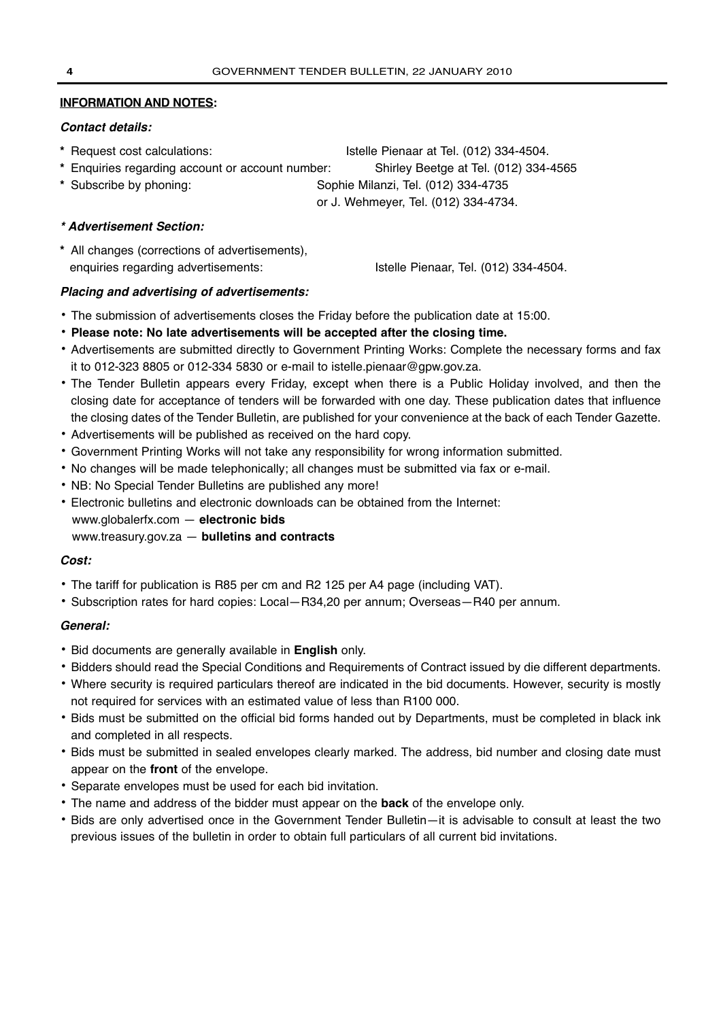## **INFORMATION AND NOTES:**

## **Contact details:**

- **\*** Request cost calculations: Istelle Pienaar at Tel. (012) 334-4504.
- **\*** Enquiries regarding account or account number: Shirley Beetge at Tel. (012) 334-4565
- **\*** Subscribe by phoning: Sophie Milanzi, Tel. (012) 334-4735

or J. Wehmeyer, Tel. (012) 334-4734.

## **\* Advertisement Section:**

**\*** All changes (corrections of advertisements), enquiries regarding advertisements: Istelle Pienaar, Tel. (012) 334-4504.

## **Placing and advertising of advertisements:**

- **•** The submission of advertisements closes the Friday before the publication date at 15:00.
- **• Please note: No late advertisements will be accepted after the closing time.**
- **•** Advertisements are submitted directly to Government Printing Works: Complete the necessary forms and fax it to 012-323 8805 or 012-334 5830 or e-mail to istelle.pienaar@gpw.gov.za.
- **•** The Tender Bulletin appears every Friday, except when there is a Public Holiday involved, and then the closing date for acceptance of tenders will be forwarded with one day. These publication dates that influence the closing dates of the Tender Bulletin, are published for your convenience at the back of each Tender Gazette.
- **•** Advertisements will be published as received on the hard copy.
- **•** Government Printing Works will not take any responsibility for wrong information submitted.
- **•** No changes will be made telephonically; all changes must be submitted via fax or e-mail.
- **•** NB: No Special Tender Bulletins are published any more!
- **•** Electronic bulletins and electronic downloads can be obtained from the Internet:
- www.globalerfx.com **electronic bids**
- www.treasury.gov.za **bulletins and contracts**

## **Cost:**

- **•** The tariff for publication is R85 per cm and R2 125 per A4 page (including VAT).
- **•** Subscription rates for hard copies: Local—R34,20 per annum; Overseas—R40 per annum.

## **General:**

- **•** Bid documents are generally available in **English** only.
- **•** Bidders should read the Special Conditions and Requirements of Contract issued by die different departments.
- **•** Where security is required particulars thereof are indicated in the bid documents. However, security is mostly not required for services with an estimated value of less than R100 000.
- **•** Bids must be submitted on the official bid forms handed out by Departments, must be completed in black ink and completed in all respects.
- **•** Bids must be submitted in sealed envelopes clearly marked. The address, bid number and closing date must appear on the **front** of the envelope.
- **•** Separate envelopes must be used for each bid invitation.
- **•** The name and address of the bidder must appear on the **back** of the envelope only.
- **•** Bids are only advertised once in the Government Tender Bulletin—it is advisable to consult at least the two previous issues of the bulletin in order to obtain full particulars of all current bid invitations.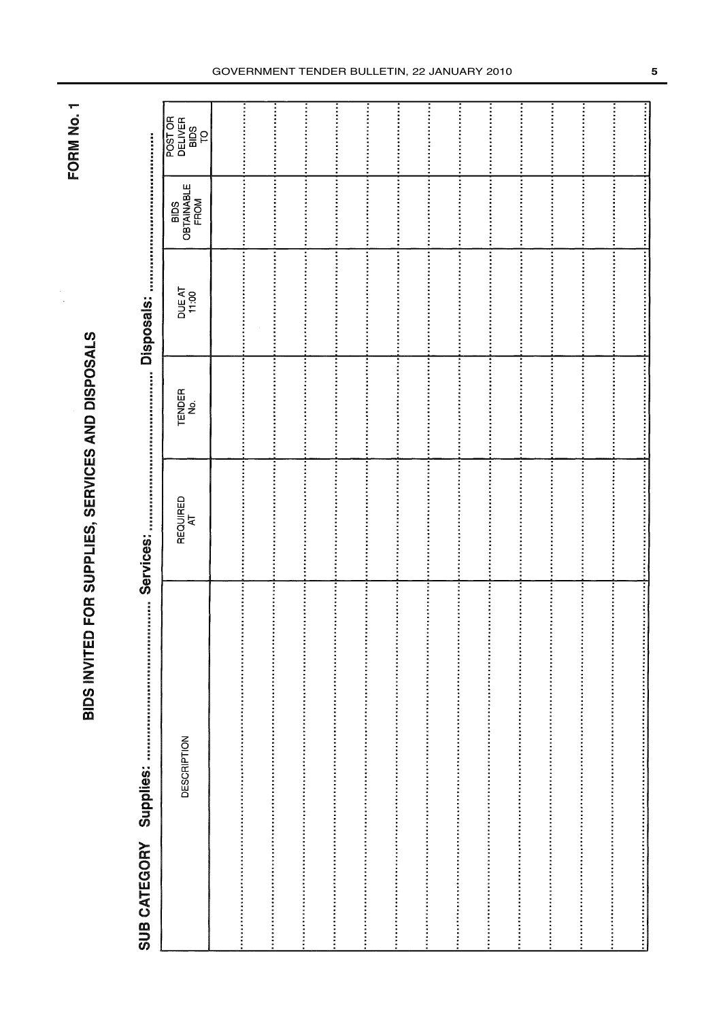FORM No. 1

# BIDS INVITED FOR SUPPLIES, SERVICES AND DISPOSALS

# SUB CATEGORY Supplies:

**Disnosals:** Services:

| POST OR<br>DELIVER<br>BIDS<br>TO<br>TO |                       |  |  |  |  |  |  |
|----------------------------------------|-----------------------|--|--|--|--|--|--|
| BIDS<br>OBTAINABLE<br>FROM             |                       |  |  |  |  |  |  |
| DUE AT<br>11:00                        |                       |  |  |  |  |  |  |
| TENDER<br>No.                          |                       |  |  |  |  |  |  |
| REQUIRED<br>AT                         |                       |  |  |  |  |  |  |
| <b>DESCRIPTION</b>                     | :<br>:<br>:<br>:<br>: |  |  |  |  |  |  |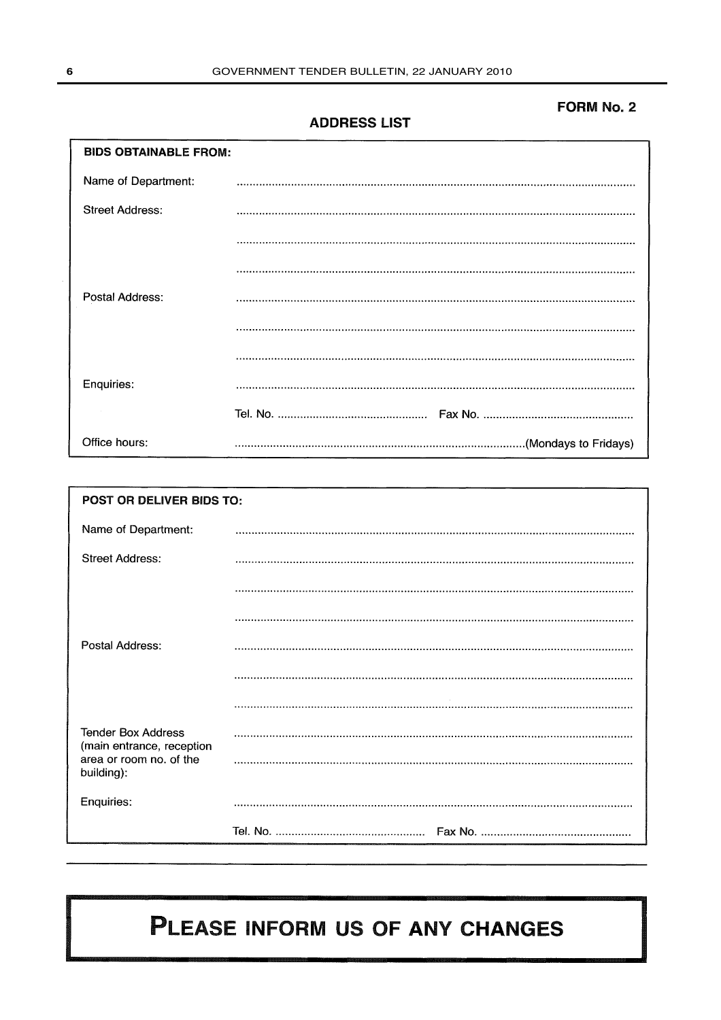## **FORM No. 2**

## **ADDRESS LIST**

| <b>BIDS OBTAINABLE FROM:</b> |  |
|------------------------------|--|
| Name of Department:          |  |
| Street Address:              |  |
|                              |  |
|                              |  |
| Postal Address:              |  |
|                              |  |
|                              |  |
| Enquiries:                   |  |
|                              |  |
| Office hours:                |  |

| POST OR DELIVER BIDS TO:                               |  |  |  |  |  |  |
|--------------------------------------------------------|--|--|--|--|--|--|
| Name of Department:                                    |  |  |  |  |  |  |
| <b>Street Address:</b>                                 |  |  |  |  |  |  |
|                                                        |  |  |  |  |  |  |
|                                                        |  |  |  |  |  |  |
| Postal Address:                                        |  |  |  |  |  |  |
|                                                        |  |  |  |  |  |  |
|                                                        |  |  |  |  |  |  |
| <b>Tender Box Address</b><br>(main entrance, reception |  |  |  |  |  |  |
| area or room no. of the<br>building):                  |  |  |  |  |  |  |
| Enquiries:                                             |  |  |  |  |  |  |
|                                                        |  |  |  |  |  |  |

# PLEASE INFORM US OF ANY CHANGES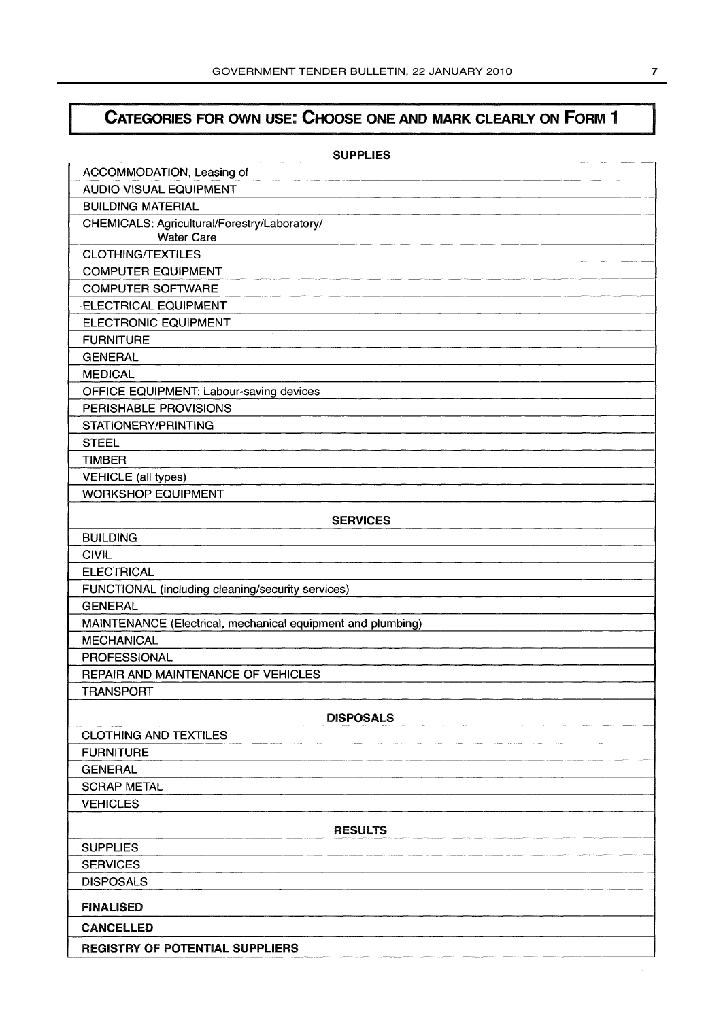# CATEGORIES FOR OWN USE: CHOOSE ONE AND MARK CLEARLY ON FORM 1

| <b>SUPPLIES</b>                                                   |  |  |  |  |
|-------------------------------------------------------------------|--|--|--|--|
| ACCOMMODATION, Leasing of                                         |  |  |  |  |
| <b>AUDIO VISUAL EQUIPMENT</b>                                     |  |  |  |  |
| <b>BUILDING MATERIAL</b>                                          |  |  |  |  |
| CHEMICALS: Agricultural/Forestry/Laboratory/<br><b>Water Care</b> |  |  |  |  |
| <b>CLOTHING/TEXTILES</b>                                          |  |  |  |  |
| <b>COMPUTER EQUIPMENT</b>                                         |  |  |  |  |
| <b>COMPUTER SOFTWARE</b>                                          |  |  |  |  |
| <b>ELECTRICAL EQUIPMENT</b>                                       |  |  |  |  |
| <b>ELECTRONIC EQUIPMENT</b>                                       |  |  |  |  |
| <b>FURNITURE</b>                                                  |  |  |  |  |
| <b>GENERAL</b>                                                    |  |  |  |  |
| <b>MEDICAL</b>                                                    |  |  |  |  |
| OFFICE EQUIPMENT: Labour-saving devices                           |  |  |  |  |
| PERISHABLE PROVISIONS                                             |  |  |  |  |
| STATIONERY/PRINTING                                               |  |  |  |  |
| <b>STEEL</b>                                                      |  |  |  |  |
| <b>TIMBER</b>                                                     |  |  |  |  |
| <b>VEHICLE</b> (all types)                                        |  |  |  |  |
| <b>WORKSHOP EQUIPMENT</b>                                         |  |  |  |  |
|                                                                   |  |  |  |  |
| <b>SERVICES</b>                                                   |  |  |  |  |
| <b>BUILDING</b>                                                   |  |  |  |  |
| <b>CIVIL</b>                                                      |  |  |  |  |
| <b>ELECTRICAL</b>                                                 |  |  |  |  |
| FUNCTIONAL (including cleaning/security services)                 |  |  |  |  |
| <b>GENERAL</b>                                                    |  |  |  |  |
| MAINTENANCE (Electrical, mechanical equipment and plumbing)       |  |  |  |  |
| <b>MECHANICAL</b>                                                 |  |  |  |  |
| <b>PROFESSIONAL</b>                                               |  |  |  |  |
| REPAIR AND MAINTENANCE OF VEHICLES                                |  |  |  |  |
| <b>TRANSPORT</b>                                                  |  |  |  |  |
| <b>DISPOSALS</b>                                                  |  |  |  |  |
| <b>CLOTHING AND TEXTILES</b>                                      |  |  |  |  |
| <b>FURNITURE</b>                                                  |  |  |  |  |
| <b>GENERAL</b>                                                    |  |  |  |  |
| <b>SCRAP METAL</b>                                                |  |  |  |  |
| <b>VEHICLES</b>                                                   |  |  |  |  |
| <b>RESULTS</b>                                                    |  |  |  |  |
| <b>SUPPLIES</b>                                                   |  |  |  |  |
| <b>SERVICES</b>                                                   |  |  |  |  |
| <b>DISPOSALS</b>                                                  |  |  |  |  |
| <b>FINALISED</b>                                                  |  |  |  |  |
| <b>CANCELLED</b>                                                  |  |  |  |  |
| <b>REGISTRY OF POTENTIAL SUPPLIERS</b>                            |  |  |  |  |

l,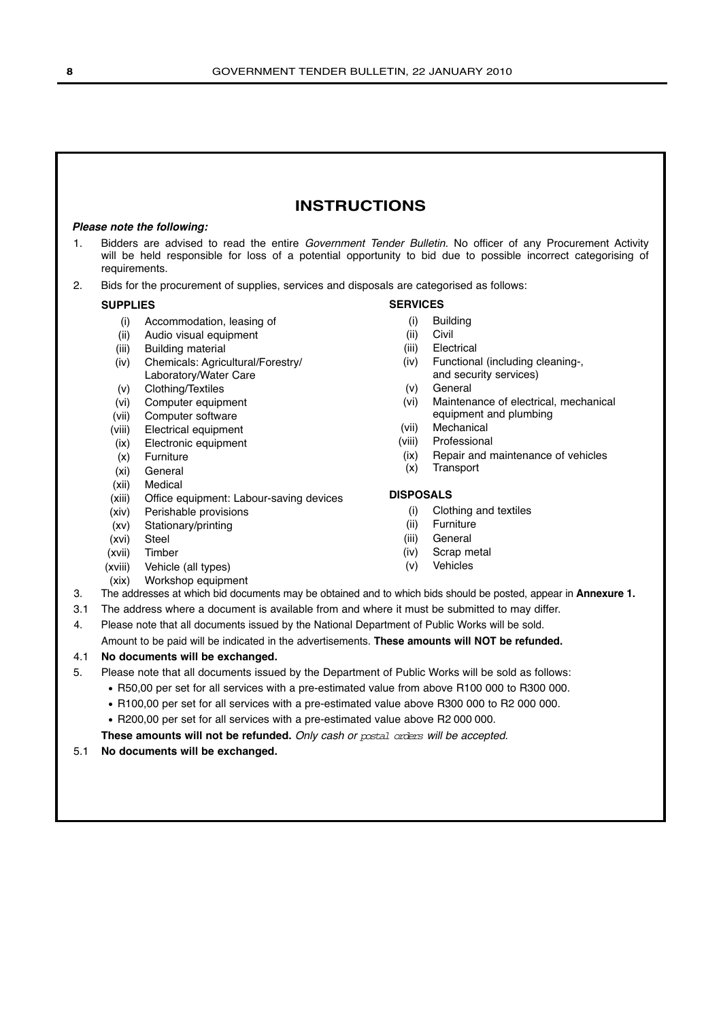## **INSTRUCTIONS**

## **Please note the following:**

- 1. Bidders are advised to read the entire Government Tender Bulletin. No officer of any Procurement Activity will be held responsible for loss of a potential opportunity to bid due to possible incorrect categorising of requirements.
- 2. Bids for the procurement of supplies, services and disposals are categorised as follows:

## **SUPPLIES**

- (i) Accommodation, leasing of
- (ii) Audio visual equipment
- (iii) Building material
- (iv) Chemicals: Agricultural/Forestry/ Laboratory/Water Care
- (v) Clothing/Textiles
- (vi) Computer equipment
- (vii) Computer software
- (viii) Electrical equipment
- (ix) Electronic equipment
- (x) Furniture
- (xi) General
- (xii) Medical
- (xiii) Office equipment: Labour-saving devices
- (xiv) Perishable provisions
- (xv) Stationary/printing
- (xvi) Steel
- (xvii) Timber
- (xviii) Vehicle (all types)
- (xix) Workshop equipment

- (i) Building
- (ii) Civil
- (iii) Electrical
- (iv) Functional (including cleaning-, and security services)
- (v) General
- (vi) Maintenance of electrical, mechanical equipment and plumbing
- (vii) Mechanical
- (viii) Professional
- (ix) Repair and maintenance of vehicles
- (x) Transport

## **DISPOSALS**

- (i) Clothing and textiles
- (ii) Furniture
- (iii) General
- (iv) Scrap metal
- (v) Vehicles
- 
- 3. The addresses at which bid documents may be obtained and to which bids should be posted, appear in **Annexure 1.**
- 3.1 The address where a document is available from and where it must be submitted to may differ.
- 4. Please note that all documents issued by the National Department of Public Works will be sold.

Amount to be paid will be indicated in the advertisements. **These amounts will NOT be refunded.**

## 4.1 **No documents will be exchanged.**

- 5. Please note that all documents issued by the Department of Public Works will be sold as follows:
	- R50,00 per set for all services with a pre-estimated value from above R100 000 to R300 000.
	- R100,00 per set for all services with a pre-estimated value above R300 000 to R2 000 000.
	- R200,00 per set for all services with a pre-estimated value above R2 000 000.

**These amounts will not be refunded.** Only cash or postal orders will be accepted.

## 5.1 **No documents will be exchanged.**

**SERVICES**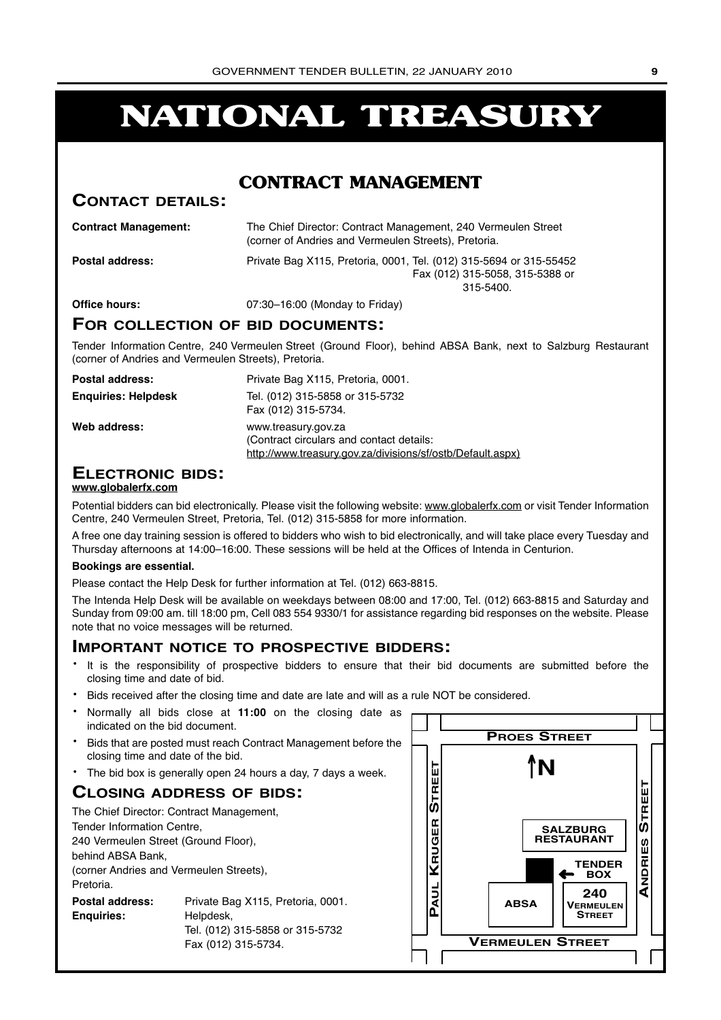# **NATIONAL TREASURY**

## **CONTRACT MANAGEMENT**

## **CONTACT DETAILS:**

| <b>Contract Management:</b> | The Chief Director: Contract Management, 240 Vermeulen Street<br>(corner of Andries and Vermeulen Streets), Pretoria. |
|-----------------------------|-----------------------------------------------------------------------------------------------------------------------|
| <b>Postal address:</b>      | Private Bag X115, Pretoria, 0001, Tel. (012) 315-5694 or 315-55452<br>Fax (012) 315-5058, 315-5388 or<br>$315 - 5400$ |
| Office hours:               | 07:30-16:00 (Monday to Friday)                                                                                        |

## **FOR COLLECTION OF BID DOCUMENTS:**

Tender Information Centre, 240 Vermeulen Street (Ground Floor), behind ABSA Bank, next to Salzburg Restaurant (corner of Andries and Vermeulen Streets), Pretoria.

| Postal address:            | Private Bag X115, Pretoria, 0001.                                                                                             |
|----------------------------|-------------------------------------------------------------------------------------------------------------------------------|
| <b>Enguiries: Helpdesk</b> | Tel. (012) 315-5858 or 315-5732<br>Fax (012) 315-5734.                                                                        |
| Web address:               | www.treasury.gov.za<br>(Contract circulars and contact details:<br>http://www.treasury.gov.za/divisions/sf/ostb/Default.aspx) |

# **ELECTRONIC BIDS:**

## **www.globalerfx.com**

Potential bidders can bid electronically. Please visit the following website: www.globalerfx.com or visit Tender Information Centre, 240 Vermeulen Street, Pretoria, Tel. (012) 315-5858 for more information.

A free one day training session is offered to bidders who wish to bid electronically, and will take place every Tuesday and Thursday afternoons at 14:00–16:00. These sessions will be held at the Offices of Intenda in Centurion.

## **Bookings are essential.**

Please contact the Help Desk for further information at Tel. (012) 663-8815.

The Intenda Help Desk will be available on weekdays between 08:00 and 17:00, Tel. (012) 663-8815 and Saturday and Sunday from 09:00 am. till 18:00 pm, Cell 083 554 9330/1 for assistance regarding bid responses on the website. Please note that no voice messages will be returned.

## **IMPORTANT NOTICE TO PROSPECTIVE BIDDERS:**

- It is the responsibility of prospective bidders to ensure that their bid documents are submitted before the closing time and date of bid.
- Bids received after the closing time and date are late and will as a rule NOT be considered.
- Normally all bids close at **11:00** on the closing date as indicated on the bid document.
- Bids that are posted must reach Contract Management before the closing time and date of the bid.
- The bid box is generally open 24 hours a day, 7 days a week.

## **CLOSING ADDRESS OF BIDS:**

| The Chief Director: Contract Management, |                                   |  |  |  |  |  |  |
|------------------------------------------|-----------------------------------|--|--|--|--|--|--|
| Tender Information Centre,               |                                   |  |  |  |  |  |  |
| 240 Vermeulen Street (Ground Floor),     |                                   |  |  |  |  |  |  |
| behind ABSA Bank,                        |                                   |  |  |  |  |  |  |
| (corner Andries and Vermeulen Streets),  |                                   |  |  |  |  |  |  |
| Pretoria.                                |                                   |  |  |  |  |  |  |
| Postal address:                          | Private Bag X115, Pretoria, 0001. |  |  |  |  |  |  |
| <b>Enguiries:</b><br>Helpdesk,           |                                   |  |  |  |  |  |  |
| Tel. (012) 315-5858 or 315-5732          |                                   |  |  |  |  |  |  |
|                                          | Fax (012) 315-5734.               |  |  |  |  |  |  |

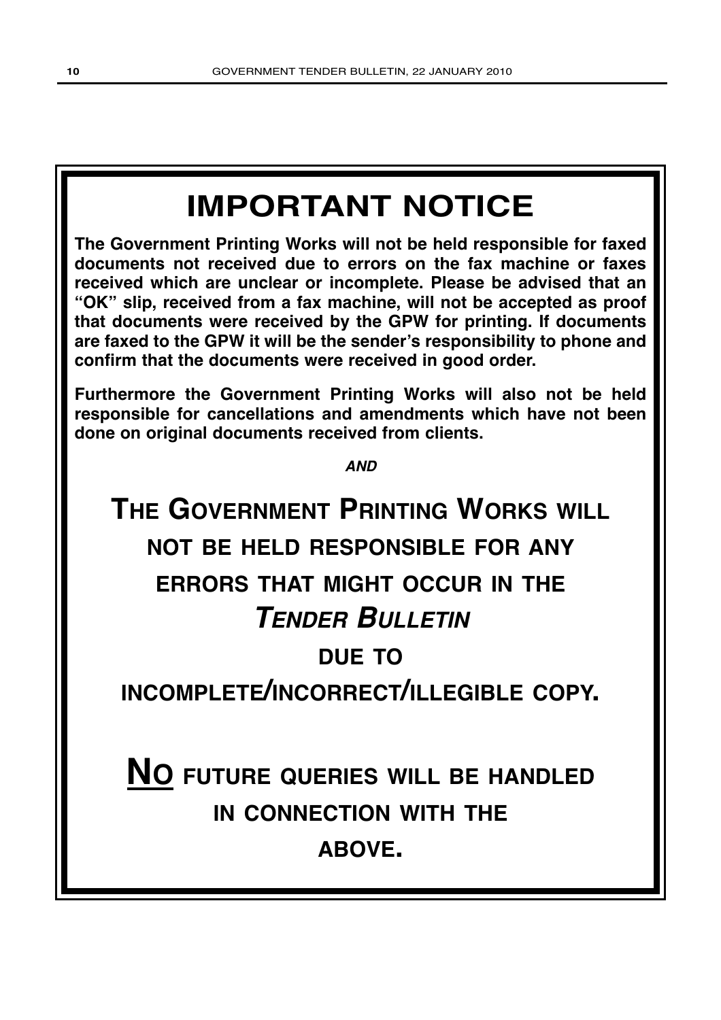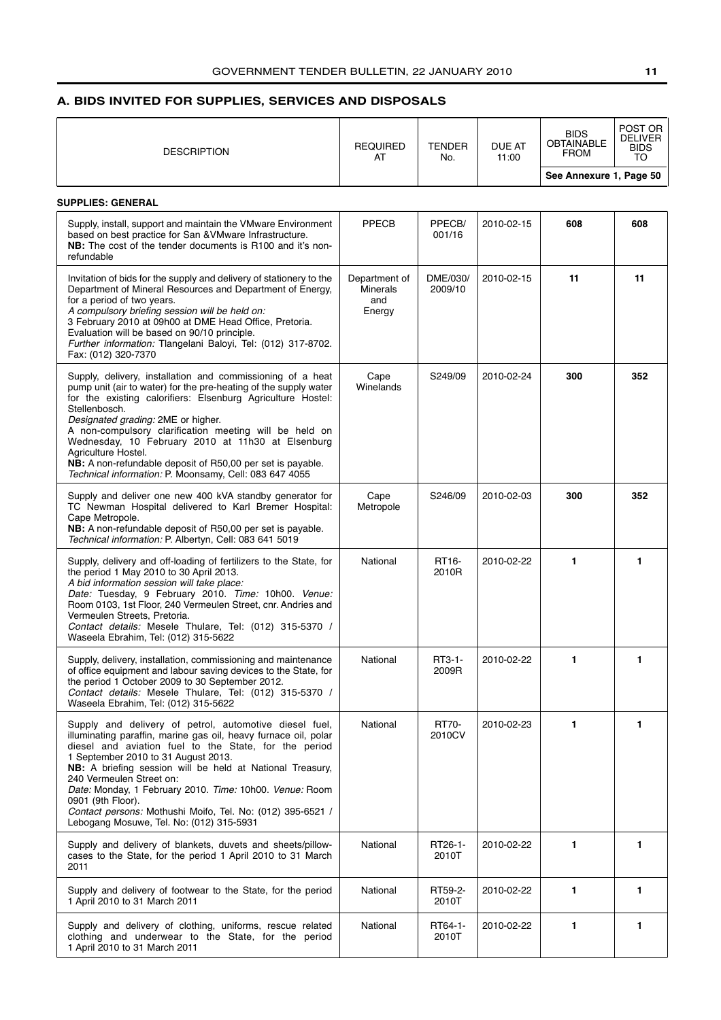## <span id="page-10-0"></span>**A. BIDS INVITED FOR SUPPLIES, SERVICES AND DISPOSALS**

| <b>DESCRIPTION</b>                                                                                                                                                                                                                                                                                                                                                                                                                                                                                                 | <b>REQUIRED</b><br>AT                             | <b>TENDER</b><br>No. | <b>DUE AT</b><br>11:00 | <b>BIDS</b><br><b>OBTAINABLE</b><br><b>FROM</b> | POST OR<br><b>DELIVER</b><br><b>BIDS</b><br>TO |
|--------------------------------------------------------------------------------------------------------------------------------------------------------------------------------------------------------------------------------------------------------------------------------------------------------------------------------------------------------------------------------------------------------------------------------------------------------------------------------------------------------------------|---------------------------------------------------|----------------------|------------------------|-------------------------------------------------|------------------------------------------------|
|                                                                                                                                                                                                                                                                                                                                                                                                                                                                                                                    |                                                   |                      |                        | See Annexure 1, Page 50                         |                                                |
| <b>SUPPLIES: GENERAL</b>                                                                                                                                                                                                                                                                                                                                                                                                                                                                                           |                                                   |                      |                        |                                                 |                                                |
| Supply, install, support and maintain the VMware Environment<br>based on best practice for San & VMware Infrastructure.<br><b>NB:</b> The cost of the tender documents is R100 and it's non-<br>refundable                                                                                                                                                                                                                                                                                                         | PPECB                                             | PPECB/<br>001/16     | 2010-02-15             | 608                                             | 608                                            |
| Invitation of bids for the supply and delivery of stationery to the<br>Department of Mineral Resources and Department of Energy,<br>for a period of two years.<br>A compulsory briefing session will be held on:<br>3 February 2010 at 09h00 at DME Head Office, Pretoria.<br>Evaluation will be based on 90/10 principle.<br>Further information: Tlangelani Baloyi, Tel: (012) 317-8702.<br>Fax: (012) 320-7370                                                                                                  | Department of<br><b>Minerals</b><br>and<br>Energy | DME/030/<br>2009/10  | 2010-02-15             | 11                                              | 11                                             |
| Supply, delivery, installation and commissioning of a heat<br>pump unit (air to water) for the pre-heating of the supply water<br>for the existing calorifiers: Elsenburg Agriculture Hostel:<br>Stellenbosch.<br>Designated grading: 2ME or higher.<br>A non-compulsory clarification meeting will be held on<br>Wednesday, 10 February 2010 at 11h30 at Elsenburg<br>Agriculture Hostel.<br>NB: A non-refundable deposit of R50,00 per set is payable.<br>Technical information: P. Moonsamy, Cell: 083 647 4055 | Cape<br>Winelands                                 | S249/09              | 2010-02-24             | 300                                             | 352                                            |
| Supply and deliver one new 400 kVA standby generator for<br>TC Newman Hospital delivered to Karl Bremer Hospital:<br>Cape Metropole.<br>NB: A non-refundable deposit of R50,00 per set is payable.<br>Technical information: P. Albertyn, Cell: 083 641 5019                                                                                                                                                                                                                                                       | Cape<br>Metropole                                 | S246/09              | 2010-02-03             | 300                                             | 352                                            |
| Supply, delivery and off-loading of fertilizers to the State, for<br>the period 1 May 2010 to 30 April 2013.<br>A bid information session will take place:<br>Date: Tuesday, 9 February 2010. Time: 10h00. Venue:<br>Room 0103, 1st Floor, 240 Vermeulen Street, cnr. Andries and<br>Vermeulen Streets, Pretoria.<br>Contact details: Mesele Thulare, Tel: (012) 315-5370 /<br>Waseela Ebrahim, Tel: (012) 315-5622                                                                                                | National                                          | RT16-<br>2010R       | 2010-02-22             | 1                                               | 1                                              |
| Supply, delivery, installation, commissioning and maintenance<br>of office equipment and labour saving devices to the State, for<br>the period 1 October 2009 to 30 September 2012.<br>Contact details: Mesele Thulare, Tel: (012) 315-5370 /<br>Waseela Ebrahim, Tel: (012) 315-5622                                                                                                                                                                                                                              | National                                          | RT3-1-<br>2009R      | 2010-02-22             |                                                 |                                                |
| Supply and delivery of petrol, automotive diesel fuel,<br>illuminating paraffin, marine gas oil, heavy furnace oil, polar<br>diesel and aviation fuel to the State, for the period<br>1 September 2010 to 31 August 2013.<br>NB: A briefing session will be held at National Treasury,<br>240 Vermeulen Street on:<br>Date: Monday, 1 February 2010. Time: 10h00. Venue: Room<br>0901 (9th Floor).<br>Contact persons: Mothushi Moifo, Tel. No: (012) 395-6521 /<br>Lebogang Mosuwe, Tel. No: (012) 315-5931       | National                                          | RT70-<br>2010CV      | 2010-02-23             | 1                                               | 1                                              |
| Supply and delivery of blankets, duvets and sheets/pillow-<br>cases to the State, for the period 1 April 2010 to 31 March<br>2011                                                                                                                                                                                                                                                                                                                                                                                  | National                                          | RT26-1-<br>2010T     | 2010-02-22             | 1                                               | 1                                              |
| Supply and delivery of footwear to the State, for the period<br>1 April 2010 to 31 March 2011                                                                                                                                                                                                                                                                                                                                                                                                                      | National                                          | RT59-2-<br>2010T     | 2010-02-22             | 1                                               | 1                                              |
| Supply and delivery of clothing, uniforms, rescue related<br>clothing and underwear to the State, for the period<br>1 April 2010 to 31 March 2011                                                                                                                                                                                                                                                                                                                                                                  | National                                          | RT64-1-<br>2010T     | 2010-02-22             | 1                                               | 1                                              |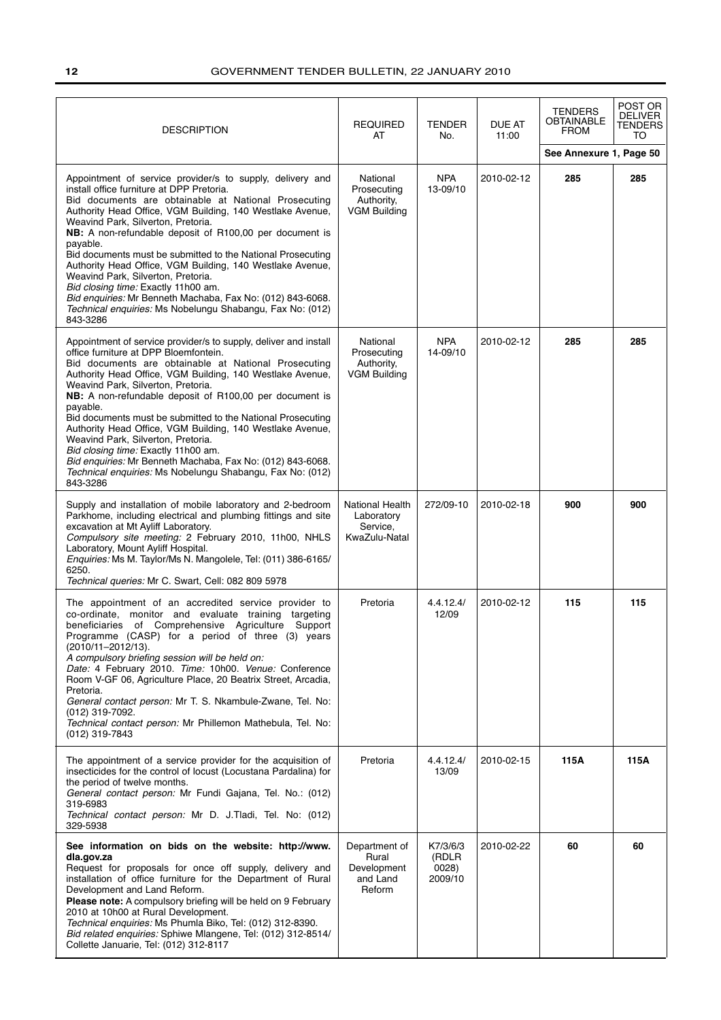| <b>DESCRIPTION</b>                                                                                                                                                                                                                                                                                                                                                                                                                                                                                                                                                                                                                                                                          | <b>REQUIRED</b><br>AT                                        | <b>TENDER</b><br>No.                  | DUE AT<br>11:00 | <b>TENDERS</b><br>OBTAINABLE<br><b>FROM</b> | POST OR<br>DELIVER<br><b>TENDERS</b><br>TO |
|---------------------------------------------------------------------------------------------------------------------------------------------------------------------------------------------------------------------------------------------------------------------------------------------------------------------------------------------------------------------------------------------------------------------------------------------------------------------------------------------------------------------------------------------------------------------------------------------------------------------------------------------------------------------------------------------|--------------------------------------------------------------|---------------------------------------|-----------------|---------------------------------------------|--------------------------------------------|
|                                                                                                                                                                                                                                                                                                                                                                                                                                                                                                                                                                                                                                                                                             |                                                              |                                       |                 | See Annexure 1, Page 50                     |                                            |
| Appointment of service provider/s to supply, delivery and<br>install office furniture at DPP Pretoria.<br>Bid documents are obtainable at National Prosecuting<br>Authority Head Office, VGM Building, 140 Westlake Avenue,<br>Weavind Park, Silverton, Pretoria.<br>NB: A non-refundable deposit of R100,00 per document is<br>payable.<br>Bid documents must be submitted to the National Prosecuting<br>Authority Head Office, VGM Building, 140 Westlake Avenue,<br>Weavind Park, Silverton, Pretoria.<br>Bid closing time: Exactly 11h00 am.<br>Bid enquiries: Mr Benneth Machaba, Fax No: (012) 843-6068.<br>Technical enguiries: Ms Nobelungu Shabangu, Fax No: (012)<br>843-3286    | National<br>Prosecuting<br>Authority,<br><b>VGM Building</b> | NPA<br>13-09/10                       | 2010-02-12      | 285                                         | 285                                        |
| Appointment of service provider/s to supply, deliver and install<br>office furniture at DPP Bloemfontein.<br>Bid documents are obtainable at National Prosecuting<br>Authority Head Office, VGM Building, 140 Westlake Avenue,<br>Weavind Park, Silverton, Pretoria.<br>NB: A non-refundable deposit of R100,00 per document is<br>payable.<br>Bid documents must be submitted to the National Prosecuting<br>Authority Head Office, VGM Building, 140 Westlake Avenue,<br>Weavind Park, Silverton, Pretoria.<br>Bid closing time: Exactly 11h00 am.<br>Bid enquiries: Mr Benneth Machaba, Fax No: (012) 843-6068.<br>Technical enguiries: Ms Nobelungu Shabangu, Fax No: (012)<br>843-3286 | National<br>Prosecuting<br>Authority,<br><b>VGM Building</b> | <b>NPA</b><br>14-09/10                | 2010-02-12      | 285                                         | 285                                        |
| Supply and installation of mobile laboratory and 2-bedroom<br>Parkhome, including electrical and plumbing fittings and site<br>excavation at Mt Ayliff Laboratory.<br>Compulsory site meeting: 2 February 2010, 11h00, NHLS<br>Laboratory, Mount Ayliff Hospital.<br>Enquiries: Ms M. Taylor/Ms N. Mangolele, Tel: (011) 386-6165/<br>6250.<br>Technical queries: Mr C. Swart, Cell: 082 809 5978                                                                                                                                                                                                                                                                                           | National Health<br>Laboratory<br>Service,<br>KwaZulu-Natal   | 272/09-10                             | 2010-02-18      | 900                                         | 900                                        |
| The appointment of an accredited service provider to<br>co-ordinate, monitor and evaluate training targeting<br>beneficiaries of Comprehensive Agriculture Support<br>Programme (CASP) for a period of three (3) years<br>(2010/11-2012/13).<br>A compulsory briefing session will be held on:<br>Date: 4 February 2010. Time: 10h00. Venue: Conference<br>Room V-GF 06, Agriculture Place, 20 Beatrix Street, Arcadia,<br>Pretoria.<br>General contact person: Mr T. S. Nkambule-Zwane, Tel. No:<br>(012) 319-7092.<br>Technical contact person: Mr Phillemon Mathebula, Tel. No:<br>(012) 319-7843                                                                                        | Pretoria                                                     | 4.4.12.4/<br>12/09                    | 2010-02-12      | 115                                         | 115                                        |
| The appointment of a service provider for the acquisition of<br>insecticides for the control of locust (Locustana Pardalina) for<br>the period of twelve months.<br>General contact person: Mr Fundi Gajana, Tel. No.: (012)<br>319-6983<br>Technical contact person: Mr D. J.Tladi, Tel. No: (012)<br>329-5938                                                                                                                                                                                                                                                                                                                                                                             | Pretoria                                                     | 4.4.12.4/<br>13/09                    | 2010-02-15      | 115A                                        | 115A                                       |
| See information on bids on the website: http://www.<br>dla.gov.za<br>Request for proposals for once off supply, delivery and<br>installation of office furniture for the Department of Rural<br>Development and Land Reform.<br>Please note: A compulsory briefing will be held on 9 February<br>2010 at 10h00 at Rural Development.<br>Technical enquiries: Ms Phumla Biko, Tel: (012) 312-8390.<br>Bid related enquiries: Sphiwe Mlangene, Tel: (012) 312-8514/<br>Collette Januarie, Tel: (012) 312-8117                                                                                                                                                                                 | Department of<br>Rural<br>Development<br>and Land<br>Reform  | K7/3/6/3<br>(RDLR<br>0028)<br>2009/10 | 2010-02-22      | 60                                          | 60                                         |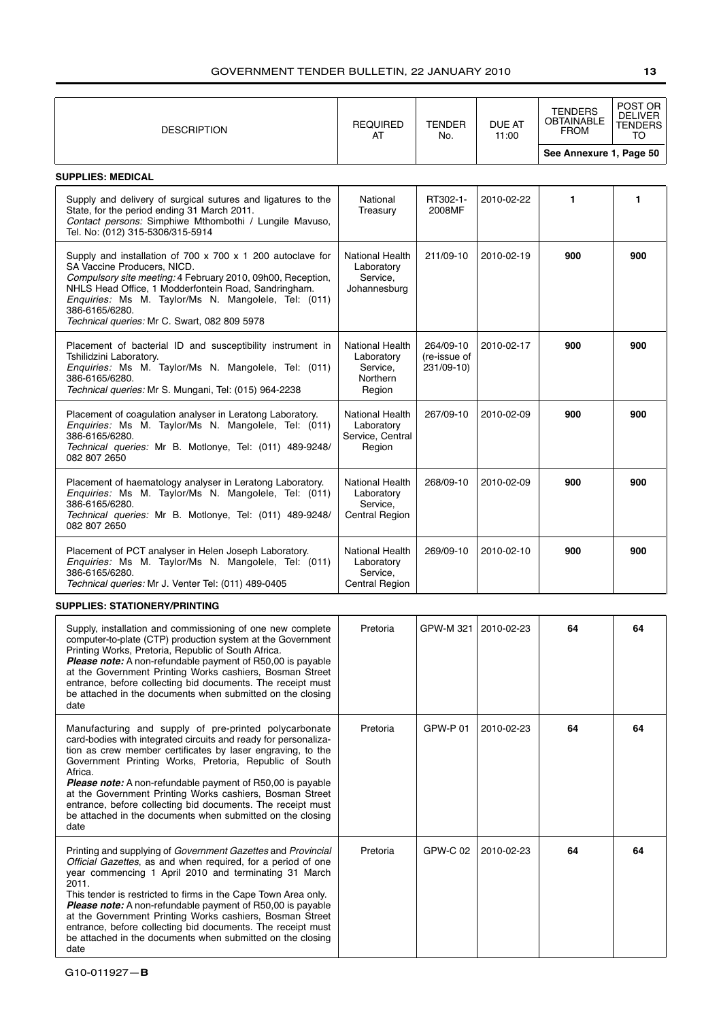| <b>DESCRIPTION</b>                                                                                                                                                                                                                                                                                                                                                                                                                                                                                                                             | <b>REQUIRED</b><br>AT                                                  | <b>TENDER</b><br>No.                    | DUE AT<br>11:00 | TENDERS<br>OBTAINABLE<br><b>FROM</b> | POST OR<br><b>DELIVER</b><br>TENDERS<br>TO |
|------------------------------------------------------------------------------------------------------------------------------------------------------------------------------------------------------------------------------------------------------------------------------------------------------------------------------------------------------------------------------------------------------------------------------------------------------------------------------------------------------------------------------------------------|------------------------------------------------------------------------|-----------------------------------------|-----------------|--------------------------------------|--------------------------------------------|
|                                                                                                                                                                                                                                                                                                                                                                                                                                                                                                                                                |                                                                        |                                         |                 | See Annexure 1, Page 50              |                                            |
| <b>SUPPLIES: MEDICAL</b>                                                                                                                                                                                                                                                                                                                                                                                                                                                                                                                       |                                                                        |                                         |                 |                                      |                                            |
| Supply and delivery of surgical sutures and ligatures to the<br>State, for the period ending 31 March 2011.<br>Contact persons: Simphiwe Mthombothi / Lungile Mavuso,<br>Tel. No: (012) 315-5306/315-5914                                                                                                                                                                                                                                                                                                                                      | National<br>Treasury                                                   | RT302-1-<br>2008MF                      | 2010-02-22      | 1                                    | 1                                          |
| Supply and installation of 700 x 700 x 1 200 autoclave for<br>SA Vaccine Producers, NICD.<br>Compulsory site meeting: 4 February 2010, 09h00, Reception,<br>NHLS Head Office, 1 Modderfontein Road, Sandringham.<br>Enquiries: Ms M. Taylor/Ms N. Mangolele, Tel: (011)<br>386-6165/6280.<br>Technical queries: Mr C. Swart, 082 809 5978                                                                                                                                                                                                      | <b>National Health</b><br>Laboratory<br>Service,<br>Johannesburg       | 211/09-10                               | 2010-02-19      | 900                                  | 900                                        |
| Placement of bacterial ID and susceptibility instrument in<br>Tshilidzini Laboratory.<br>Enquiries: Ms M. Taylor/Ms N. Mangolele, Tel: (011)<br>386-6165/6280.<br>Technical queries: Mr S. Mungani, Tel: (015) 964-2238                                                                                                                                                                                                                                                                                                                        | <b>National Health</b><br>Laboratory<br>Service,<br>Northern<br>Region | 264/09-10<br>(re-issue of<br>231/09-10) | 2010-02-17      | 900                                  | 900                                        |
| Placement of coagulation analyser in Leratong Laboratory.<br>Enquiries: Ms M. Taylor/Ms N. Mangolele, Tel: (011)<br>386-6165/6280.<br>Technical queries: Mr B. Motlonye, Tel: (011) 489-9248/<br>082 807 2650                                                                                                                                                                                                                                                                                                                                  | National Health<br>Laboratory<br>Service, Central<br>Region            | 267/09-10                               | 2010-02-09      | 900                                  | 900                                        |
| Placement of haematology analyser in Leratong Laboratory.<br>Enquiries: Ms M. Taylor/Ms N. Mangolele, Tel: (011)<br>386-6165/6280.<br>Technical queries: Mr B. Motlonye, Tel: (011) 489-9248/<br>082 807 2650                                                                                                                                                                                                                                                                                                                                  | National Health<br>Laboratory<br>Service,<br><b>Central Region</b>     | 268/09-10                               | 2010-02-09      | 900                                  | 900                                        |
| Placement of PCT analyser in Helen Joseph Laboratory.<br>Enquiries: Ms M. Taylor/Ms N. Mangolele, Tel: (011)<br>386-6165/6280.<br>Technical queries: Mr J. Venter Tel: (011) 489-0405                                                                                                                                                                                                                                                                                                                                                          | National Health<br>Laboratory<br>Service,<br><b>Central Region</b>     | 269/09-10                               | 2010-02-10      | 900                                  | 900                                        |
| <b>SUPPLIES: STATIONERY/PRINTING</b>                                                                                                                                                                                                                                                                                                                                                                                                                                                                                                           |                                                                        |                                         |                 |                                      |                                            |
| Supply, installation and commissioning of one new complete<br>computer-to-plate (CTP) production system at the Government<br>Printing Works, Pretoria, Republic of South Africa.<br><b>Please note:</b> A non-refundable payment of R50,00 is payable<br>at the Government Printing Works cashiers, Bosman Street<br>entrance, before collecting bid documents. The receipt must<br>be attached in the documents when submitted on the closing<br>date                                                                                         | Pretoria                                                               | GPW-M 321                               | 2010-02-23      | 64                                   | 64                                         |
| Manufacturing and supply of pre-printed polycarbonate<br>card-bodies with integrated circuits and ready for personaliza-<br>tion as crew member certificates by laser engraving, to the<br>Government Printing Works, Pretoria, Republic of South<br>Africa.<br><b>Please note:</b> A non-refundable payment of R50,00 is payable<br>at the Government Printing Works cashiers, Bosman Street<br>entrance, before collecting bid documents. The receipt must<br>be attached in the documents when submitted on the closing<br>date             | Pretoria                                                               | GPW-P 01                                | 2010-02-23      | 64                                   | 64                                         |
| Printing and supplying of Government Gazettes and Provincial<br><i>Official Gazettes</i> , as and when required, for a period of one<br>year commencing 1 April 2010 and terminating 31 March<br>2011.<br>This tender is restricted to firms in the Cape Town Area only.<br><b>Please note:</b> A non-refundable payment of R50,00 is payable<br>at the Government Printing Works cashiers, Bosman Street<br>entrance, before collecting bid documents. The receipt must<br>be attached in the documents when submitted on the closing<br>date | Pretoria                                                               | GPW-C 02                                | 2010-02-23      | 64                                   | 64                                         |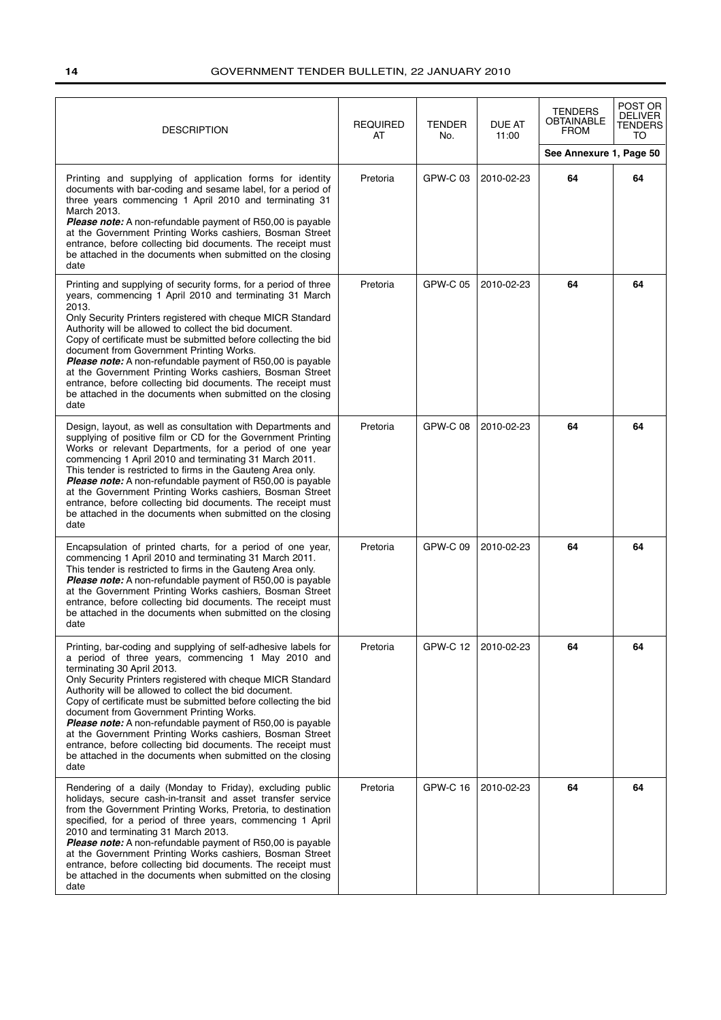| <b>DESCRIPTION</b>                                                                                                                                                                                                                                                                                                                                                                                                                                                                                                                                                                                                                                        | <b>REQUIRED</b><br>AT | <b>TENDER</b><br>No. | <b>DUE AT</b><br>11:00 | <b>TENDERS</b><br><b>OBTAINABLE</b><br><b>FROM</b> | POST OR<br><b>DELIVER</b><br>TENDERS<br>TO |
|-----------------------------------------------------------------------------------------------------------------------------------------------------------------------------------------------------------------------------------------------------------------------------------------------------------------------------------------------------------------------------------------------------------------------------------------------------------------------------------------------------------------------------------------------------------------------------------------------------------------------------------------------------------|-----------------------|----------------------|------------------------|----------------------------------------------------|--------------------------------------------|
|                                                                                                                                                                                                                                                                                                                                                                                                                                                                                                                                                                                                                                                           |                       |                      |                        | See Annexure 1, Page 50                            |                                            |
| Printing and supplying of application forms for identity<br>documents with bar-coding and sesame label, for a period of<br>three years commencing 1 April 2010 and terminating 31<br>March 2013.<br><b>Please note:</b> A non-refundable payment of R50,00 is payable<br>at the Government Printing Works cashiers, Bosman Street<br>entrance, before collecting bid documents. The receipt must<br>be attached in the documents when submitted on the closing<br>date                                                                                                                                                                                    | Pretoria              | GPW-C 03             | 2010-02-23             | 64                                                 | 64                                         |
| Printing and supplying of security forms, for a period of three<br>years, commencing 1 April 2010 and terminating 31 March<br>2013.<br>Only Security Printers registered with cheque MICR Standard<br>Authority will be allowed to collect the bid document.<br>Copy of certificate must be submitted before collecting the bid<br>document from Government Printing Works.<br><b>Please note:</b> A non-refundable payment of R50,00 is payable<br>at the Government Printing Works cashiers, Bosman Street<br>entrance, before collecting bid documents. The receipt must<br>be attached in the documents when submitted on the closing<br>date         | Pretoria              | GPW-C 05             | 2010-02-23             | 64                                                 | 64                                         |
| Design, layout, as well as consultation with Departments and<br>supplying of positive film or CD for the Government Printing<br>Works or relevant Departments, for a period of one year<br>commencing 1 April 2010 and terminating 31 March 2011.<br>This tender is restricted to firms in the Gauteng Area only.<br><b>Please note:</b> A non-refundable payment of R50,00 is payable<br>at the Government Printing Works cashiers, Bosman Street<br>entrance, before collecting bid documents. The receipt must<br>be attached in the documents when submitted on the closing<br>date                                                                   | Pretoria              | <b>GPW-C 08</b>      | 2010-02-23             | 64                                                 | 64                                         |
| Encapsulation of printed charts, for a period of one year,<br>commencing 1 April 2010 and terminating 31 March 2011.<br>This tender is restricted to firms in the Gauteng Area only.<br><b>Please note:</b> A non-refundable payment of R50,00 is payable<br>at the Government Printing Works cashiers, Bosman Street<br>entrance, before collecting bid documents. The receipt must<br>be attached in the documents when submitted on the closing<br>date                                                                                                                                                                                                | Pretoria              | GPW-C 09             | 2010-02-23             | 64                                                 | 64                                         |
| Printing, bar-coding and supplying of self-adhesive labels for<br>a period of three years, commencing 1 May 2010 and<br>terminating 30 April 2013.<br>Only Security Printers registered with cheque MICR Standard<br>Authority will be allowed to collect the bid document.<br>Copy of certificate must be submitted before collecting the bid<br>document from Government Printing Works.<br>Please note: A non-refundable payment of R50,00 is payable<br>at the Government Printing Works cashiers, Bosman Street<br>entrance, before collecting bid documents. The receipt must<br>be attached in the documents when submitted on the closing<br>date | Pretoria              | <b>GPW-C 12</b>      | 2010-02-23             | 64                                                 | 64                                         |
| Rendering of a daily (Monday to Friday), excluding public<br>holidays, secure cash-in-transit and asset transfer service<br>from the Government Printing Works, Pretoria, to destination<br>specified, for a period of three years, commencing 1 April<br>2010 and terminating 31 March 2013.<br>Please note: A non-refundable payment of R50,00 is payable<br>at the Government Printing Works cashiers, Bosman Street<br>entrance, before collecting bid documents. The receipt must<br>be attached in the documents when submitted on the closing<br>date                                                                                              | Pretoria              | <b>GPW-C 16</b>      | 2010-02-23             | 64                                                 | 64                                         |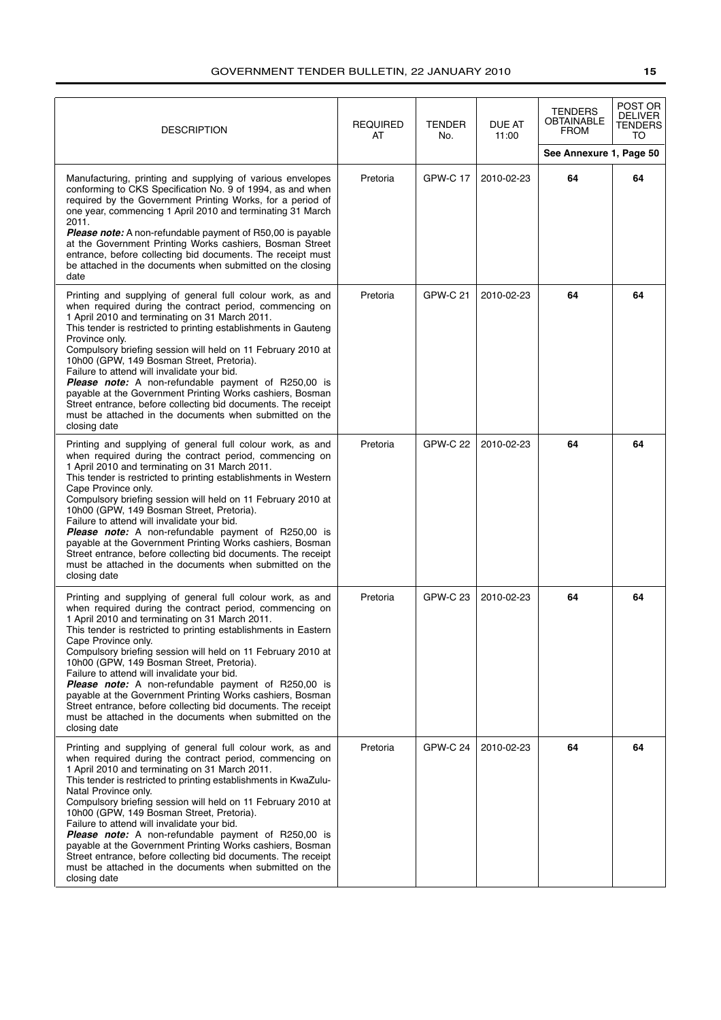| <b>DESCRIPTION</b>                                                                                                                                                                                                                                                                                                                                                                                                                                                                                                                                                                                                                                                                              | <b>REQUIRED</b><br>AT | <b>TENDER</b><br>No. | DUE AT<br>11:00 | <b>TENDERS</b><br>OBTAINABLE<br><b>FROM</b> | POST OR<br><b>DELIVER</b><br>TENDERS<br>TO |
|-------------------------------------------------------------------------------------------------------------------------------------------------------------------------------------------------------------------------------------------------------------------------------------------------------------------------------------------------------------------------------------------------------------------------------------------------------------------------------------------------------------------------------------------------------------------------------------------------------------------------------------------------------------------------------------------------|-----------------------|----------------------|-----------------|---------------------------------------------|--------------------------------------------|
|                                                                                                                                                                                                                                                                                                                                                                                                                                                                                                                                                                                                                                                                                                 |                       |                      |                 | See Annexure 1, Page 50                     |                                            |
| Manufacturing, printing and supplying of various envelopes<br>conforming to CKS Specification No. 9 of 1994, as and when<br>required by the Government Printing Works, for a period of<br>one year, commencing 1 April 2010 and terminating 31 March<br>2011.<br><b>Please note:</b> A non-refundable payment of R50,00 is payable<br>at the Government Printing Works cashiers, Bosman Street<br>entrance, before collecting bid documents. The receipt must<br>be attached in the documents when submitted on the closing<br>date                                                                                                                                                             | Pretoria              | GPW-C 17             | 2010-02-23      | 64                                          | 64                                         |
| Printing and supplying of general full colour work, as and<br>when required during the contract period, commencing on<br>1 April 2010 and terminating on 31 March 2011.<br>This tender is restricted to printing establishments in Gauteng<br>Province only.<br>Compulsory briefing session will held on 11 February 2010 at<br>10h00 (GPW, 149 Bosman Street, Pretoria).<br>Failure to attend will invalidate your bid.<br><b>Please note:</b> A non-refundable payment of R250,00 is<br>payable at the Government Printing Works cashiers, Bosman<br>Street entrance, before collecting bid documents. The receipt<br>must be attached in the documents when submitted on the<br>closing date | Pretoria              | <b>GPW-C 21</b>      | 2010-02-23      | 64                                          | 64                                         |
| Printing and supplying of general full colour work, as and<br>when required during the contract period, commencing on<br>1 April 2010 and terminating on 31 March 2011.<br>This tender is restricted to printing establishments in Western<br>Cape Province only.<br>Compulsory briefing session will held on 11 February 2010 at<br>10h00 (GPW, 149 Bosman Street, Pretoria).<br>Failure to attend will invalidate your bid.<br>Please note: A non-refundable payment of R250,00 is<br>payable at the Government Printing Works cashiers, Bosman<br>Street entrance, before collecting bid documents. The receipt<br>must be attached in the documents when submitted on the<br>closing date   | Pretoria              | <b>GPW-C 22</b>      | 2010-02-23      | 64                                          | 64                                         |
| Printing and supplying of general full colour work, as and<br>when required during the contract period, commencing on<br>1 April 2010 and terminating on 31 March 2011.<br>This tender is restricted to printing establishments in Eastern<br>Cape Province only.<br>Compulsory briefing session will held on 11 February 2010 at<br>10h00 (GPW, 149 Bosman Street, Pretoria).<br>Failure to attend will invalidate your bid.<br>Please note: A non-refundable payment of R250,00 is<br>payable at the Government Printing Works cashiers, Bosman<br>Street entrance, before collecting bid documents. The receipt<br>must be attached in the documents when submitted on the<br>closing date   | Pretoria              | <b>GPW-C 23</b>      | 2010-02-23      | 64                                          | 64                                         |
| Printing and supplying of general full colour work, as and<br>when required during the contract period, commencing on<br>1 April 2010 and terminating on 31 March 2011.<br>This tender is restricted to printing establishments in KwaZulu-<br>Natal Province only.<br>Compulsory briefing session will held on 11 February 2010 at<br>10h00 (GPW, 149 Bosman Street, Pretoria).<br>Failure to attend will invalidate your bid.<br>Please note: A non-refundable payment of R250,00 is<br>payable at the Government Printing Works cashiers, Bosman<br>Street entrance, before collecting bid documents. The receipt<br>must be attached in the documents when submitted on the<br>closing date | Pretoria              | <b>GPW-C 24</b>      | 2010-02-23      | 64                                          | 64                                         |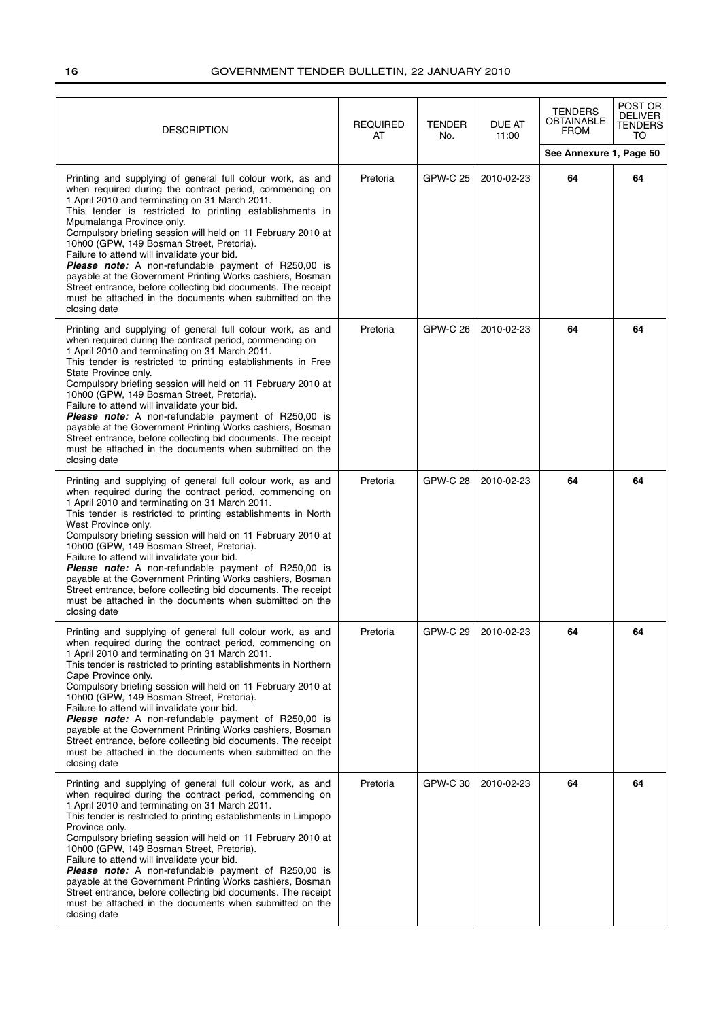| <b>DESCRIPTION</b>                                                                                                                                                                                                                                                                                                                                                                                                                                                                                                                                                                                                                                                                                 | <b>REQUIRED</b><br>AT | <b>TENDER</b><br>No. | <b>DUE AT</b><br>11:00 | <b>TENDERS</b><br>OBTAINABLE<br><b>FROM</b> | POST OR<br>DELIVER<br><b>TENDERS</b><br>TO |
|----------------------------------------------------------------------------------------------------------------------------------------------------------------------------------------------------------------------------------------------------------------------------------------------------------------------------------------------------------------------------------------------------------------------------------------------------------------------------------------------------------------------------------------------------------------------------------------------------------------------------------------------------------------------------------------------------|-----------------------|----------------------|------------------------|---------------------------------------------|--------------------------------------------|
|                                                                                                                                                                                                                                                                                                                                                                                                                                                                                                                                                                                                                                                                                                    |                       |                      |                        | See Annexure 1, Page 50                     |                                            |
| Printing and supplying of general full colour work, as and<br>when required during the contract period, commencing on<br>1 April 2010 and terminating on 31 March 2011.<br>This tender is restricted to printing establishments in<br>Mpumalanga Province only.<br>Compulsory briefing session will held on 11 February 2010 at<br>10h00 (GPW, 149 Bosman Street, Pretoria).<br>Failure to attend will invalidate your bid.<br>Please note: A non-refundable payment of R250,00 is<br>payable at the Government Printing Works cashiers, Bosman<br>Street entrance, before collecting bid documents. The receipt<br>must be attached in the documents when submitted on the<br>closing date        | Pretoria              | GPW-C 25             | 2010-02-23             | 64                                          | 64                                         |
| Printing and supplying of general full colour work, as and<br>when required during the contract period, commencing on<br>1 April 2010 and terminating on 31 March 2011.<br>This tender is restricted to printing establishments in Free<br>State Province only.<br>Compulsory briefing session will held on 11 February 2010 at<br>10h00 (GPW, 149 Bosman Street, Pretoria).<br>Failure to attend will invalidate your bid.<br><b>Please note:</b> A non-refundable payment of R250,00 is<br>payable at the Government Printing Works cashiers, Bosman<br>Street entrance, before collecting bid documents. The receipt<br>must be attached in the documents when submitted on the<br>closing date | Pretoria              | <b>GPW-C 26</b>      | 2010-02-23             | 64                                          | 64                                         |
| Printing and supplying of general full colour work, as and<br>when required during the contract period, commencing on<br>1 April 2010 and terminating on 31 March 2011.<br>This tender is restricted to printing establishments in North<br>West Province only.<br>Compulsory briefing session will held on 11 February 2010 at<br>10h00 (GPW, 149 Bosman Street, Pretoria).<br>Failure to attend will invalidate your bid.<br>Please note: A non-refundable payment of R250,00 is<br>payable at the Government Printing Works cashiers, Bosman<br>Street entrance, before collecting bid documents. The receipt<br>must be attached in the documents when submitted on the<br>closing date        | Pretoria              | <b>GPW-C 28</b>      | 2010-02-23             | 64                                          | 64                                         |
| Printing and supplying of general full colour work, as and<br>when required during the contract period, commencing on<br>1 April 2010 and terminating on 31 March 2011.<br>This tender is restricted to printing establishments in Northern<br>Cape Province only.<br>Compulsory briefing session will held on 11 February 2010 at<br>10h00 (GPW, 149 Bosman Street, Pretoria).<br>Failure to attend will invalidate your bid.<br>Please note: A non-refundable payment of R250,00 is<br>payable at the Government Printing Works cashiers, Bosman<br>Street entrance, before collecting bid documents. The receipt<br>must be attached in the documents when submitted on the<br>closing date     | Pretoria              | GPW-C 29             | 2010-02-23             | 64                                          | 64                                         |
| Printing and supplying of general full colour work, as and<br>when required during the contract period, commencing on<br>1 April 2010 and terminating on 31 March 2011.<br>This tender is restricted to printing establishments in Limpopo<br>Province only.<br>Compulsory briefing session will held on 11 February 2010 at<br>10h00 (GPW, 149 Bosman Street, Pretoria).<br>Failure to attend will invalidate your bid.<br>Please note: A non-refundable payment of R250,00 is<br>payable at the Government Printing Works cashiers, Bosman<br>Street entrance, before collecting bid documents. The receipt<br>must be attached in the documents when submitted on the<br>closing date           | Pretoria              | GPW-C 30             | 2010-02-23             | 64                                          | 64                                         |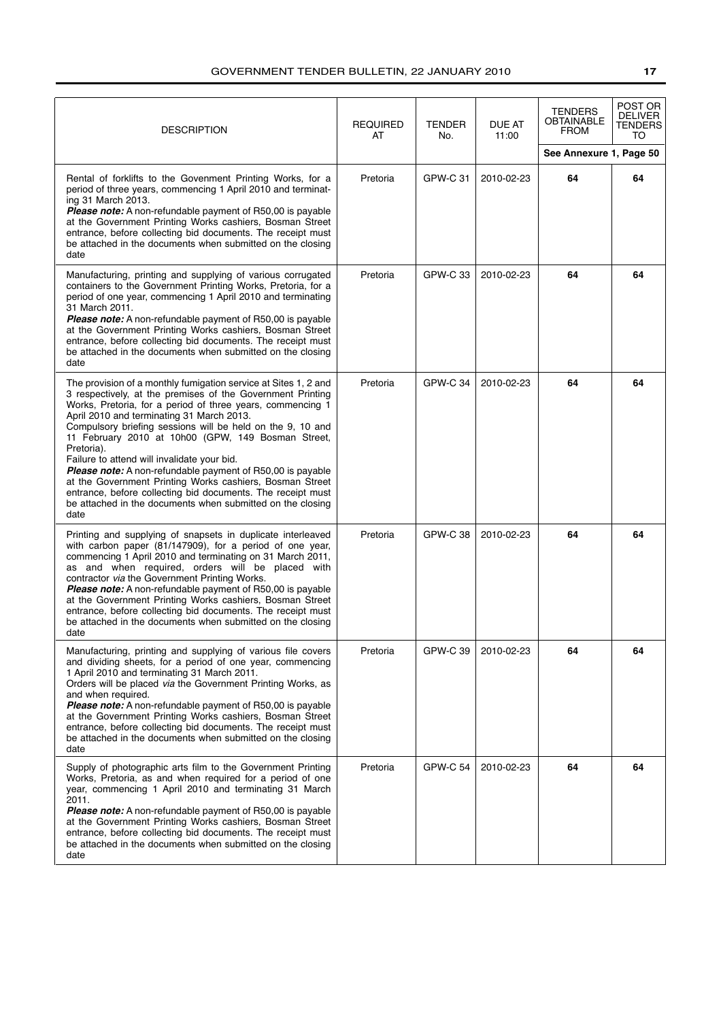| <b>DESCRIPTION</b>                                                                                                                                                                                                                                                                                                                                                                                                                                                                                                                                                                                                                                                                              | <b>REQUIRED</b><br>AT | <b>TENDER</b><br>No. | <b>DUE AT</b><br>11:00 | <b>TENDERS</b><br><b>OBTAINABLE</b><br><b>FROM</b><br>See Annexure 1, Page 50 | POST OR<br><b>DELIVER</b><br>TENDERS<br>TO |
|-------------------------------------------------------------------------------------------------------------------------------------------------------------------------------------------------------------------------------------------------------------------------------------------------------------------------------------------------------------------------------------------------------------------------------------------------------------------------------------------------------------------------------------------------------------------------------------------------------------------------------------------------------------------------------------------------|-----------------------|----------------------|------------------------|-------------------------------------------------------------------------------|--------------------------------------------|
| Rental of forklifts to the Govenment Printing Works, for a<br>period of three years, commencing 1 April 2010 and terminat-<br>ing 31 March 2013.<br>Please note: A non-refundable payment of R50,00 is payable<br>at the Government Printing Works cashiers, Bosman Street<br>entrance, before collecting bid documents. The receipt must<br>be attached in the documents when submitted on the closing<br>date                                                                                                                                                                                                                                                                                 | Pretoria              | <b>GPW-C 31</b>      | 2010-02-23             | 64                                                                            | 64                                         |
| Manufacturing, printing and supplying of various corrugated<br>containers to the Government Printing Works, Pretoria, for a<br>period of one year, commencing 1 April 2010 and terminating<br>31 March 2011.<br><b>Please note:</b> A non-refundable payment of R50,00 is payable<br>at the Government Printing Works cashiers, Bosman Street<br>entrance, before collecting bid documents. The receipt must<br>be attached in the documents when submitted on the closing<br>date                                                                                                                                                                                                              | Pretoria              | GPW-C 33             | 2010-02-23             | 64                                                                            | 64                                         |
| The provision of a monthly fumigation service at Sites 1, 2 and<br>3 respectively, at the premises of the Government Printing<br>Works, Pretoria, for a period of three years, commencing 1<br>April 2010 and terminating 31 March 2013.<br>Compulsory briefing sessions will be held on the 9, 10 and<br>11 February 2010 at 10h00 (GPW, 149 Bosman Street,<br>Pretoria).<br>Failure to attend will invalidate your bid.<br><b>Please note:</b> A non-refundable payment of R50,00 is payable<br>at the Government Printing Works cashiers, Bosman Street<br>entrance, before collecting bid documents. The receipt must<br>be attached in the documents when submitted on the closing<br>date | Pretoria              | GPW-C 34             | 2010-02-23             | 64                                                                            | 64                                         |
| Printing and supplying of snapsets in duplicate interleaved<br>with carbon paper (81/147909), for a period of one year,<br>commencing 1 April 2010 and terminating on 31 March 2011,<br>as and when required, orders will be placed with<br>contractor via the Government Printing Works.<br>Please note: A non-refundable payment of R50,00 is payable<br>at the Government Printing Works cashiers, Bosman Street<br>entrance, before collecting bid documents. The receipt must<br>be attached in the documents when submitted on the closing<br>date                                                                                                                                        | Pretoria              | <b>GPW-C38</b>       | 2010-02-23             | 64                                                                            | 64                                         |
| Manufacturing, printing and supplying of various file covers<br>and dividing sheets, for a period of one year, commencing<br>1 April 2010 and terminating 31 March 2011.<br>Orders will be placed via the Government Printing Works, as<br>and when required.<br>Please note: A non-refundable payment of R50,00 is payable<br>at the Government Printing Works cashiers, Bosman Street<br>entrance, before collecting bid documents. The receipt must<br>be attached in the documents when submitted on the closing<br>date                                                                                                                                                                    | Pretoria              | <b>GPW-C 39</b>      | 2010-02-23             | 64                                                                            | 64                                         |
| Supply of photographic arts film to the Government Printing<br>Works, Pretoria, as and when required for a period of one<br>year, commencing 1 April 2010 and terminating 31 March<br>2011.<br><b>Please note:</b> A non-refundable payment of R50,00 is payable<br>at the Government Printing Works cashiers, Bosman Street<br>entrance, before collecting bid documents. The receipt must<br>be attached in the documents when submitted on the closing<br>date                                                                                                                                                                                                                               | Pretoria              | GPW-C 54             | 2010-02-23             | 64                                                                            | 64                                         |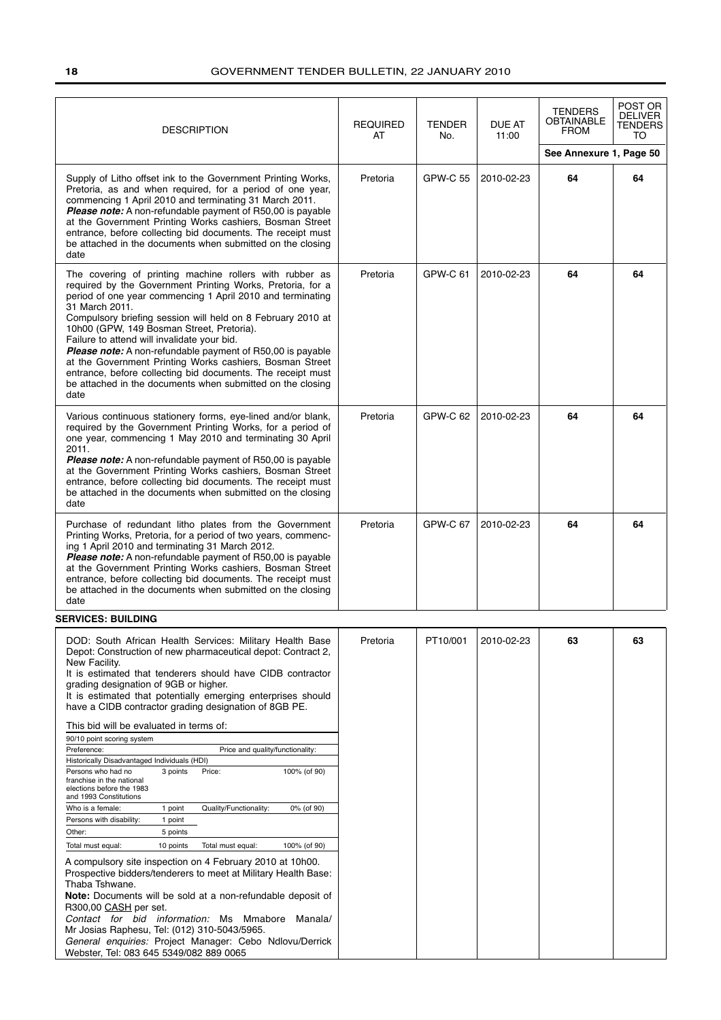| <b>DESCRIPTION</b>                                                                                                                                                                                                                                                                                                                                                                                                                                                                                                                                                                                                              | <b>REQUIRED</b><br>AT | <b>TENDER</b><br>No. | <b>DUE AT</b><br>11:00 | <b>TENDERS</b><br><b>OBTAINABLE</b><br><b>FROM</b> | POST OR<br><b>DELIVER</b><br>TENDERS<br>TO |
|---------------------------------------------------------------------------------------------------------------------------------------------------------------------------------------------------------------------------------------------------------------------------------------------------------------------------------------------------------------------------------------------------------------------------------------------------------------------------------------------------------------------------------------------------------------------------------------------------------------------------------|-----------------------|----------------------|------------------------|----------------------------------------------------|--------------------------------------------|
|                                                                                                                                                                                                                                                                                                                                                                                                                                                                                                                                                                                                                                 |                       |                      |                        | See Annexure 1, Page 50                            |                                            |
| Supply of Litho offset ink to the Government Printing Works,<br>Pretoria, as and when required, for a period of one year,<br>commencing 1 April 2010 and terminating 31 March 2011.<br>Please note: A non-refundable payment of R50,00 is payable<br>at the Government Printing Works cashiers, Bosman Street<br>entrance, before collecting bid documents. The receipt must<br>be attached in the documents when submitted on the closing<br>date                                                                                                                                                                              | Pretoria              | GPW-C 55             | 2010-02-23             | 64                                                 | 64                                         |
| The covering of printing machine rollers with rubber as<br>required by the Government Printing Works, Pretoria, for a<br>period of one year commencing 1 April 2010 and terminating<br>31 March 2011.<br>Compulsory briefing session will held on 8 February 2010 at<br>10h00 (GPW, 149 Bosman Street, Pretoria).<br>Failure to attend will invalidate your bid.<br>Please note: A non-refundable payment of R50,00 is payable<br>at the Government Printing Works cashiers, Bosman Street<br>entrance, before collecting bid documents. The receipt must<br>be attached in the documents when submitted on the closing<br>date | Pretoria              | GPW-C 61             | 2010-02-23             | 64                                                 | 64                                         |
| Various continuous stationery forms, eye-lined and/or blank,<br>required by the Government Printing Works, for a period of<br>one year, commencing 1 May 2010 and terminating 30 April<br>2011.<br><b>Please note:</b> A non-refundable payment of R50,00 is payable<br>at the Government Printing Works cashiers, Bosman Street<br>entrance, before collecting bid documents. The receipt must<br>be attached in the documents when submitted on the closing<br>date                                                                                                                                                           | Pretoria              | GPW-C 62             | 2010-02-23             | 64                                                 | 64                                         |
| Purchase of redundant litho plates from the Government<br>Printing Works, Pretoria, for a period of two years, commenc-<br>ing 1 April 2010 and terminating 31 March 2012.<br>Please note: A non-refundable payment of R50,00 is payable<br>at the Government Printing Works cashiers, Bosman Street<br>entrance, before collecting bid documents. The receipt must<br>be attached in the documents when submitted on the closing<br>date                                                                                                                                                                                       | Pretoria              | GPW-C 67             | 2010-02-23             | 64                                                 | 64                                         |
| <b>SERVICES: BUILDING</b>                                                                                                                                                                                                                                                                                                                                                                                                                                                                                                                                                                                                       |                       |                      |                        |                                                    |                                            |
| DOD: South African Health Services: Military Health Base<br>Depot: Construction of new pharmaceutical depot: Contract 2,<br>New Facility.<br>It is estimated that tenderers should have CIDB contractor<br>grading designation of 9GB or higher.<br>It is estimated that potentially emerging enterprises should<br>have a CIDB contractor grading designation of 8GB PE.<br>This bid will be evaluated in terms of:<br>90/10 point scoring system                                                                                                                                                                              | Pretoria              | PT10/001             | 2010-02-23             | 63                                                 | 63                                         |
| Preference:<br>Price and quality/functionality:                                                                                                                                                                                                                                                                                                                                                                                                                                                                                                                                                                                 |                       |                      |                        |                                                    |                                            |
| Historically Disadvantaged Individuals (HDI)<br>Price:<br>Persons who had no<br>3 points<br>100% (of 90)<br>franchise in the national<br>elections before the 1983<br>and 1993 Constitutions<br>Quality/Functionality:<br>Who is a female:<br>1 point<br>0% (of 90)                                                                                                                                                                                                                                                                                                                                                             |                       |                      |                        |                                                    |                                            |
| Persons with disability:<br>1 point                                                                                                                                                                                                                                                                                                                                                                                                                                                                                                                                                                                             |                       |                      |                        |                                                    |                                            |
| 5 points<br>Other:                                                                                                                                                                                                                                                                                                                                                                                                                                                                                                                                                                                                              |                       |                      |                        |                                                    |                                            |
| Total must equal:<br>10 points<br>Total must equal:<br>100% (of 90)<br>A compulsory site inspection on 4 February 2010 at 10h00.<br>Prospective bidders/tenderers to meet at Military Health Base:<br>Thaba Tshwane.<br>Note: Documents will be sold at a non-refundable deposit of<br>R300,00 CASH per set.<br>Contact for bid information: Ms Mmabore Manala/<br>Mr Josias Raphesu, Tel: (012) 310-5043/5965.<br>General enquiries: Project Manager: Cebo Ndlovu/Derrick                                                                                                                                                      |                       |                      |                        |                                                    |                                            |
| Webster, Tel: 083 645 5349/082 889 0065                                                                                                                                                                                                                                                                                                                                                                                                                                                                                                                                                                                         |                       |                      |                        |                                                    |                                            |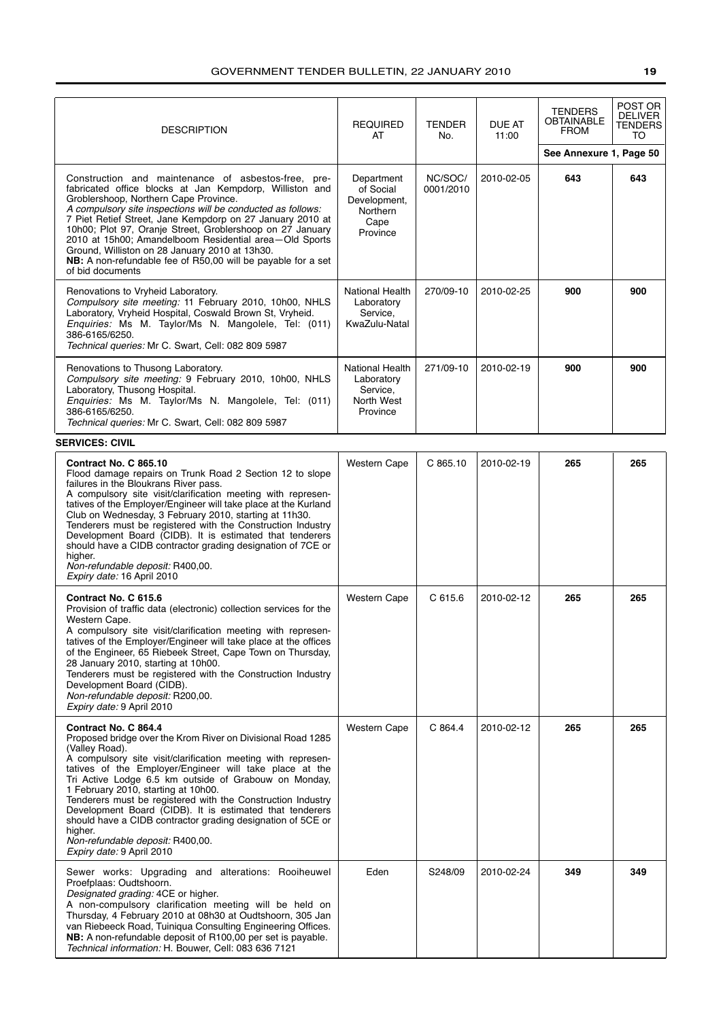| <b>DESCRIPTION</b>                                                                                                                                                                                                                                                                                                                                                                                                                                                                                                                                                                                     | <b>REQUIRED</b><br>AT                                                          | <b>TENDER</b><br>No. | DUE AT<br>11:00 | <b>TENDERS</b><br><b>OBTAINABLE</b><br><b>FROM</b> | POST OR<br><b>DELIVER</b><br>TENDERS<br>TO |
|--------------------------------------------------------------------------------------------------------------------------------------------------------------------------------------------------------------------------------------------------------------------------------------------------------------------------------------------------------------------------------------------------------------------------------------------------------------------------------------------------------------------------------------------------------------------------------------------------------|--------------------------------------------------------------------------------|----------------------|-----------------|----------------------------------------------------|--------------------------------------------|
|                                                                                                                                                                                                                                                                                                                                                                                                                                                                                                                                                                                                        |                                                                                |                      |                 | See Annexure 1, Page 50                            |                                            |
| Construction and maintenance of asbestos-free, pre-<br>fabricated office blocks at Jan Kempdorp, Williston and<br>Groblershoop, Northern Cape Province.<br>A compulsory site inspections will be conducted as follows:<br>7 Piet Retief Street, Jane Kempdorp on 27 January 2010 at<br>10h00; Plot 97, Oranje Street, Groblershoop on 27 January<br>2010 at 15h00; Amandelboom Residential area-Old Sports<br>Ground, Williston on 28 January 2010 at 13h30.<br>NB: A non-refundable fee of R50,00 will be payable for a set<br>of bid documents                                                       | Department<br>of Social<br>Development,<br><b>Northern</b><br>Cape<br>Province | NC/SOC/<br>0001/2010 | 2010-02-05      | 643                                                | 643                                        |
| Renovations to Vryheid Laboratory.<br>Compulsory site meeting: 11 February 2010, 10h00, NHLS<br>Laboratory, Vryheid Hospital, Coswald Brown St, Vryheid.<br>Enquiries: Ms M. Taylor/Ms N. Mangolele, Tel: (011)<br>386-6165/6250.<br>Technical queries: Mr C. Swart, Cell: 082 809 5987                                                                                                                                                                                                                                                                                                                | National Health<br>Laboratory<br>Service,<br>KwaZulu-Natal                     | 270/09-10            | 2010-02-25      | 900                                                | 900                                        |
| Renovations to Thusong Laboratory.<br>Compulsory site meeting: 9 February 2010, 10h00, NHLS<br>Laboratory, Thusong Hospital.<br>Enquiries: Ms M. Taylor/Ms N. Mangolele, Tel: (011)<br>386-6165/6250.<br>Technical queries: Mr C. Swart, Cell: 082 809 5987                                                                                                                                                                                                                                                                                                                                            | National Health<br>Laboratory<br>Service,<br>North West<br>Province            | 271/09-10            | 2010-02-19      | 900                                                | 900                                        |
| <b>SERVICES: CIVIL</b>                                                                                                                                                                                                                                                                                                                                                                                                                                                                                                                                                                                 |                                                                                |                      |                 |                                                    |                                            |
| Contract No. C 865.10<br>Flood damage repairs on Trunk Road 2 Section 12 to slope<br>failures in the Bloukrans River pass.<br>A compulsory site visit/clarification meeting with represen-<br>tatives of the Employer/Engineer will take place at the Kurland<br>Club on Wednesday, 3 February 2010, starting at 11h30.<br>Tenderers must be registered with the Construction Industry<br>Development Board (CIDB). It is estimated that tenderers<br>should have a CIDB contractor grading designation of 7CE or<br>higher.<br>Non-refundable deposit: R400,00.<br>Expiry date: 16 April 2010         | <b>Western Cape</b>                                                            | C 865.10             | 2010-02-19      | 265                                                | 265                                        |
| Contract No. C 615.6<br>Provision of traffic data (electronic) collection services for the<br>Western Cape.<br>A compulsory site visit/clarification meeting with represen-<br>tatives of the Employer/Engineer will take place at the offices<br>of the Engineer, 65 Riebeek Street, Cape Town on Thursday,<br>28 January 2010, starting at 10h00.<br>Tenderers must be registered with the Construction Industry<br>Development Board (CIDB).<br>Non-refundable deposit: R200,00.<br>Expiry date: 9 April 2010                                                                                       | <b>Western Cape</b>                                                            | C615.6               | 2010-02-12      | 265                                                | 265                                        |
| Contract No. C 864.4<br>Proposed bridge over the Krom River on Divisional Road 1285<br>(Valley Road).<br>A compulsory site visit/clarification meeting with represen-<br>tatives of the Employer/Engineer will take place at the<br>Tri Active Lodge 6.5 km outside of Grabouw on Monday,<br>1 February 2010, starting at 10h00.<br>Tenderers must be registered with the Construction Industry<br>Development Board (CIDB). It is estimated that tenderers<br>should have a CIDB contractor grading designation of 5CE or<br>higher.<br>Non-refundable deposit: R400,00.<br>Expiry date: 9 April 2010 | <b>Western Cape</b>                                                            | C 864.4              | 2010-02-12      | 265                                                | 265                                        |
| Sewer works: Upgrading and alterations: Rooiheuwel<br>Proefplaas: Oudtshoorn.<br>Designated grading: 4CE or higher.<br>A non-compulsory clarification meeting will be held on<br>Thursday, 4 February 2010 at 08h30 at Oudtshoorn, 305 Jan<br>van Riebeeck Road, Tuiniqua Consulting Engineering Offices.<br>NB: A non-refundable deposit of R100,00 per set is payable.<br>Technical information: H. Bouwer, Cell: 083 636 7121                                                                                                                                                                       | Eden                                                                           | S248/09              | 2010-02-24      | 349                                                | 349                                        |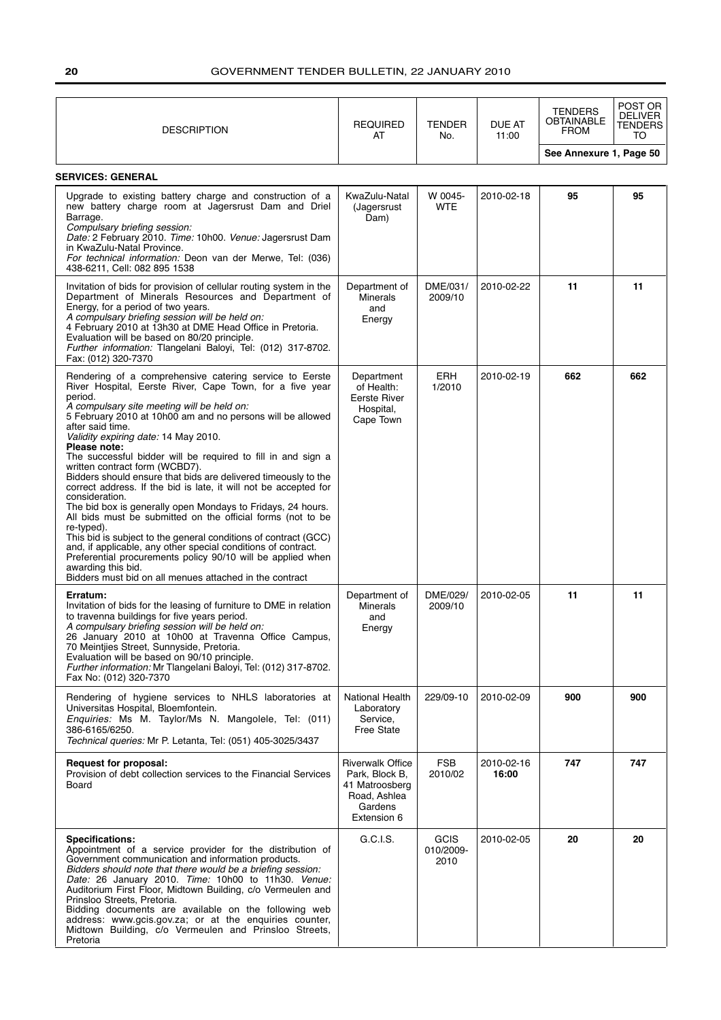| <b>DESCRIPTION</b>                                                                                                                                                                                                                                                                                                                                                                                                                                                                                                                                                                                                                                                                                                                                                                                                                                                                                                                                                                                               | <b>REQUIRED</b><br>AT                                                                                 | <b>TENDER</b><br>No.      | <b>DUE AT</b><br>11:00 | <b>TENDERS</b><br><b>OBTAINABLE</b><br><b>FROM</b> | POST OR<br><b>DELIVER</b><br>TENDERS<br>TO |
|------------------------------------------------------------------------------------------------------------------------------------------------------------------------------------------------------------------------------------------------------------------------------------------------------------------------------------------------------------------------------------------------------------------------------------------------------------------------------------------------------------------------------------------------------------------------------------------------------------------------------------------------------------------------------------------------------------------------------------------------------------------------------------------------------------------------------------------------------------------------------------------------------------------------------------------------------------------------------------------------------------------|-------------------------------------------------------------------------------------------------------|---------------------------|------------------------|----------------------------------------------------|--------------------------------------------|
|                                                                                                                                                                                                                                                                                                                                                                                                                                                                                                                                                                                                                                                                                                                                                                                                                                                                                                                                                                                                                  |                                                                                                       |                           |                        | See Annexure 1, Page 50                            |                                            |
| <b>SERVICES: GENERAL</b>                                                                                                                                                                                                                                                                                                                                                                                                                                                                                                                                                                                                                                                                                                                                                                                                                                                                                                                                                                                         |                                                                                                       |                           |                        |                                                    |                                            |
| Upgrade to existing battery charge and construction of a<br>new battery charge room at Jagersrust Dam and Driel<br>Barrage.<br>Compulsary briefing session:<br>Date: 2 February 2010. Time: 10h00. Venue: Jagersrust Dam<br>in KwaZulu-Natal Province.<br>For technical information: Deon van der Merwe, Tel: (036)<br>438-6211, Cell: 082 895 1538                                                                                                                                                                                                                                                                                                                                                                                                                                                                                                                                                                                                                                                              | KwaZulu-Natal<br>(Jagersrust<br>Dam)                                                                  | W 0045-<br><b>WTE</b>     | 2010-02-18             | 95                                                 | 95                                         |
| Invitation of bids for provision of cellular routing system in the<br>Department of Minerals Resources and Department of<br>Energy, for a period of two years.<br>A compulsary briefing session will be held on:<br>4 February 2010 at 13h30 at DME Head Office in Pretoria.<br>Evaluation will be based on 80/20 principle.<br>Further information: Tlangelani Baloyi, Tel: (012) 317-8702.<br>Fax: (012) 320-7370                                                                                                                                                                                                                                                                                                                                                                                                                                                                                                                                                                                              | Department of<br><b>Minerals</b><br>and<br>Energy                                                     | DME/031/<br>2009/10       | 2010-02-22             | 11                                                 | 11                                         |
| Rendering of a comprehensive catering service to Eerste<br>River Hospital, Eerste River, Cape Town, for a five year<br>period.<br>A compulsary site meeting will be held on:<br>5 February 2010 at 10h00 am and no persons will be allowed<br>after said time.<br>Validity expiring date: 14 May 2010.<br>Please note:<br>The successful bidder will be required to fill in and sign a<br>written contract form (WCBD7).<br>Bidders should ensure that bids are delivered timeously to the<br>correct address. If the bid is late, it will not be accepted for<br>consideration.<br>The bid box is generally open Mondays to Fridays, 24 hours.<br>All bids must be submitted on the official forms (not to be<br>re-typed).<br>This bid is subject to the general conditions of contract (GCC)<br>and, if applicable, any other special conditions of contract.<br>Preferential procurements policy 90/10 will be applied when<br>awarding this bid.<br>Bidders must bid on all menues attached in the contract | Department<br>of Health:<br>Eerste River<br>Hospital,<br>Cape Town                                    | ERH<br>1/2010             | 2010-02-19             | 662                                                | 662                                        |
| Erratum:<br>Invitation of bids for the leasing of furniture to DME in relation<br>to travenna buildings for five years period.<br>A compulsary briefing session will be held on:<br>26 January 2010 at 10h00 at Travenna Office Campus,<br>70 Meintijes Street, Sunnyside, Pretoria.<br>Evaluation will be based on 90/10 principle.<br>Further information: Mr Tlangelani Baloyi, Tel: (012) 317-8702.<br>Fax No: (012) 320-7370                                                                                                                                                                                                                                                                                                                                                                                                                                                                                                                                                                                | Department of<br><b>Minerals</b><br>and<br>Energy                                                     | DME/029/<br>2009/10       | 2010-02-05             | 11                                                 | 11                                         |
| Rendering of hygiene services to NHLS laboratories at<br>Universitas Hospital, Bloemfontein.<br>Enquiries: Ms M. Taylor/Ms N. Mangolele, Tel: (011)<br>386-6165/6250.<br><i>Technical queries:</i> Mr P. Letanta, Tel: (051) 405-3025/3437                                                                                                                                                                                                                                                                                                                                                                                                                                                                                                                                                                                                                                                                                                                                                                       | National Health<br>Laboratory<br>Service,<br><b>Free State</b>                                        | 229/09-10                 | 2010-02-09             | 900                                                | 900                                        |
| <b>Request for proposal:</b><br>Provision of debt collection services to the Financial Services<br>Board                                                                                                                                                                                                                                                                                                                                                                                                                                                                                                                                                                                                                                                                                                                                                                                                                                                                                                         | <b>Riverwalk Office</b><br>Park, Block B,<br>41 Matroosberg<br>Road, Ashlea<br>Gardens<br>Extension 6 | FSB<br>2010/02            | 2010-02-16<br>16:00    | 747                                                | 747                                        |
| <b>Specifications:</b><br>Appointment of a service provider for the distribution of<br>Government communication and information products.<br>Bidders should note that there would be a briefing session:<br>Date: 26 January 2010. Time: 10h00 to 11h30. Venue:<br>Auditorium First Floor, Midtown Building, c/o Vermeulen and<br>Prinsloo Streets, Pretoria.<br>Bidding documents are available on the following web<br>address: www.gcis.gov.za; or at the enquiries counter,<br>Midtown Building, c/o Vermeulen and Prinsloo Streets,<br>Pretoria                                                                                                                                                                                                                                                                                                                                                                                                                                                             | G.C.I.S.                                                                                              | GCIS<br>010/2009-<br>2010 | 2010-02-05             | 20                                                 | 20                                         |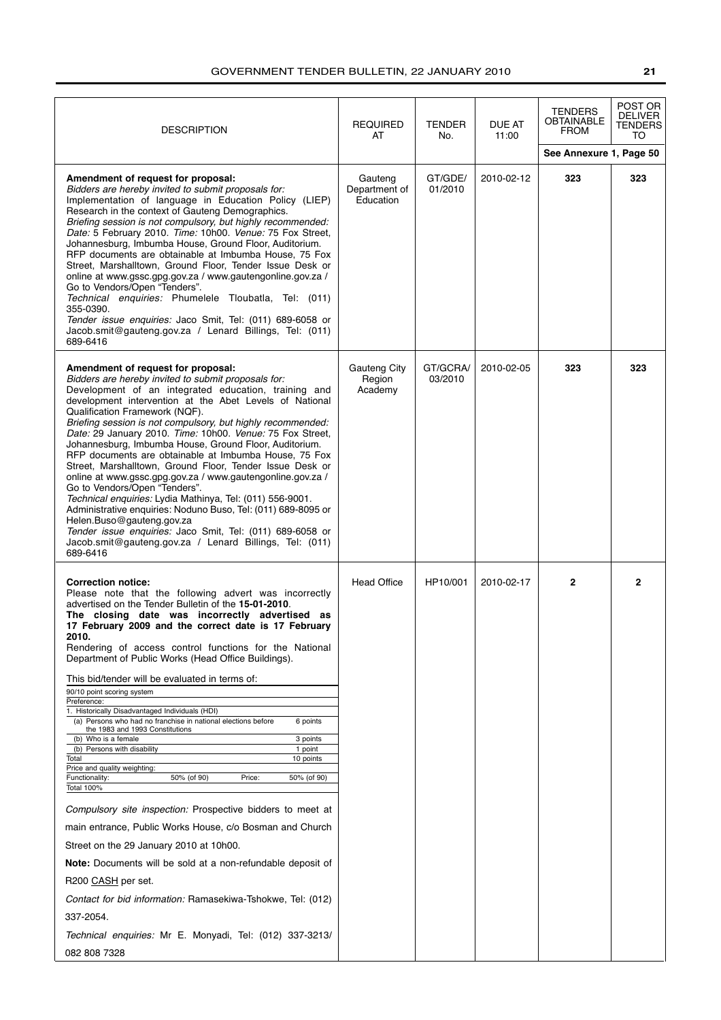| <b>DESCRIPTION</b>                                                                                                                                                                                                                                                                                                                                                                                                                                                                                                                                                                                                                                                                                                                                                                                                                                                                                                                                                                                                                                                                                                                                                                                                                                                                   | <b>REQUIRED</b><br>AT                 | <b>TENDER</b><br>No. | DUE AT<br>11:00 | <b>TENDERS</b><br><b>OBTAINABLE</b><br><b>FROM</b> | POST OR<br><b>DELIVER</b><br>TENDERS<br>TO |
|--------------------------------------------------------------------------------------------------------------------------------------------------------------------------------------------------------------------------------------------------------------------------------------------------------------------------------------------------------------------------------------------------------------------------------------------------------------------------------------------------------------------------------------------------------------------------------------------------------------------------------------------------------------------------------------------------------------------------------------------------------------------------------------------------------------------------------------------------------------------------------------------------------------------------------------------------------------------------------------------------------------------------------------------------------------------------------------------------------------------------------------------------------------------------------------------------------------------------------------------------------------------------------------|---------------------------------------|----------------------|-----------------|----------------------------------------------------|--------------------------------------------|
|                                                                                                                                                                                                                                                                                                                                                                                                                                                                                                                                                                                                                                                                                                                                                                                                                                                                                                                                                                                                                                                                                                                                                                                                                                                                                      |                                       |                      |                 | See Annexure 1, Page 50                            |                                            |
| Amendment of request for proposal:<br>Bidders are hereby invited to submit proposals for:<br>Implementation of language in Education Policy (LIEP)<br>Research in the context of Gauteng Demographics.<br>Briefing session is not compulsory, but highly recommended:<br>Date: 5 February 2010. Time: 10h00. Venue: 75 Fox Street,<br>Johannesburg, Imbumba House, Ground Floor, Auditorium.<br>RFP documents are obtainable at Imbumba House, 75 Fox<br>Street, Marshalltown, Ground Floor, Tender Issue Desk or<br>online at www.gssc.gpg.gov.za / www.gautengonline.gov.za /<br>Go to Vendors/Open "Tenders".<br>Technical enquiries: Phumelele Tloubatla, Tel: (011)<br>355-0390.<br>Tender issue enquiries: Jaco Smit, Tel: (011) 689-6058 or<br>Jacob.smit@gauteng.gov.za / Lenard Billings, Tel: (011)<br>689-6416                                                                                                                                                                                                                                                                                                                                                                                                                                                            | Gauteng<br>Department of<br>Education | GT/GDE/<br>01/2010   | 2010-02-12      | 323                                                | 323                                        |
| Amendment of request for proposal:<br>Bidders are hereby invited to submit proposals for:<br>Development of an integrated education, training and<br>development intervention at the Abet Levels of National<br>Qualification Framework (NQF).<br>Briefing session is not compulsory, but highly recommended:<br>Date: 29 January 2010. Time: 10h00. Venue: 75 Fox Street,<br>Johannesburg, Imbumba House, Ground Floor, Auditorium.<br>RFP documents are obtainable at Imbumba House, 75 Fox<br>Street, Marshalltown, Ground Floor, Tender Issue Desk or<br>online at www.gssc.gpg.gov.za / www.gautengonline.gov.za /<br>Go to Vendors/Open "Tenders".<br>Technical enquiries: Lydia Mathinya, Tel: (011) 556-9001.<br>Administrative enquiries: Noduno Buso, Tel: (011) 689-8095 or<br>Helen.Buso@gauteng.gov.za<br>Tender issue enquiries: Jaco Smit, Tel: (011) 689-6058 or<br>Jacob.smit@gauteng.gov.za / Lenard Billings, Tel: (011)<br>689-6416                                                                                                                                                                                                                                                                                                                              | Gauteng City<br>Region<br>Academy     | GT/GCRA/<br>03/2010  | 2010-02-05      | 323                                                | 323                                        |
| <b>Correction notice:</b><br>Please note that the following advert was incorrectly<br>advertised on the Tender Bulletin of the 15-01-2010.<br>The closing date was incorrectly advertised as<br>17 February 2009 and the correct date is 17 February<br>2010.<br>Rendering of access control functions for the National<br>Department of Public Works (Head Office Buildings).<br>This bid/tender will be evaluated in terms of:<br>90/10 point scoring system<br>Preference:<br>1. Historically Disadvantaged Individuals (HDI)<br>(a) Persons who had no franchise in national elections before<br>6 points<br>the 1983 and 1993 Constitutions<br>(b) Who is a female<br>3 points<br>(b) Persons with disability<br>1 point<br>Total<br>10 points<br>Price and quality weighting:<br>50% (of 90)<br>Functionality:<br>Price:<br>50% (of 90)<br><b>Total 100%</b><br>Compulsory site inspection: Prospective bidders to meet at<br>main entrance, Public Works House, c/o Bosman and Church<br>Street on the 29 January 2010 at 10h00.<br>Note: Documents will be sold at a non-refundable deposit of<br>R200 CASH per set.<br>Contact for bid information: Ramasekiwa-Tshokwe, Tel: (012)<br>337-2054.<br>Technical enquiries: Mr E. Monyadi, Tel: (012) 337-3213/<br>082 808 7328 | <b>Head Office</b>                    | HP10/001             | 2010-02-17      | $\mathbf{2}$                                       | $\mathbf{2}$                               |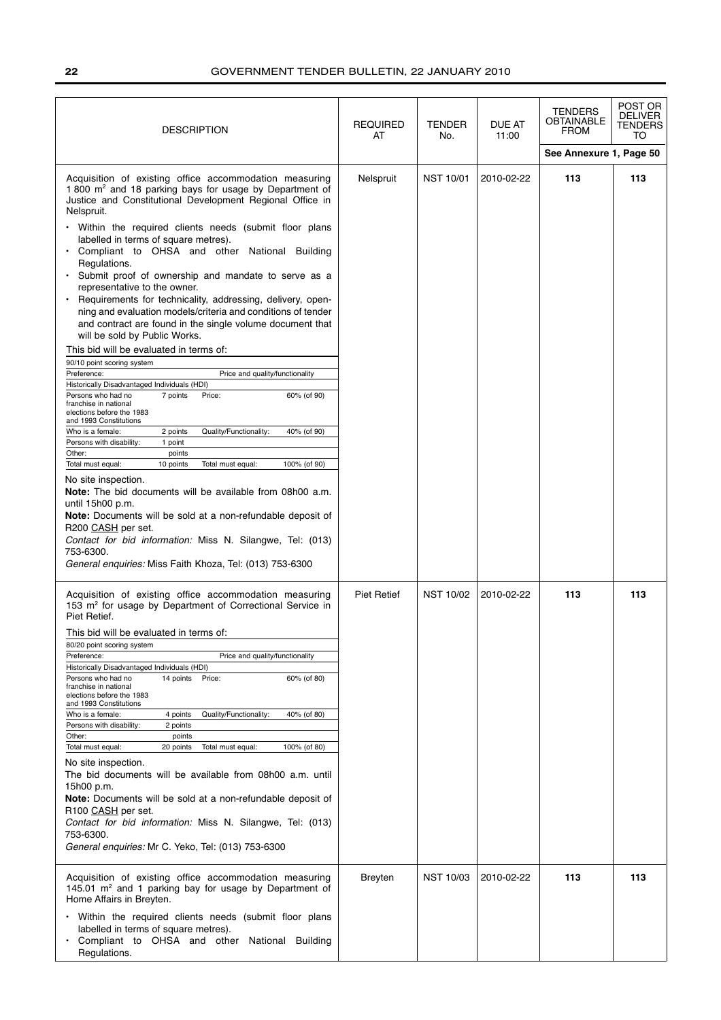| <b>DESCRIPTION</b><br>AT                                                                                                                                                                                                                                                                                                                                                                                                                                                                                                                                                                                                                                                                                                                                                                                                                                                                                                                                                                                                                                                                                                                                                                                                                                                                                                                                                                                                                                                                                                                                                     | <b>REQUIRED</b>    | <b>TENDER</b><br>No. | DUE AT<br>11:00 | <b>TENDERS</b><br><b>OBTAINABLE</b><br><b>FROM</b> | POST OR<br><b>DELIVER</b><br><b>TENDERS</b><br>TO |
|------------------------------------------------------------------------------------------------------------------------------------------------------------------------------------------------------------------------------------------------------------------------------------------------------------------------------------------------------------------------------------------------------------------------------------------------------------------------------------------------------------------------------------------------------------------------------------------------------------------------------------------------------------------------------------------------------------------------------------------------------------------------------------------------------------------------------------------------------------------------------------------------------------------------------------------------------------------------------------------------------------------------------------------------------------------------------------------------------------------------------------------------------------------------------------------------------------------------------------------------------------------------------------------------------------------------------------------------------------------------------------------------------------------------------------------------------------------------------------------------------------------------------------------------------------------------------|--------------------|----------------------|-----------------|----------------------------------------------------|---------------------------------------------------|
|                                                                                                                                                                                                                                                                                                                                                                                                                                                                                                                                                                                                                                                                                                                                                                                                                                                                                                                                                                                                                                                                                                                                                                                                                                                                                                                                                                                                                                                                                                                                                                              |                    |                      |                 | See Annexure 1, Page 50                            |                                                   |
| Acquisition of existing office accommodation measuring<br>1 800 m <sup>2</sup> and 18 parking bays for usage by Department of<br>Justice and Constitutional Development Regional Office in<br>Nelspruit.<br>• Within the required clients needs (submit floor plans<br>labelled in terms of square metres).<br>Compliant to OHSA and other National Building<br>Regulations.<br>· Submit proof of ownership and mandate to serve as a<br>representative to the owner.<br>Requirements for technicality, addressing, delivery, open-<br>ning and evaluation models/criteria and conditions of tender<br>and contract are found in the single volume document that<br>will be sold by Public Works.<br>This bid will be evaluated in terms of:<br>90/10 point scoring system<br>Preference:<br>Price and quality/functionality<br>Historically Disadvantaged Individuals (HDI)<br>7 points<br>Persons who had no<br>Price:<br>60% (of 90)<br>franchise in national<br>elections before the 1983<br>and 1993 Constitutions<br>Quality/Functionality:<br>Who is a female:<br>2 points<br>40% (of 90)<br>Persons with disability:<br>1 point<br>Other:<br>points<br>Total must equal:<br>10 points<br>Total must equal:<br>100% (of 90)<br>No site inspection.<br><b>Note:</b> The bid documents will be available from 08h00 a.m.<br>until 15h00 p.m.<br>Note: Documents will be sold at a non-refundable deposit of<br>R200 CASH per set.<br>Contact for bid information: Miss N. Silangwe, Tel: (013)<br>753-6300.<br>General enquiries: Miss Faith Khoza, Tel: (013) 753-6300 | Nelspruit          | <b>NST 10/01</b>     | 2010-02-22      | 113                                                | 113                                               |
| Acquisition of existing office accommodation measuring<br>153 m <sup>2</sup> for usage by Department of Correctional Service in<br>Piet Retief.<br>This bid will be evaluated in terms of:<br>80/20 point scoring system<br>Preference:<br>Price and quality/functionality<br>Historically Disadvantaged Individuals (HDI)<br>14 points<br>60% (of 80)<br>Persons who had no<br>Price:<br>franchise in national<br>elections before the 1983<br>and 1993 Constitutions<br>Quality/Functionality:<br>40% (of 80)<br>Who is a female:<br>4 points<br>Persons with disability:<br>2 points<br>Other:<br>points<br>Total must equal:<br>20 points<br>Total must equal:<br>100% (of 80)<br>No site inspection.<br>The bid documents will be available from 08h00 a.m. until<br>15h00 p.m.<br>Note: Documents will be sold at a non-refundable deposit of<br>R100 CASH per set.<br>Contact for bid information: Miss N. Silangwe, Tel: (013)<br>753-6300.<br>General enquiries: Mr C. Yeko, Tel: (013) 753-6300                                                                                                                                                                                                                                                                                                                                                                                                                                                                                                                                                                    | <b>Piet Retief</b> | <b>NST 10/02</b>     | 2010-02-22      | 113                                                | 113                                               |
| Acquisition of existing office accommodation measuring<br>145.01 m <sup>2</sup> and 1 parking bay for usage by Department of<br>Home Affairs in Breyten.<br>• Within the required clients needs (submit floor plans<br>labelled in terms of square metres).<br>Compliant to OHSA and other National Building<br>Regulations.                                                                                                                                                                                                                                                                                                                                                                                                                                                                                                                                                                                                                                                                                                                                                                                                                                                                                                                                                                                                                                                                                                                                                                                                                                                 | <b>Breyten</b>     | <b>NST 10/03</b>     | 2010-02-22      | 113                                                | 113                                               |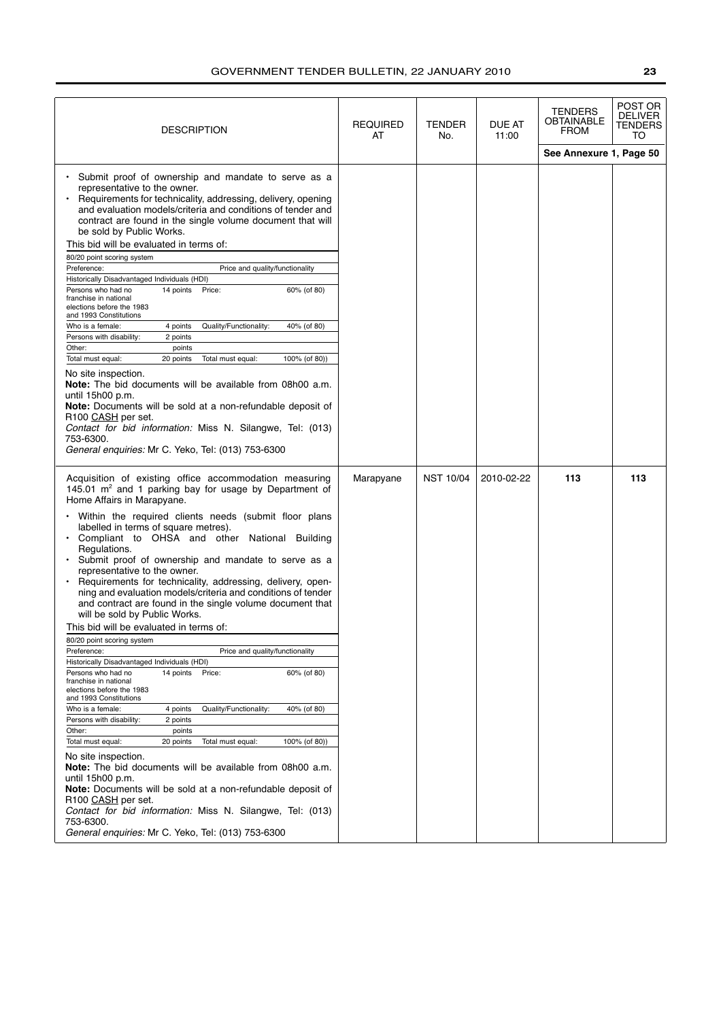| <b>DESCRIPTION</b>                                                                                                                                                                                                                                                                                                                                                                                                                                                                                                                                                                                                                                                                                                                                                                                                                                                                                                                                                                                                                                                                                                                                                                                                                                                                                                                                                                                                                                                                                                      | <b>REQUIRED</b><br>AT | <b>TENDER</b><br>No. | DUE AT<br>11:00 | TENDERS<br>OBTAINABLE<br><b>FROM</b> | POST OR<br><b>DELIVER</b><br>TENDERS<br>TO |
|-------------------------------------------------------------------------------------------------------------------------------------------------------------------------------------------------------------------------------------------------------------------------------------------------------------------------------------------------------------------------------------------------------------------------------------------------------------------------------------------------------------------------------------------------------------------------------------------------------------------------------------------------------------------------------------------------------------------------------------------------------------------------------------------------------------------------------------------------------------------------------------------------------------------------------------------------------------------------------------------------------------------------------------------------------------------------------------------------------------------------------------------------------------------------------------------------------------------------------------------------------------------------------------------------------------------------------------------------------------------------------------------------------------------------------------------------------------------------------------------------------------------------|-----------------------|----------------------|-----------------|--------------------------------------|--------------------------------------------|
|                                                                                                                                                                                                                                                                                                                                                                                                                                                                                                                                                                                                                                                                                                                                                                                                                                                                                                                                                                                                                                                                                                                                                                                                                                                                                                                                                                                                                                                                                                                         |                       |                      |                 | See Annexure 1, Page 50              |                                            |
| Submit proof of ownership and mandate to serve as a<br>representative to the owner.<br>Requirements for technicality, addressing, delivery, opening<br>and evaluation models/criteria and conditions of tender and<br>contract are found in the single volume document that will<br>be sold by Public Works.<br>This bid will be evaluated in terms of:<br>80/20 point scoring system<br>Price and quality/functionality<br>Preference:<br>Historically Disadvantaged Individuals (HDI)<br>14 points Price:<br>60% (of 80)<br>Persons who had no<br>franchise in national<br>elections before the 1983<br>and 1993 Constitutions<br>Who is a female:<br>4 points<br>Quality/Functionality:<br>40% (of 80)<br>Persons with disability:<br>2 points<br>Other:<br>points<br>Total must equal:<br>20 points<br>Total must equal:<br>100% (of 80))<br>No site inspection.<br>Note: The bid documents will be available from 08h00 a.m.<br>until 15h00 p.m.<br>Note: Documents will be sold at a non-refundable deposit of<br>R <sub>100</sub> CASH per set.<br>Contact for bid information: Miss N. Silangwe, Tel: (013)<br>753-6300.<br>General enquiries: Mr C. Yeko, Tel: (013) 753-6300                                                                                                                                                                                                                                                                                                                                  |                       |                      |                 |                                      |                                            |
| Acquisition of existing office accommodation measuring<br>145.01 $m2$ and 1 parking bay for usage by Department of<br>Home Affairs in Marapyane.<br>• Within the required clients needs (submit floor plans<br>labelled in terms of square metres).<br>Compliant to OHSA and other National Building<br>$\bullet$<br>Regulations.<br>· Submit proof of ownership and mandate to serve as a<br>representative to the owner.<br>Requirements for technicality, addressing, delivery, open-<br>ning and evaluation models/criteria and conditions of tender<br>and contract are found in the single volume document that<br>will be sold by Public Works.<br>This bid will be evaluated in terms of:<br>80/20 point scoring system<br>Preference:<br>Price and quality/functionality<br>Historically Disadvantaged Individuals (HDI)<br>14 points<br>Persons who had no<br>Price:<br>60% (of 80)<br>franchise in national<br>elections before the 1983<br>and 1993 Constitutions<br>Who is a female:<br>40% (of 80)<br>4 points<br>Quality/Functionality:<br>Persons with disability:<br>2 points<br>Other:<br>points<br>Total must equal:<br>20 points<br>Total must equal:<br>100% (of 80))<br>No site inspection.<br>Note: The bid documents will be available from 08h00 a.m.<br>until 15h00 p.m.<br>Note: Documents will be sold at a non-refundable deposit of<br>R100 CASH per set.<br>Contact for bid information: Miss N. Silangwe, Tel: (013)<br>753-6300.<br>General enquiries: Mr C. Yeko, Tel: (013) 753-6300 | Marapyane             | <b>NST 10/04</b>     | 2010-02-22      | 113                                  | 113                                        |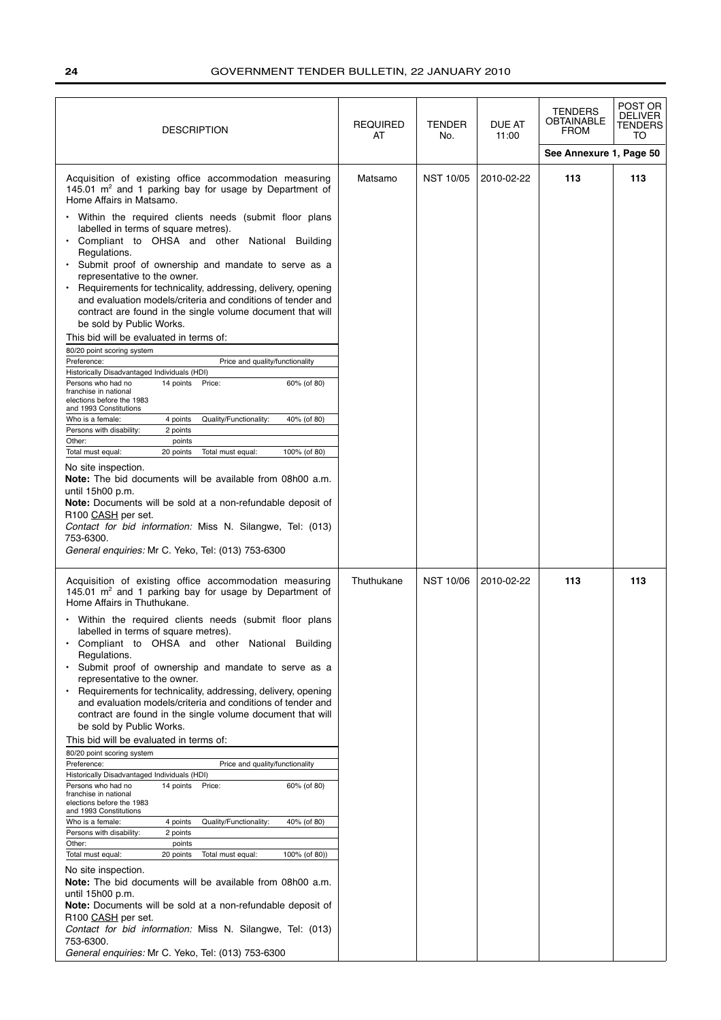| DESCRIPTION                                                                                                                                                                                                                                                                                                                                                                                                                                                                                                                                                                                                                                                                                                                                                                                                                                                                                                                                                                                                                                                                                                                                                                                                                                                                                                                                                                                                                                                                                                        | <b>REQUIRED</b><br>AT | <b>TENDER</b><br>No. | DUE AT<br>11:00 | TENDERS<br><b>OBTAINABLE</b><br><b>FROM</b> | POST OR<br><b>DELIVER</b><br><b>TENDERS</b><br>TO |
|--------------------------------------------------------------------------------------------------------------------------------------------------------------------------------------------------------------------------------------------------------------------------------------------------------------------------------------------------------------------------------------------------------------------------------------------------------------------------------------------------------------------------------------------------------------------------------------------------------------------------------------------------------------------------------------------------------------------------------------------------------------------------------------------------------------------------------------------------------------------------------------------------------------------------------------------------------------------------------------------------------------------------------------------------------------------------------------------------------------------------------------------------------------------------------------------------------------------------------------------------------------------------------------------------------------------------------------------------------------------------------------------------------------------------------------------------------------------------------------------------------------------|-----------------------|----------------------|-----------------|---------------------------------------------|---------------------------------------------------|
|                                                                                                                                                                                                                                                                                                                                                                                                                                                                                                                                                                                                                                                                                                                                                                                                                                                                                                                                                                                                                                                                                                                                                                                                                                                                                                                                                                                                                                                                                                                    |                       |                      |                 | See Annexure 1, Page 50                     |                                                   |
| Acquisition of existing office accommodation measuring<br>145.01 $m^2$ and 1 parking bay for usage by Department of<br>Home Affairs in Matsamo.<br>Within the required clients needs (submit floor plans<br>labelled in terms of square metres).<br>• Compliant to OHSA and other National Building<br>Regulations.<br>Submit proof of ownership and mandate to serve as a<br>$\bullet$<br>representative to the owner.<br>Requirements for technicality, addressing, delivery, opening<br>and evaluation models/criteria and conditions of tender and<br>contract are found in the single volume document that will<br>be sold by Public Works.<br>This bid will be evaluated in terms of:<br>80/20 point scoring system<br>Preference:<br>Price and quality/functionality<br>Historically Disadvantaged Individuals (HDI)<br>Persons who had no<br>14 points Price:<br>60% (of 80)<br>franchise in national<br>elections before the 1983<br>and 1993 Constitutions<br>Who is a female:<br>4 points<br>Quality/Functionality:<br>40% (of 80)<br>2 points<br>Persons with disability:<br>Other:<br>points<br>Total must equal:<br>20 points<br>Total must equal:<br>100% (of 80)<br>No site inspection.<br><b>Note:</b> The bid documents will be available from 08h00 a.m.<br>until 15h00 p.m.<br>Note: Documents will be sold at a non-refundable deposit of<br>R100 CASH per set.                                                                                                                               | Matsamo               | <b>NST 10/05</b>     | 2010-02-22      | 113                                         | 113                                               |
| Contact for bid information: Miss N. Silangwe, Tel: (013)<br>753-6300.                                                                                                                                                                                                                                                                                                                                                                                                                                                                                                                                                                                                                                                                                                                                                                                                                                                                                                                                                                                                                                                                                                                                                                                                                                                                                                                                                                                                                                             |                       |                      |                 |                                             |                                                   |
| General enquiries: Mr C. Yeko, Tel: (013) 753-6300                                                                                                                                                                                                                                                                                                                                                                                                                                                                                                                                                                                                                                                                                                                                                                                                                                                                                                                                                                                                                                                                                                                                                                                                                                                                                                                                                                                                                                                                 |                       |                      |                 |                                             |                                                   |
| Acquisition of existing office accommodation measuring<br>145.01 m <sup>2</sup> and 1 parking bay for usage by Department of<br>Home Affairs in Thuthukane.<br>Within the required clients needs (submit floor plans<br>labelled in terms of square metres).<br>Compliant to OHSA and other National Building<br>Regulations.<br>Submit proof of ownership and mandate to serve as a<br>representative to the owner.<br>Requirements for technicality, addressing, delivery, opening<br>and evaluation models/criteria and conditions of tender and<br>contract are found in the single volume document that will<br>be sold by Public Works.<br>This bid will be evaluated in terms of:<br>80/20 point scoring system<br>Preference:<br>Price and quality/functionality<br>Historically Disadvantaged Individuals (HDI)<br>Persons who had no<br>14 points Price:<br>60% (of 80)<br>franchise in national<br>elections before the 1983<br>and 1993 Constitutions<br>Quality/Functionality:<br>Who is a female:<br>4 points<br>40% (of 80)<br>Persons with disability:<br>2 points<br>Other:<br>points<br>Total must equal:<br>20 points<br>Total must equal:<br>100% (of 80))<br>No site inspection.<br><b>Note:</b> The bid documents will be available from 08h00 a.m.<br>until 15h00 p.m.<br>Note: Documents will be sold at a non-refundable deposit of<br>R100 CASH per set.<br>Contact for bid information: Miss N. Silangwe, Tel: (013)<br>753-6300.<br>General enquiries: Mr C. Yeko, Tel: (013) 753-6300 | Thuthukane            | <b>NST 10/06</b>     | 2010-02-22      | 113                                         | 113                                               |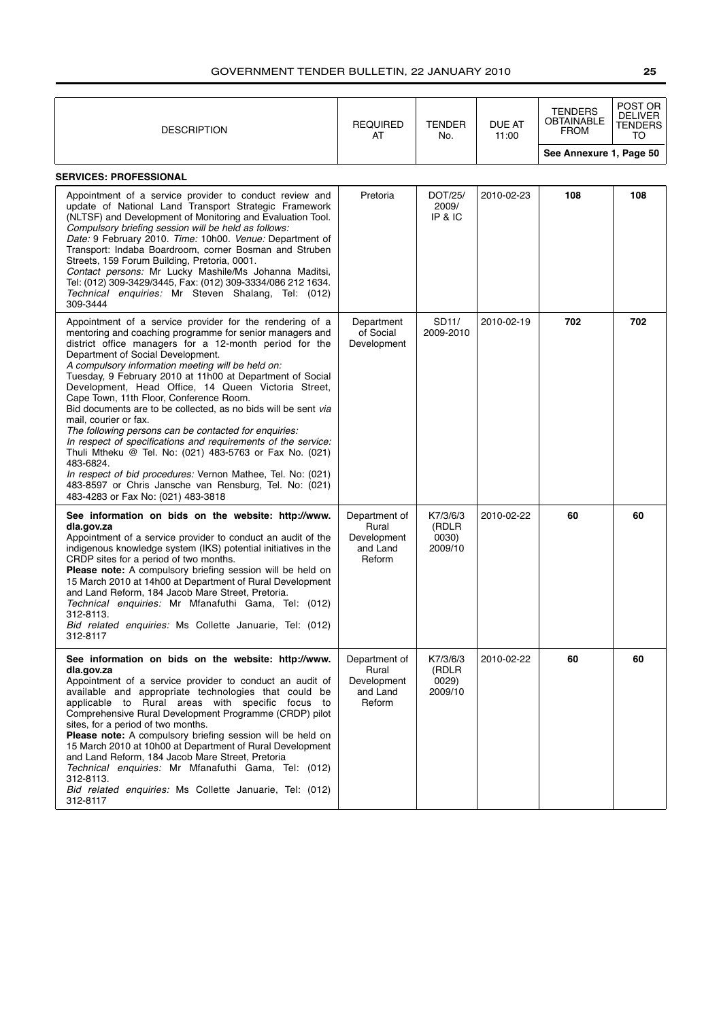| <b>DESCRIPTION</b>                                                                                                                                                                                                                                                                                                                                                                                                                                                                                                                                                                                                                                                                                                                                                                                                                                                                                  | <b>REQUIRED</b><br>AT                                       | <b>TENDER</b><br>No.                  | DUE AT<br>11:00 | <b>TENDERS</b><br><b>OBTAINABLE</b><br><b>FROM</b><br>See Annexure 1, Page 50 | POST OR<br><b>DELIVER</b><br>TENDERS<br>TO |
|-----------------------------------------------------------------------------------------------------------------------------------------------------------------------------------------------------------------------------------------------------------------------------------------------------------------------------------------------------------------------------------------------------------------------------------------------------------------------------------------------------------------------------------------------------------------------------------------------------------------------------------------------------------------------------------------------------------------------------------------------------------------------------------------------------------------------------------------------------------------------------------------------------|-------------------------------------------------------------|---------------------------------------|-----------------|-------------------------------------------------------------------------------|--------------------------------------------|
| <b>SERVICES: PROFESSIONAL</b>                                                                                                                                                                                                                                                                                                                                                                                                                                                                                                                                                                                                                                                                                                                                                                                                                                                                       |                                                             |                                       |                 |                                                                               |                                            |
| Appointment of a service provider to conduct review and<br>update of National Land Transport Strategic Framework<br>(NLTSF) and Development of Monitoring and Evaluation Tool.<br>Compulsory briefing session will be held as follows:<br>Date: 9 February 2010. Time: 10h00. Venue: Department of<br>Transport: Indaba Boardroom, corner Bosman and Struben<br>Streets, 159 Forum Building, Pretoria, 0001.<br>Contact persons: Mr Lucky Mashile/Ms Johanna Maditsi,<br>Tel: (012) 309-3429/3445, Fax: (012) 309-3334/086 212 1634.<br>Technical enquiries: Mr Steven Shalang, Tel: (012)<br>309-3444                                                                                                                                                                                                                                                                                              | Pretoria                                                    | DOT/25/<br>2009/<br>IP & IC           | 2010-02-23      | 108                                                                           | 108                                        |
| Appointment of a service provider for the rendering of a<br>mentoring and coaching programme for senior managers and<br>district office managers for a 12-month period for the<br>Department of Social Development.<br>A compulsory information meeting will be held on:<br>Tuesday, 9 February 2010 at 11h00 at Department of Social<br>Development, Head Office, 14 Queen Victoria Street,<br>Cape Town, 11th Floor, Conference Room.<br>Bid documents are to be collected, as no bids will be sent via<br>mail, courier or fax.<br>The following persons can be contacted for enquiries:<br>In respect of specifications and requirements of the service:<br>Thuli Mtheku @ Tel. No: (021) 483-5763 or Fax No. (021)<br>483-6824.<br>In respect of bid procedures: Vernon Mathee, Tel. No: (021)<br>483-8597 or Chris Jansche van Rensburg, Tel. No: (021)<br>483-4283 or Fax No: (021) 483-3818 | Department<br>of Social<br>Development                      | SD11/<br>2009-2010                    | 2010-02-19      | 702                                                                           | 702                                        |
| See information on bids on the website: http://www.<br>dla.gov.za<br>Appointment of a service provider to conduct an audit of the<br>indigenous knowledge system (IKS) potential initiatives in the<br>CRDP sites for a period of two months.<br>Please note: A compulsory briefing session will be held on<br>15 March 2010 at 14h00 at Department of Rural Development<br>and Land Reform, 184 Jacob Mare Street, Pretoria.<br>Technical enquiries: Mr Mfanafuthi Gama, Tel: (012)<br>312-8113.<br>Bid related enquiries: Ms Collette Januarie, Tel: (012)<br>312-8117                                                                                                                                                                                                                                                                                                                            | Department of<br>Rural<br>Development<br>and Land<br>Reform | K7/3/6/3<br>(RDLR<br>0030)<br>2009/10 | 2010-02-22      | 60                                                                            | 60                                         |
| See information on bids on the website: http://www.<br>dla.gov.za<br>Appointment of a service provider to conduct an audit of<br>available and appropriate technologies that could be<br>applicable to Rural areas with specific focus to<br>Comprehensive Rural Development Programme (CRDP) pilot<br>sites, for a period of two months.<br>Please note: A compulsory briefing session will be held on<br>15 March 2010 at 10h00 at Department of Rural Development<br>and Land Reform, 184 Jacob Mare Street, Pretoria<br>Technical enquiries: Mr Mfanafuthi Gama, Tel: (012)<br>312-8113.<br>Bid related enquiries: Ms Collette Januarie, Tel: (012)<br>312-8117                                                                                                                                                                                                                                 | Department of<br>Rural<br>Development<br>and Land<br>Reform | K7/3/6/3<br>(RDLR<br>0029)<br>2009/10 | 2010-02-22      | 60                                                                            | 60                                         |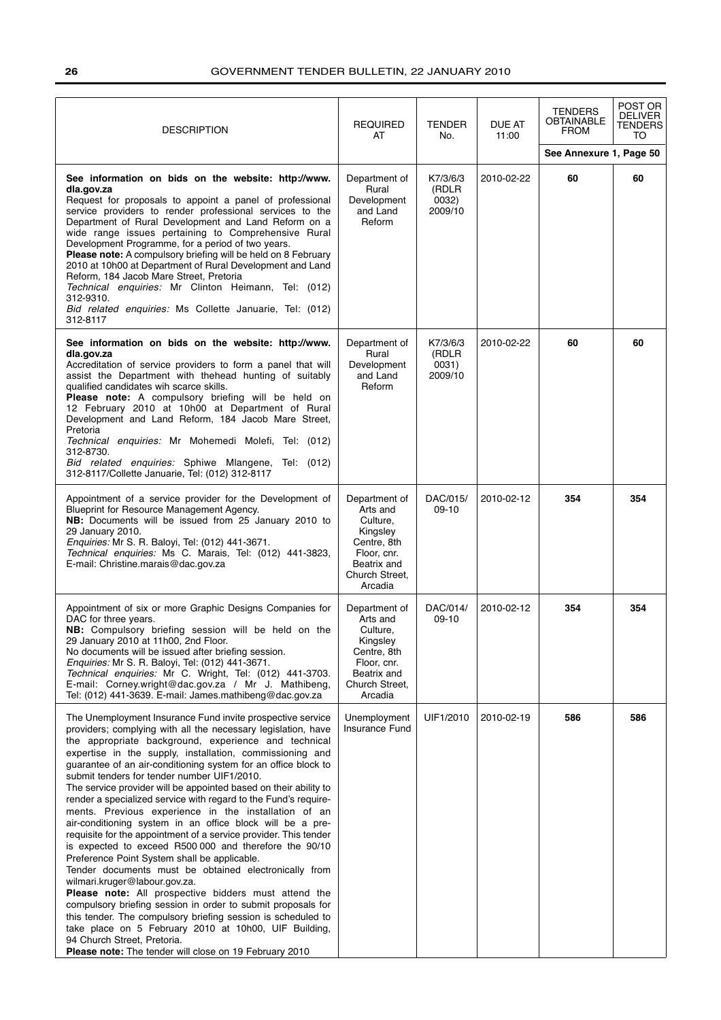| <b>DESCRIPTION</b>                                                                                                                                                                                                                                                                                                                                                                                                                                                                                                                                                                                                                                                                                                                                                                                                                                                                                                                                                                                                                                                                                                                                                                                                                             | <b>REQUIRED</b><br>AT                                                                                                       | <b>TENDER</b><br>No.                  | DUE AT<br>11:00 | <b>TENDERS</b><br><b>OBTAINABLE</b><br><b>FROM</b> | POST OR<br><b>DELIVER</b><br>TENDERS<br>TO |
|------------------------------------------------------------------------------------------------------------------------------------------------------------------------------------------------------------------------------------------------------------------------------------------------------------------------------------------------------------------------------------------------------------------------------------------------------------------------------------------------------------------------------------------------------------------------------------------------------------------------------------------------------------------------------------------------------------------------------------------------------------------------------------------------------------------------------------------------------------------------------------------------------------------------------------------------------------------------------------------------------------------------------------------------------------------------------------------------------------------------------------------------------------------------------------------------------------------------------------------------|-----------------------------------------------------------------------------------------------------------------------------|---------------------------------------|-----------------|----------------------------------------------------|--------------------------------------------|
|                                                                                                                                                                                                                                                                                                                                                                                                                                                                                                                                                                                                                                                                                                                                                                                                                                                                                                                                                                                                                                                                                                                                                                                                                                                |                                                                                                                             |                                       |                 | See Annexure 1, Page 50                            |                                            |
| See information on bids on the website: http://www.<br>dla.gov.za<br>Request for proposals to appoint a panel of professional<br>service providers to render professional services to the<br>Department of Rural Development and Land Reform on a<br>wide range issues pertaining to Comprehensive Rural<br>Development Programme, for a period of two years.<br>Please note: A compulsory briefing will be held on 8 February<br>2010 at 10h00 at Department of Rural Development and Land<br>Reform, 184 Jacob Mare Street, Pretoria<br>Technical enquiries: Mr Clinton Heimann, Tel: (012)<br>312-9310.<br>Bid related enquiries: Ms Collette Januarie, Tel: (012)<br>312-8117                                                                                                                                                                                                                                                                                                                                                                                                                                                                                                                                                              | Department of<br>Rural<br>Development<br>and Land<br>Reform                                                                 | K7/3/6/3<br>(RDLR<br>0032)<br>2009/10 | 2010-02-22      | 60                                                 | 60                                         |
| See information on bids on the website: http://www.<br>dla.gov.za<br>Accreditation of service providers to form a panel that will<br>assist the Department with thehead hunting of suitably<br>qualified candidates wih scarce skills.<br>Please note: A compulsory briefing will be held on<br>12 February 2010 at 10h00 at Department of Rural<br>Development and Land Reform, 184 Jacob Mare Street,<br>Pretoria<br>Technical enquiries: Mr Mohemedi Molefi, Tel: (012)<br>312-8730.<br>Bid related enquiries: Sphiwe Mlangene, Tel: (012)<br>312-8117/Collette Januarie, Tel: (012) 312-8117                                                                                                                                                                                                                                                                                                                                                                                                                                                                                                                                                                                                                                               | Department of<br>Rural<br>Development<br>and Land<br>Reform                                                                 | K7/3/6/3<br>(RDLR<br>0031)<br>2009/10 | 2010-02-22      | 60                                                 | 60                                         |
| Appointment of a service provider for the Development of<br>Blueprint for Resource Management Agency.<br>NB: Documents will be issued from 25 January 2010 to<br>29 January 2010.<br>Enquiries: Mr S. R. Baloyi, Tel: (012) 441-3671.<br>Technical enquiries: Ms C. Marais, Tel: (012) 441-3823,<br>E-mail: Christine.marais@dac.gov.za                                                                                                                                                                                                                                                                                                                                                                                                                                                                                                                                                                                                                                                                                                                                                                                                                                                                                                        | Department of<br>Arts and<br>Culture,<br>Kingsley<br>Centre, 8th<br>Floor, cnr.<br>Beatrix and<br>Church Street.<br>Arcadia | DAC/015/<br>$09-10$                   | 2010-02-12      | 354                                                | 354                                        |
| Appointment of six or more Graphic Designs Companies for<br>DAC for three years.<br>NB: Compulsory briefing session will be held on the<br>29 January 2010 at 11h00, 2nd Floor.<br>No documents will be issued after briefing session.<br>Enquiries: Mr S. R. Baloyi, Tel: (012) 441-3671.<br>Technical enquiries: Mr C. Wright, Tel: (012) 441-3703.<br>E-mail: Corney.wright@dac.gov.za / Mr J. Mathibeng,<br>Tel: (012) 441-3639. E-mail: James.mathibeng@dac.gov.za                                                                                                                                                                                                                                                                                                                                                                                                                                                                                                                                                                                                                                                                                                                                                                        | Department of<br>Arts and<br>Culture,<br>Kingsley<br>Centre, 8th<br>Floor, cnr.<br>Beatrix and<br>Church Street,<br>Arcadia | DAC/014/<br>$09-10$                   | 2010-02-12      | 354                                                | 354                                        |
| The Unemployment Insurance Fund invite prospective service<br>providers; complying with all the necessary legislation, have<br>the appropriate background, experience and technical<br>expertise in the supply, installation, commissioning and<br>guarantee of an air-conditioning system for an office block to<br>submit tenders for tender number UIF1/2010.<br>The service provider will be appointed based on their ability to<br>render a specialized service with regard to the Fund's require-<br>ments. Previous experience in the installation of an<br>air-conditioning system in an office block will be a pre-<br>requisite for the appointment of a service provider. This tender<br>is expected to exceed R500 000 and therefore the 90/10<br>Preference Point System shall be applicable.<br>Tender documents must be obtained electronically from<br>wilmari.kruger@labour.gov.za.<br>Please note: All prospective bidders must attend the<br>compulsory briefing session in order to submit proposals for<br>this tender. The compulsory briefing session is scheduled to<br>take place on 5 February 2010 at 10h00, UIF Building,<br>94 Church Street, Pretoria.<br>Please note: The tender will close on 19 February 2010 | Unemployment<br><b>Insurance Fund</b>                                                                                       | UIF1/2010                             | 2010-02-19      | 586                                                | 586                                        |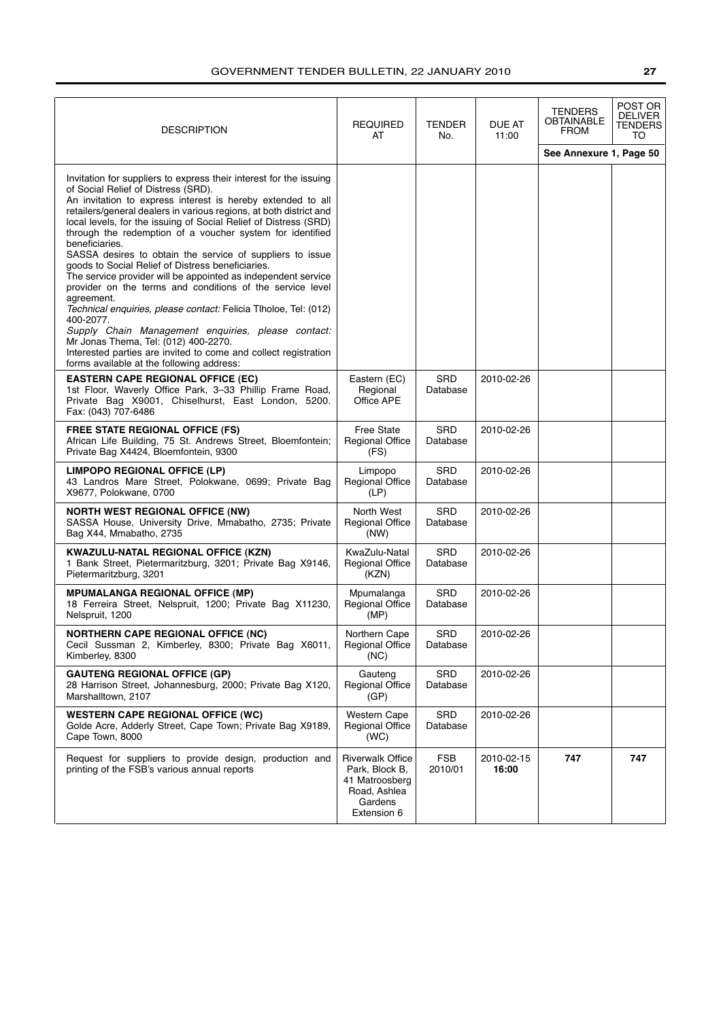| <b>DESCRIPTION</b>                                                                                                                                                                                                                                                                                                                                                                                                                                                                                                                                                                                                                                                                                                                                                                                                                                                                                                                                             | <b>REQUIRED</b><br>AT                                                                                 | <b>TENDER</b><br>No.   | DUE AT<br>11:00     | <b>TENDERS</b><br>OBTAINABLE<br>FROM | POST OR<br><b>DELIVER</b><br>TENDERS<br>TO |
|----------------------------------------------------------------------------------------------------------------------------------------------------------------------------------------------------------------------------------------------------------------------------------------------------------------------------------------------------------------------------------------------------------------------------------------------------------------------------------------------------------------------------------------------------------------------------------------------------------------------------------------------------------------------------------------------------------------------------------------------------------------------------------------------------------------------------------------------------------------------------------------------------------------------------------------------------------------|-------------------------------------------------------------------------------------------------------|------------------------|---------------------|--------------------------------------|--------------------------------------------|
|                                                                                                                                                                                                                                                                                                                                                                                                                                                                                                                                                                                                                                                                                                                                                                                                                                                                                                                                                                |                                                                                                       |                        |                     | See Annexure 1, Page 50              |                                            |
| Invitation for suppliers to express their interest for the issuing<br>of Social Relief of Distress (SRD).<br>An invitation to express interest is hereby extended to all<br>retailers/general dealers in various regions, at both district and<br>local levels, for the issuing of Social Relief of Distress (SRD)<br>through the redemption of a voucher system for identified<br>beneficiaries.<br>SASSA desires to obtain the service of suppliers to issue<br>goods to Social Relief of Distress beneficiaries.<br>The service provider will be appointed as independent service<br>provider on the terms and conditions of the service level<br>agreement.<br>Technical enquiries, please contact: Felicia Tiholoe, Tel: (012)<br>400-2077.<br>Supply Chain Management enquiries, please contact:<br>Mr Jonas Thema, Tel: (012) 400-2270.<br>Interested parties are invited to come and collect registration<br>forms available at the following address: |                                                                                                       |                        |                     |                                      |                                            |
| <b>EASTERN CAPE REGIONAL OFFICE (EC)</b><br>1st Floor, Waverly Office Park, 3-33 Phillip Frame Road,<br>Private Bag X9001, Chiselhurst, East London, 5200.<br>Fax: (043) 707-6486                                                                                                                                                                                                                                                                                                                                                                                                                                                                                                                                                                                                                                                                                                                                                                              | Eastern (EC)<br>Regional<br>Office APE                                                                | SRD<br>Database        | 2010-02-26          |                                      |                                            |
| <b>FREE STATE REGIONAL OFFICE (FS)</b><br>African Life Building, 75 St. Andrews Street, Bloemfontein;<br>Private Bag X4424, Bloemfontein, 9300                                                                                                                                                                                                                                                                                                                                                                                                                                                                                                                                                                                                                                                                                                                                                                                                                 | <b>Free State</b><br><b>Regional Office</b><br>(FS)                                                   | <b>SRD</b><br>Database | 2010-02-26          |                                      |                                            |
| <b>LIMPOPO REGIONAL OFFICE (LP)</b><br>43 Landros Mare Street, Polokwane, 0699; Private Bag<br>X9677, Polokwane, 0700                                                                                                                                                                                                                                                                                                                                                                                                                                                                                                                                                                                                                                                                                                                                                                                                                                          | Limpopo<br><b>Regional Office</b><br>(LP)                                                             | SRD<br>Database        | 2010-02-26          |                                      |                                            |
| <b>NORTH WEST REGIONAL OFFICE (NW)</b><br>SASSA House, University Drive, Mmabatho, 2735; Private<br>Bag X44, Mmabatho, 2735                                                                                                                                                                                                                                                                                                                                                                                                                                                                                                                                                                                                                                                                                                                                                                                                                                    | North West<br><b>Regional Office</b><br>(NW)                                                          | <b>SRD</b><br>Database | 2010-02-26          |                                      |                                            |
| <b>KWAZULU-NATAL REGIONAL OFFICE (KZN)</b><br>1 Bank Street, Pietermaritzburg, 3201; Private Bag X9146,<br>Pietermaritzburg, 3201                                                                                                                                                                                                                                                                                                                                                                                                                                                                                                                                                                                                                                                                                                                                                                                                                              | KwaZulu-Natal<br><b>Regional Office</b><br>(KZN)                                                      | SRD<br>Database        | 2010-02-26          |                                      |                                            |
| <b>MPUMALANGA REGIONAL OFFICE (MP)</b><br>18 Ferreira Street, Nelspruit, 1200; Private Bag X11230,<br>Nelspruit, 1200                                                                                                                                                                                                                                                                                                                                                                                                                                                                                                                                                                                                                                                                                                                                                                                                                                          | Mpumalanga<br><b>Regional Office</b><br>(MP)                                                          | <b>SRD</b><br>Database | 2010-02-26          |                                      |                                            |
| <b>NORTHERN CAPE REGIONAL OFFICE (NC)</b><br>Cecil Sussman 2, Kimberley, 8300; Private Bag X6011,<br>Kimberley, 8300                                                                                                                                                                                                                                                                                                                                                                                                                                                                                                                                                                                                                                                                                                                                                                                                                                           | Northern Cape<br><b>Regional Office</b><br>(NC)                                                       | SRD<br>Database        | 2010-02-26          |                                      |                                            |
| <b>GAUTENG REGIONAL OFFICE (GP)</b><br>28 Harrison Street, Johannesburg, 2000; Private Bag X120,<br>Marshalltown, 2107                                                                                                                                                                                                                                                                                                                                                                                                                                                                                                                                                                                                                                                                                                                                                                                                                                         | Gauteng<br><b>Regional Office</b><br>(GP)                                                             | SRD<br>Database        | 2010-02-26          |                                      |                                            |
| <b>WESTERN CAPE REGIONAL OFFICE (WC)</b><br>Golde Acre, Adderly Street, Cape Town; Private Bag X9189,<br>Cape Town, 8000                                                                                                                                                                                                                                                                                                                                                                                                                                                                                                                                                                                                                                                                                                                                                                                                                                       | <b>Western Cape</b><br><b>Regional Office</b><br>(WC)                                                 | SRD<br>Database        | 2010-02-26          |                                      |                                            |
| Request for suppliers to provide design, production and<br>printing of the FSB's various annual reports                                                                                                                                                                                                                                                                                                                                                                                                                                                                                                                                                                                                                                                                                                                                                                                                                                                        | <b>Riverwalk Office</b><br>Park, Block B,<br>41 Matroosberg<br>Road, Ashlea<br>Gardens<br>Extension 6 | <b>FSB</b><br>2010/01  | 2010-02-15<br>16:00 | 747                                  | 747                                        |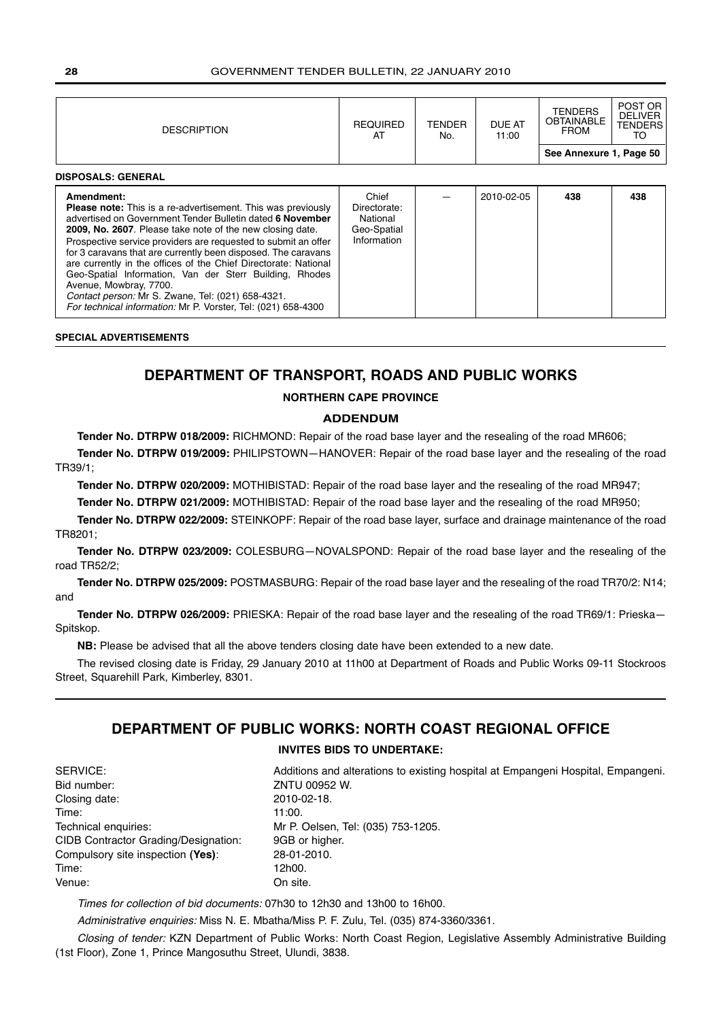| <b>DESCRIPTION</b>                                                                                                                                                                                                                                                                                                                                                                                                                                                                                                                                                                                                           | <b>REQUIRED</b><br>AT                                           | <b>TENDER</b><br>No. | DUE AT<br>11:00 | <b>TENDERS</b><br><b>OBTAINABLE</b><br><b>FROM</b> | POST OR<br><b>DELIVER</b><br><b>TENDERS</b><br>TO |
|------------------------------------------------------------------------------------------------------------------------------------------------------------------------------------------------------------------------------------------------------------------------------------------------------------------------------------------------------------------------------------------------------------------------------------------------------------------------------------------------------------------------------------------------------------------------------------------------------------------------------|-----------------------------------------------------------------|----------------------|-----------------|----------------------------------------------------|---------------------------------------------------|
| <b>DISPOSALS: GENERAL</b>                                                                                                                                                                                                                                                                                                                                                                                                                                                                                                                                                                                                    |                                                                 |                      |                 | See Annexure 1, Page 50                            |                                                   |
| Amendment:<br><b>Please note:</b> This is a re-advertisement. This was previously<br>advertised on Government Tender Bulletin dated 6 November<br>2009, No. 2607. Please take note of the new closing date.<br>Prospective service providers are requested to submit an offer<br>for 3 caravans that are currently been disposed. The caravans<br>are currently in the offices of the Chief Directorate: National<br>Geo-Spatial Information, Van der Sterr Building, Rhodes<br>Avenue, Mowbray, 7700.<br>Contact person: Mr S. Zwane, Tel: (021) 658-4321.<br>For technical information: Mr P. Vorster, Tel: (021) 658-4300 | Chief<br>Directorate:<br>National<br>Geo-Spatial<br>Information |                      | 2010-02-05      | 438                                                | 438                                               |

## **SPECIAL ADVERTISEMENTS**

## **DEPARTMENT OF TRANSPORT, ROADS AND PUBLIC WORKS**

## **NORTHERN CAPE PROVINCE**

## **ADDENDUM**

**Tender No. DTRPW 018/2009:** RICHMOND: Repair of the road base layer and the resealing of the road MR606;

**Tender No. DTRPW 019/2009:** PHILIPSTOWN—HANOVER: Repair of the road base layer and the resealing of the road TR39/1;

**Tender No. DTRPW 020/2009:** MOTHIBISTAD: Repair of the road base layer and the resealing of the road MR947;

**Tender No. DTRPW 021/2009:** MOTHIBISTAD: Repair of the road base layer and the resealing of the road MR950;

**Tender No. DTRPW 022/2009:** STEINKOPF: Repair of the road base layer, surface and drainage maintenance of the road TR8201;

**Tender No. DTRPW 023/2009:** COLESBURG—NOVALSPOND: Repair of the road base layer and the resealing of the road TR52/2;

**Tender No. DTRPW 025/2009:** POSTMASBURG: Repair of the road base layer and the resealing of the road TR70/2: N14; and

**Tender No. DTRPW 026/2009:** PRIESKA: Repair of the road base layer and the resealing of the road TR69/1: Prieska— Spitskop.

**NB:** Please be advised that all the above tenders closing date have been extended to a new date.

The revised closing date is Friday, 29 January 2010 at 11h00 at Department of Roads and Public Works 09-11 Stockroos Street, Squarehill Park, Kimberley, 8301.

## **DEPARTMENT OF PUBLIC WORKS: NORTH COAST REGIONAL OFFICE**

## **INVITES BIDS TO UNDERTAKE:**

| SERVICE:                                    | Additio     |
|---------------------------------------------|-------------|
| Bid number:                                 | <b>ZNTU</b> |
| Closing date:                               | $2010 -$    |
| Time:                                       | 11:00.      |
| Technical enquiries:                        | MrP.        |
| <b>CIDB Contractor Grading/Designation:</b> | 9GB c       |
| Compulsory site inspection (Yes):           | $28 - 01$   |
| Time:                                       | 12h00       |
| Venue:                                      | On sit      |

Additions and alterations to existing hospital at Empangeni Hospital, Empangeni. ZNTU 00952 W. 2010-02-18. Mr P. Oelsen, Tel: (035) 753-1205. 9GB or higher. Compulsory site inspection **(Yes)**: 28-01-2010. 12h00. On site.

Times for collection of bid documents: 07h30 to 12h30 and 13h00 to 16h00.

Administrative enquiries: Miss N. E. Mbatha/Miss P. F. Zulu, Tel. (035) 874-3360/3361.

Closing of tender: KZN Department of Public Works: North Coast Region, Legislative Assembly Administrative Building (1st Floor), Zone 1, Prince Mangosuthu Street, Ulundi, 3838.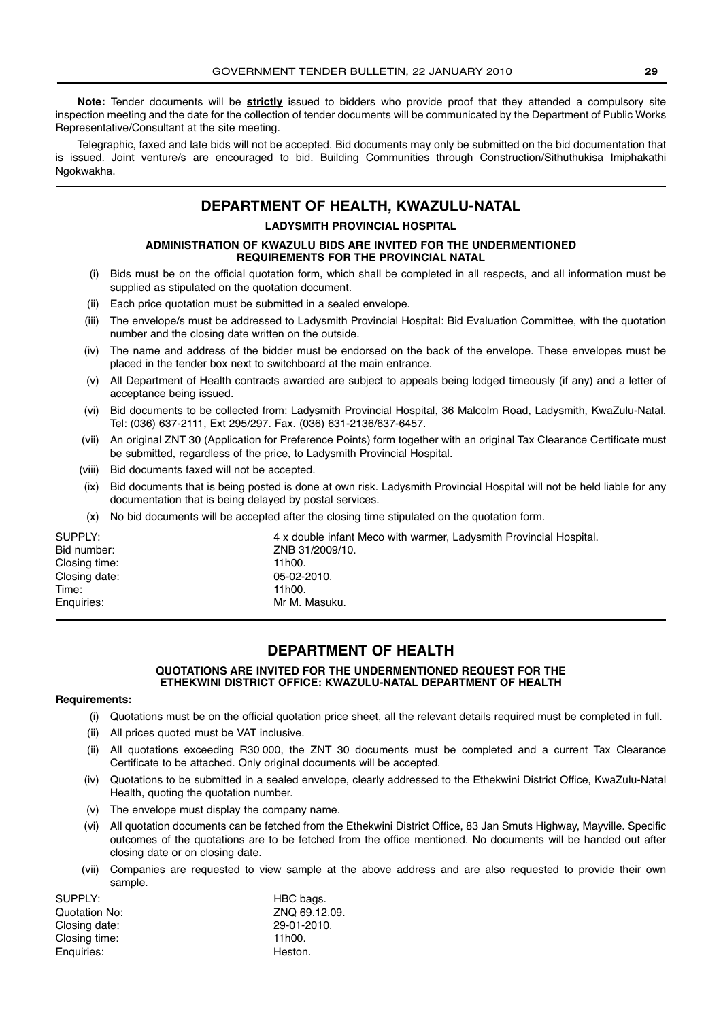**Note:** Tender documents will be **strictly** issued to bidders who provide proof that they attended a compulsory site inspection meeting and the date for the collection of tender documents will be communicated by the Department of Public Works Representative/Consultant at the site meeting.

Telegraphic, faxed and late bids will not be accepted. Bid documents may only be submitted on the bid documentation that is issued. Joint venture/s are encouraged to bid. Building Communities through Construction/Sithuthukisa Imiphakathi Ngokwakha.

## **DEPARTMENT OF HEALTH, KWAZULU-NATAL**

## **LADYSMITH PROVINCIAL HOSPITAL**

## **ADMINISTRATION OF KWAZULU BIDS ARE INVITED FOR THE UNDERMENTIONED REQUIREMENTS FOR THE PROVINCIAL NATAL**

- (i) Bids must be on the official quotation form, which shall be completed in all respects, and all information must be supplied as stipulated on the quotation document.
- (ii) Each price quotation must be submitted in a sealed envelope.
- (iii) The envelope/s must be addressed to Ladysmith Provincial Hospital: Bid Evaluation Committee, with the quotation number and the closing date written on the outside.
- (iv) The name and address of the bidder must be endorsed on the back of the envelope. These envelopes must be placed in the tender box next to switchboard at the main entrance.
- (v) All Department of Health contracts awarded are subject to appeals being lodged timeously (if any) and a letter of acceptance being issued.
- (vi) Bid documents to be collected from: Ladysmith Provincial Hospital, 36 Malcolm Road, Ladysmith, KwaZulu-Natal. Tel: (036) 637-2111, Ext 295/297. Fax. (036) 631-2136/637-6457.
- (vii) An original ZNT 30 (Application for Preference Points) form together with an original Tax Clearance Certificate must be submitted, regardless of the price, to Ladysmith Provincial Hospital.
- (viii) Bid documents faxed will not be accepted.
- (ix) Bid documents that is being posted is done at own risk. Ladysmith Provincial Hospital will not be held liable for any documentation that is being delayed by postal services.
- (x) No bid documents will be accepted after the closing time stipulated on the quotation form.

| SUPPLY:       | 4 x double infant Meco with warmer, Ladysmith Provincial Hospital. |
|---------------|--------------------------------------------------------------------|
| Bid number:   | ZNB 31/2009/10.                                                    |
| Closing time: | 11h00.                                                             |
| Closing date: | 05-02-2010.                                                        |
| Time:         | 11h00.                                                             |
| Enguiries:    | Mr M. Masuku.                                                      |

## **DEPARTMENT OF HEALTH**

## **QUOTATIONS ARE INVITED FOR THE UNDERMENTIONED REQUEST FOR THE ETHEKWINI DISTRICT OFFICE: KWAZULU-NATAL DEPARTMENT OF HEALTH**

## **Requirements:**

- (i) Quotations must be on the official quotation price sheet, all the relevant details required must be completed in full.
- (ii) All prices quoted must be VAT inclusive.
- (ii) All quotations exceeding R30 000, the ZNT 30 documents must be completed and a current Tax Clearance Certificate to be attached. Only original documents will be accepted.
- (iv) Quotations to be submitted in a sealed envelope, clearly addressed to the Ethekwini District Office, KwaZulu-Natal Health, quoting the quotation number.
- (v) The envelope must display the company name.
- (vi) All quotation documents can be fetched from the Ethekwini District Office, 83 Jan Smuts Highway, Mayville. Specific outcomes of the quotations are to be fetched from the office mentioned. No documents will be handed out after closing date or on closing date.
- (vii) Companies are requested to view sample at the above address and are also requested to provide their own sample.

| SUPPLY:       | HBC bags.     |
|---------------|---------------|
| Quotation No: | ZNQ 69.12.09. |
| Closing date: | 29-01-2010.   |
| Closing time: | 11h00.        |
| Enguiries:    | Heston.       |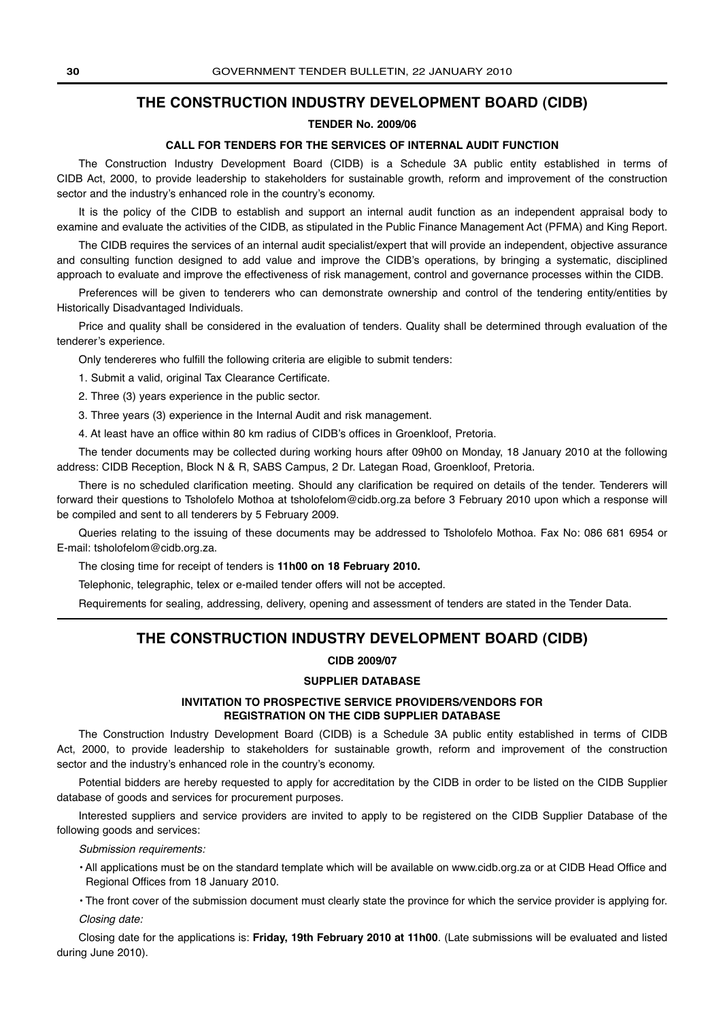## **THE CONSTRUCTION INDUSTRY DEVELOPMENT BOARD (CIDB)**

## **TENDER No. 2009/06**

## **CALL FOR TENDERS FOR THE SERVICES OF INTERNAL AUDIT FUNCTION**

The Construction Industry Development Board (CIDB) is a Schedule 3A public entity established in terms of CIDB Act, 2000, to provide leadership to stakeholders for sustainable growth, reform and improvement of the construction sector and the industry's enhanced role in the country's economy.

It is the policy of the CIDB to establish and support an internal audit function as an independent appraisal body to examine and evaluate the activities of the CIDB, as stipulated in the Public Finance Management Act (PFMA) and King Report.

The CIDB requires the services of an internal audit specialist/expert that will provide an independent, objective assurance and consulting function designed to add value and improve the CIDB's operations, by bringing a systematic, disciplined approach to evaluate and improve the effectiveness of risk management, control and governance processes within the CIDB.

Preferences will be given to tenderers who can demonstrate ownership and control of the tendering entity/entities by Historically Disadvantaged Individuals.

Price and quality shall be considered in the evaluation of tenders. Quality shall be determined through evaluation of the tenderer's experience.

Only tendereres who fulfill the following criteria are eligible to submit tenders:

1. Submit a valid, original Tax Clearance Certificate.

2. Three (3) years experience in the public sector.

3. Three years (3) experience in the Internal Audit and risk management.

4. At least have an office within 80 km radius of CIDB's offices in Groenkloof, Pretoria.

The tender documents may be collected during working hours after 09h00 on Monday, 18 January 2010 at the following address: CIDB Reception, Block N & R, SABS Campus, 2 Dr. Lategan Road, Groenkloof, Pretoria.

There is no scheduled clarification meeting. Should any clarification be required on details of the tender. Tenderers will forward their questions to Tsholofelo Mothoa at tsholofelom@cidb.org.za before 3 February 2010 upon which a response will be compiled and sent to all tenderers by 5 February 2009.

Queries relating to the issuing of these documents may be addressed to Tsholofelo Mothoa. Fax No: 086 681 6954 or E-mail: tsholofelom@cidb.org.za.

The closing time for receipt of tenders is **11h00 on 18 February 2010.**

Telephonic, telegraphic, telex or e-mailed tender offers will not be accepted.

Requirements for sealing, addressing, delivery, opening and assessment of tenders are stated in the Tender Data.

## **THE CONSTRUCTION INDUSTRY DEVELOPMENT BOARD (CIDB)**

## **CIDB 2009/07**

## **SUPPLIER DATABASE**

## **INVITATION TO PROSPECTIVE SERVICE PROVIDERS/VENDORS FOR REGISTRATION ON THE CIDB SUPPLIER DATABASE**

The Construction Industry Development Board (CIDB) is a Schedule 3A public entity established in terms of CIDB Act, 2000, to provide leadership to stakeholders for sustainable growth, reform and improvement of the construction sector and the industry's enhanced role in the country's economy.

Potential bidders are hereby requested to apply for accreditation by the CIDB in order to be listed on the CIDB Supplier database of goods and services for procurement purposes.

Interested suppliers and service providers are invited to apply to be registered on the CIDB Supplier Database of the following goods and services:

Submission requirements:

• All applications must be on the standard template which will be available on www.cidb.org.za or at CIDB Head Office and Regional Offices from 18 January 2010.

• The front cover of the submission document must clearly state the province for which the service provider is applying for. Closing date:

Closing date for the applications is: **Friday, 19th February 2010 at 11h00**. (Late submissions will be evaluated and listed during June 2010).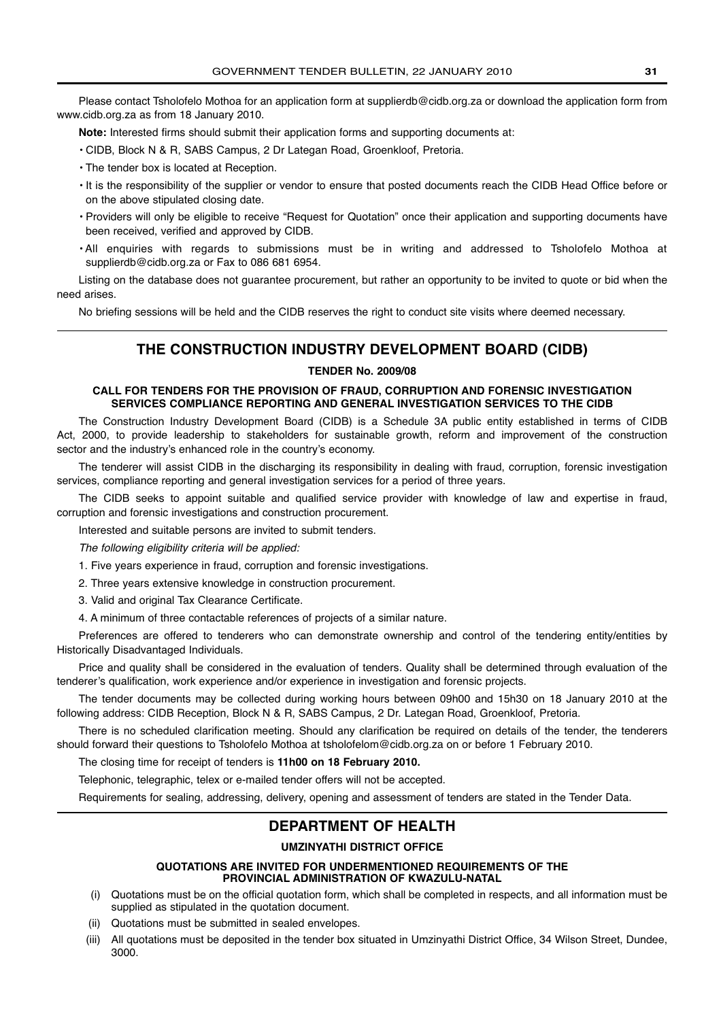Please contact Tsholofelo Mothoa for an application form at supplierdb@cidb.org.za or download the application form from www.cidb.org.za as from 18 January 2010.

**Note:** Interested firms should submit their application forms and supporting documents at:

- CIDB, Block N & R, SABS Campus, 2 Dr Lategan Road, Groenkloof, Pretoria.
- The tender box is located at Reception.
- It is the responsibility of the supplier or vendor to ensure that posted documents reach the CIDB Head Office before or on the above stipulated closing date.
- Providers will only be eligible to receive "Request for Quotation" once their application and supporting documents have been received, verified and approved by CIDB.
- All enquiries with regards to submissions must be in writing and addressed to Tsholofelo Mothoa at supplierdb@cidb.org.za or Fax to 086 681 6954.

Listing on the database does not guarantee procurement, but rather an opportunity to be invited to quote or bid when the need arises.

No briefing sessions will be held and the CIDB reserves the right to conduct site visits where deemed necessary.

## **THE CONSTRUCTION INDUSTRY DEVELOPMENT BOARD (CIDB)**

## **TENDER No. 2009/08**

## **CALL FOR TENDERS FOR THE PROVISION OF FRAUD, CORRUPTION AND FORENSIC INVESTIGATION SERVICES COMPLIANCE REPORTING AND GENERAL INVESTIGATION SERVICES TO THE CIDB**

The Construction Industry Development Board (CIDB) is a Schedule 3A public entity established in terms of CIDB Act, 2000, to provide leadership to stakeholders for sustainable growth, reform and improvement of the construction sector and the industry's enhanced role in the country's economy.

The tenderer will assist CIDB in the discharging its responsibility in dealing with fraud, corruption, forensic investigation services, compliance reporting and general investigation services for a period of three years.

The CIDB seeks to appoint suitable and qualified service provider with knowledge of law and expertise in fraud, corruption and forensic investigations and construction procurement.

Interested and suitable persons are invited to submit tenders.

The following eligibility criteria will be applied:

1. Five years experience in fraud, corruption and forensic investigations.

2. Three years extensive knowledge in construction procurement.

3. Valid and original Tax Clearance Certificate.

4. A minimum of three contactable references of projects of a similar nature.

Preferences are offered to tenderers who can demonstrate ownership and control of the tendering entity/entities by Historically Disadvantaged Individuals.

Price and quality shall be considered in the evaluation of tenders. Quality shall be determined through evaluation of the tenderer's qualification, work experience and/or experience in investigation and forensic projects.

The tender documents may be collected during working hours between 09h00 and 15h30 on 18 January 2010 at the following address: CIDB Reception, Block N & R, SABS Campus, 2 Dr. Lategan Road, Groenkloof, Pretoria.

There is no scheduled clarification meeting. Should any clarification be required on details of the tender, the tenderers should forward their questions to Tsholofelo Mothoa at tsholofelom@cidb.org.za on or before 1 February 2010.

The closing time for receipt of tenders is **11h00 on 18 February 2010.**

Telephonic, telegraphic, telex or e-mailed tender offers will not be accepted.

Requirements for sealing, addressing, delivery, opening and assessment of tenders are stated in the Tender Data.

## **DEPARTMENT OF HEALTH**

## **UMZINYATHI DISTRICT OFFICE**

## **QUOTATIONS ARE INVITED FOR UNDERMENTIONED REQUIREMENTS OF THE PROVINCIAL ADMINISTRATION OF KWAZULU-NATAL**

- (i) Quotations must be on the official quotation form, which shall be completed in respects, and all information must be supplied as stipulated in the quotation document.
- (ii) Quotations must be submitted in sealed envelopes.
- (iii) All quotations must be deposited in the tender box situated in Umzinyathi District Office, 34 Wilson Street, Dundee, 3000.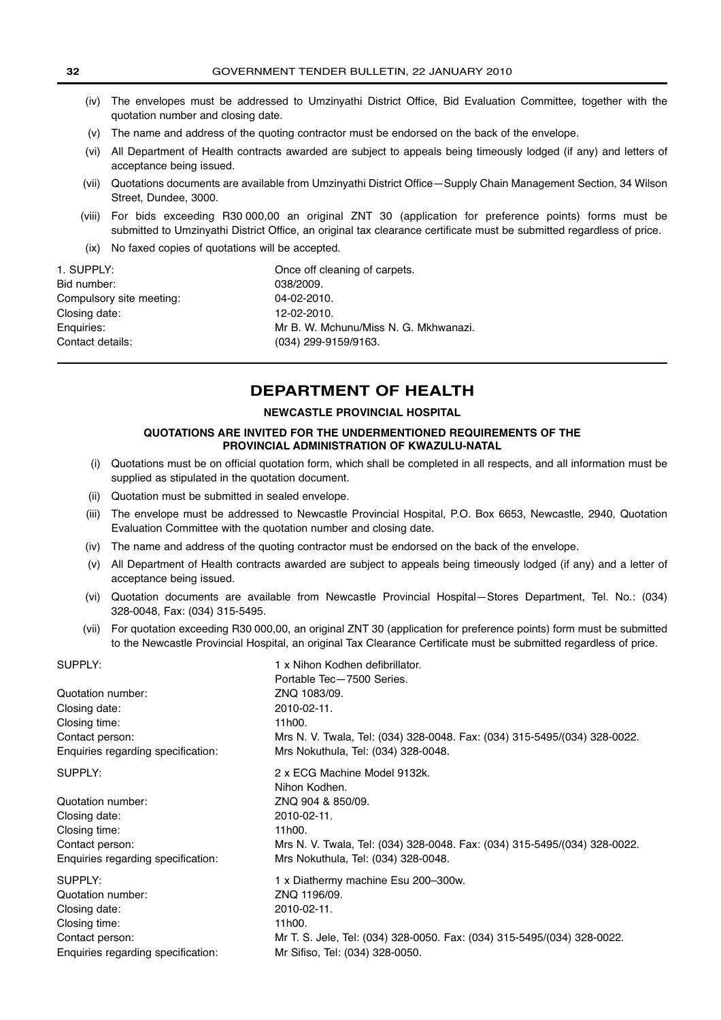- (iv) The envelopes must be addressed to Umzinyathi District Office, Bid Evaluation Committee, together with the quotation number and closing date.
- (v) The name and address of the quoting contractor must be endorsed on the back of the envelope.
- (vi) All Department of Health contracts awarded are subject to appeals being timeously lodged (if any) and letters of acceptance being issued.
- (vii) Quotations documents are available from Umzinyathi District Office—Supply Chain Management Section, 34 Wilson Street, Dundee, 3000.
- (viii) For bids exceeding R30 000,00 an original ZNT 30 (application for preference points) forms must be submitted to Umzinyathi District Office, an original tax clearance certificate must be submitted regardless of price.
- (ix) No faxed copies of quotations will be accepted.

| 1. SUPPLY:               | Once off cleaning of carpets.         |
|--------------------------|---------------------------------------|
| Bid number:              | 038/2009.                             |
| Compulsory site meeting: | 04-02-2010.                           |
| Closing date:            | 12-02-2010.                           |
| Enquiries:               | Mr B. W. Mchunu/Miss N. G. Mkhwanazi. |
| Contact details:         | (034) 299-9159/9163.                  |
|                          |                                       |

## **DEPARTMENT OF HEALTH**

## **NEWCASTLE PROVINCIAL HOSPITAL**

## **QUOTATIONS ARE INVITED FOR THE UNDERMENTIONED REQUIREMENTS OF THE PROVINCIAL ADMINISTRATION OF KWAZULU-NATAL**

- (i) Quotations must be on official quotation form, which shall be completed in all respects, and all information must be supplied as stipulated in the quotation document.
- (ii) Quotation must be submitted in sealed envelope.
- (iii) The envelope must be addressed to Newcastle Provincial Hospital, P.O. Box 6653, Newcastle, 2940, Quotation Evaluation Committee with the quotation number and closing date.
- (iv) The name and address of the quoting contractor must be endorsed on the back of the envelope.
- (v) All Department of Health contracts awarded are subject to appeals being timeously lodged (if any) and a letter of acceptance being issued.
- (vi) Quotation documents are available from Newcastle Provincial Hospital—Stores Department, Tel. No.: (034) 328-0048, Fax: (034) 315-5495.
- (vii) For quotation exceeding R30 000,00, an original ZNT 30 (application for preference points) form must be submitted to the Newcastle Provincial Hospital, an original Tax Clearance Certificate must be submitted regardless of price.

| SUPPLY:                            | 1 x Nihon Kodhen defibrillator.                                           |
|------------------------------------|---------------------------------------------------------------------------|
|                                    | Portable Tec-7500 Series.                                                 |
| Quotation number:                  | ZNQ 1083/09.                                                              |
| Closing date:                      | 2010-02-11.                                                               |
| Closing time:                      | 11h00.                                                                    |
| Contact person:                    | Mrs N. V. Twala, Tel: (034) 328-0048. Fax: (034) 315-5495/(034) 328-0022. |
| Enquiries regarding specification: | Mrs Nokuthula, Tel: (034) 328-0048.                                       |
| SUPPLY:                            | 2 x ECG Machine Model 9132k.                                              |
|                                    | Nihon Kodhen.                                                             |
| Quotation number:                  | ZNQ 904 & 850/09.                                                         |
| Closing date:                      | 2010-02-11.                                                               |
| Closing time:                      | 11h00.                                                                    |
| Contact person:                    | Mrs N. V. Twala, Tel: (034) 328-0048. Fax: (034) 315-5495/(034) 328-0022. |
| Enquiries regarding specification: | Mrs Nokuthula, Tel: (034) 328-0048.                                       |
| SUPPLY:                            | 1 x Diathermy machine Esu 200-300w.                                       |
| Quotation number:                  | ZNQ 1196/09.                                                              |
| Closing date:                      | 2010-02-11.                                                               |
| Closing time:                      | 11h00.                                                                    |
| Contact person:                    | Mr T. S. Jele, Tel: (034) 328-0050. Fax: (034) 315-5495/(034) 328-0022.   |
| Enquiries regarding specification: | Mr Sifiso, Tel: (034) 328-0050.                                           |
|                                    |                                                                           |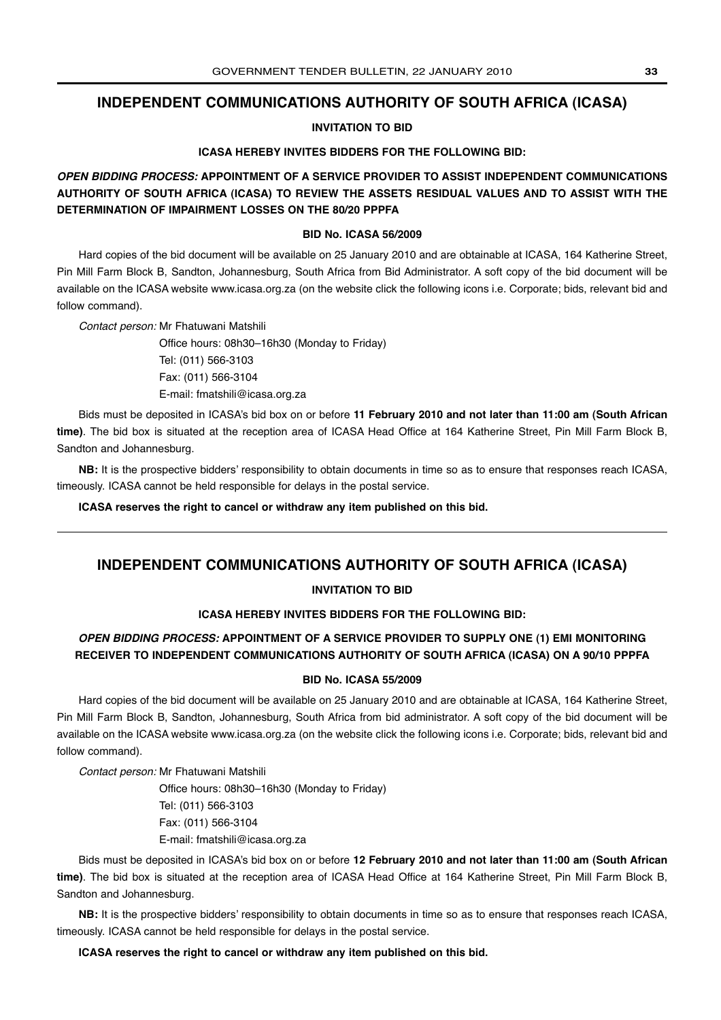## **INDEPENDENT COMMUNICATIONS AUTHORITY OF SOUTH AFRICA (ICASA)**

**INVITATION TO BID**

## **ICASA HEREBY INVITES BIDDERS FOR THE FOLLOWING BID:**

**OPEN BIDDING PROCESS: APPOINTMENT OF A SERVICE PROVIDER TO ASSIST INDEPENDENT COMMUNICATIONS AUTHORITY OF SOUTH AFRICA (ICASA) TO REVIEW THE ASSETS RESIDUAL VALUES AND TO ASSIST WITH THE DETERMINATION OF IMPAIRMENT LOSSES ON THE 80/20 PPPFA**

## **BID No. ICASA 56/2009**

Hard copies of the bid document will be available on 25 January 2010 and are obtainable at ICASA, 164 Katherine Street, Pin Mill Farm Block B, Sandton, Johannesburg, South Africa from Bid Administrator. A soft copy of the bid document will be available on the ICASA website www.icasa.org.za (on the website click the following icons i.e. Corporate; bids, relevant bid and follow command).

Contact person: Mr Fhatuwani Matshili

Office hours: 08h30–16h30 (Monday to Friday) Tel: (011) 566-3103 Fax: (011) 566-3104 E-mail: fmatshili@icasa.org.za

Bids must be deposited in ICASA's bid box on or before **11 February 2010 and not later than 11:00 am (South African time)**. The bid box is situated at the reception area of ICASA Head Office at 164 Katherine Street, Pin Mill Farm Block B, Sandton and Johannesburg.

**NB:** It is the prospective bidders' responsibility to obtain documents in time so as to ensure that responses reach ICASA, timeously. ICASA cannot be held responsible for delays in the postal service.

**ICASA reserves the right to cancel or withdraw any item published on this bid.**

## **INDEPENDENT COMMUNICATIONS AUTHORITY OF SOUTH AFRICA (ICASA)**

## **INVITATION TO BID**

## **ICASA HEREBY INVITES BIDDERS FOR THE FOLLOWING BID:**

## **OPEN BIDDING PROCESS: APPOINTMENT OF A SERVICE PROVIDER TO SUPPLY ONE (1) EMI MONITORING RECEIVER TO INDEPENDENT COMMUNICATIONS AUTHORITY OF SOUTH AFRICA (ICASA) ON A 90/10 PPPFA**

## **BID No. ICASA 55/2009**

Hard copies of the bid document will be available on 25 January 2010 and are obtainable at ICASA, 164 Katherine Street, Pin Mill Farm Block B, Sandton, Johannesburg, South Africa from bid administrator. A soft copy of the bid document will be available on the ICASA website www.icasa.org.za (on the website click the following icons i.e. Corporate; bids, relevant bid and follow command).

Contact person: Mr Fhatuwani Matshili

Office hours: 08h30–16h30 (Monday to Friday) Tel: (011) 566-3103 Fax: (011) 566-3104 E-mail: fmatshili@icasa.org.za

Bids must be deposited in ICASA's bid box on or before **12 February 2010 and not later than 11:00 am (South African time)**. The bid box is situated at the reception area of ICASA Head Office at 164 Katherine Street, Pin Mill Farm Block B, Sandton and Johannesburg.

**NB:** It is the prospective bidders' responsibility to obtain documents in time so as to ensure that responses reach ICASA, timeously. ICASA cannot be held responsible for delays in the postal service.

**ICASA reserves the right to cancel or withdraw any item published on this bid.**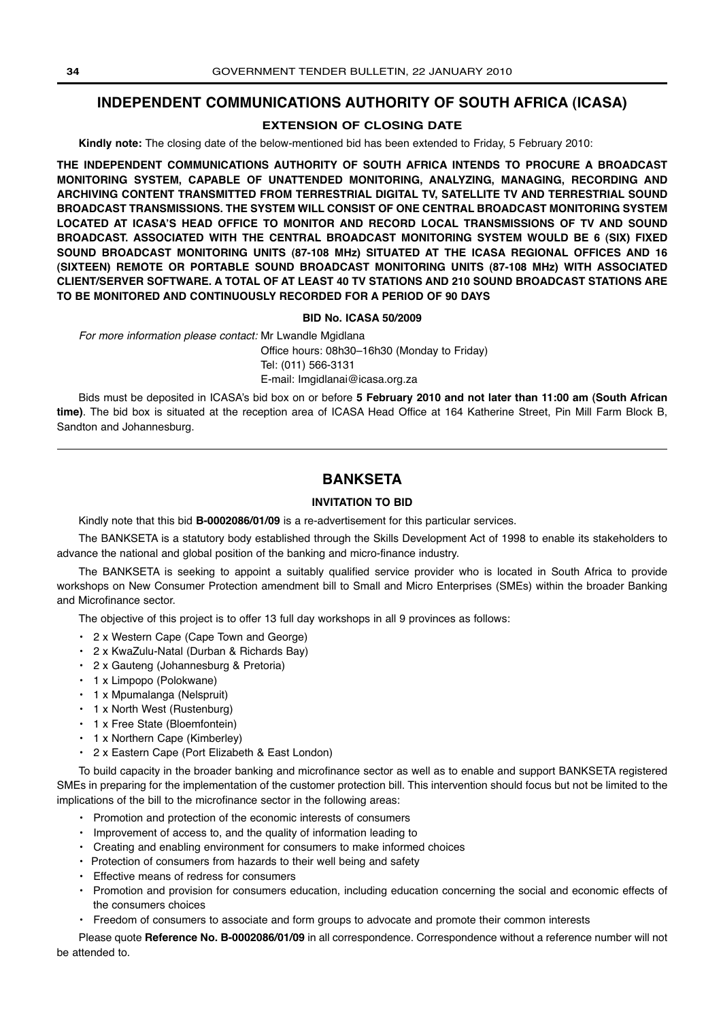## **INDEPENDENT COMMUNICATIONS AUTHORITY OF SOUTH AFRICA (ICASA)**

## **EXTENSION OF CLOSING DATE**

**Kindly note:** The closing date of the below-mentioned bid has been extended to Friday, 5 February 2010:

**THE INDEPENDENT COMMUNICATIONS AUTHORITY OF SOUTH AFRICA INTENDS TO PROCURE A BROADCAST MONITORING SYSTEM, CAPABLE OF UNATTENDED MONITORING, ANALYZING, MANAGING, RECORDING AND ARCHIVING CONTENT TRANSMITTED FROM TERRESTRIAL DIGITAL TV, SATELLITE TV AND TERRESTRIAL SOUND BROADCAST TRANSMISSIONS. THE SYSTEM WILL CONSIST OF ONE CENTRAL BROADCAST MONITORING SYSTEM LOCATED AT ICASA'S HEAD OFFICE TO MONITOR AND RECORD LOCAL TRANSMISSIONS OF TV AND SOUND BROADCAST. ASSOCIATED WITH THE CENTRAL BROADCAST MONITORING SYSTEM WOULD BE 6 (SIX) FIXED SOUND BROADCAST MONITORING UNITS (87-108 MHz) SITUATED AT THE ICASA REGIONAL OFFICES AND 16 (SIXTEEN) REMOTE OR PORTABLE SOUND BROADCAST MONITORING UNITS (87-108 MHz) WITH ASSOCIATED CLIENT/SERVER SOFTWARE. A TOTAL OF AT LEAST 40 TV STATIONS AND 210 SOUND BROADCAST STATIONS ARE TO BE MONITORED AND CONTINUOUSLY RECORDED FOR A PERIOD OF 90 DAYS**

## **BID No. ICASA 50/2009**

For more information please contact: Mr Lwandle Mgidlana

Office hours: 08h30–16h30 (Monday to Friday) Tel: (011) 566-3131 E-mail: Imgidlanai@icasa.org.za

Bids must be deposited in ICASA's bid box on or before **5 February 2010 and not later than 11:00 am (South African time)**. The bid box is situated at the reception area of ICASA Head Office at 164 Katherine Street, Pin Mill Farm Block B, Sandton and Johannesburg.

## **BANKSETA**

## **INVITATION TO BID**

Kindly note that this bid **B-0002086/01/09** is a re-advertisement for this particular services.

The BANKSETA is a statutory body established through the Skills Development Act of 1998 to enable its stakeholders to advance the national and global position of the banking and micro-finance industry.

The BANKSETA is seeking to appoint a suitably qualified service provider who is located in South Africa to provide workshops on New Consumer Protection amendment bill to Small and Micro Enterprises (SMEs) within the broader Banking and Microfinance sector.

The objective of this project is to offer 13 full day workshops in all 9 provinces as follows:

- **•** 2 x Western Cape (Cape Town and George)
- **•** 2 x KwaZulu-Natal (Durban & Richards Bay)
- **•** 2 x Gauteng (Johannesburg & Pretoria)
- **•** 1 x Limpopo (Polokwane)
- **•** 1 x Mpumalanga (Nelspruit)
- **•** 1 x North West (Rustenburg)
- **•** 1 x Free State (Bloemfontein)
- **•** 1 x Northern Cape (Kimberley)
- **•** 2 x Eastern Cape (Port Elizabeth & East London)

To build capacity in the broader banking and microfinance sector as well as to enable and support BANKSETA registered SMEs in preparing for the implementation of the customer protection bill. This intervention should focus but not be limited to the implications of the bill to the microfinance sector in the following areas:

- **•** Promotion and protection of the economic interests of consumers
- **•** Improvement of access to, and the quality of information leading to
- **•** Creating and enabling environment for consumers to make informed choices
- **•** Protection of consumers from hazards to their well being and safety
- **•** Effective means of redress for consumers
- **•** Promotion and provision for consumers education, including education concerning the social and economic effects of the consumers choices
- **•** Freedom of consumers to associate and form groups to advocate and promote their common interests

Please quote **Reference No. B-0002086/01/09** in all correspondence. Correspondence without a reference number will not be attended to.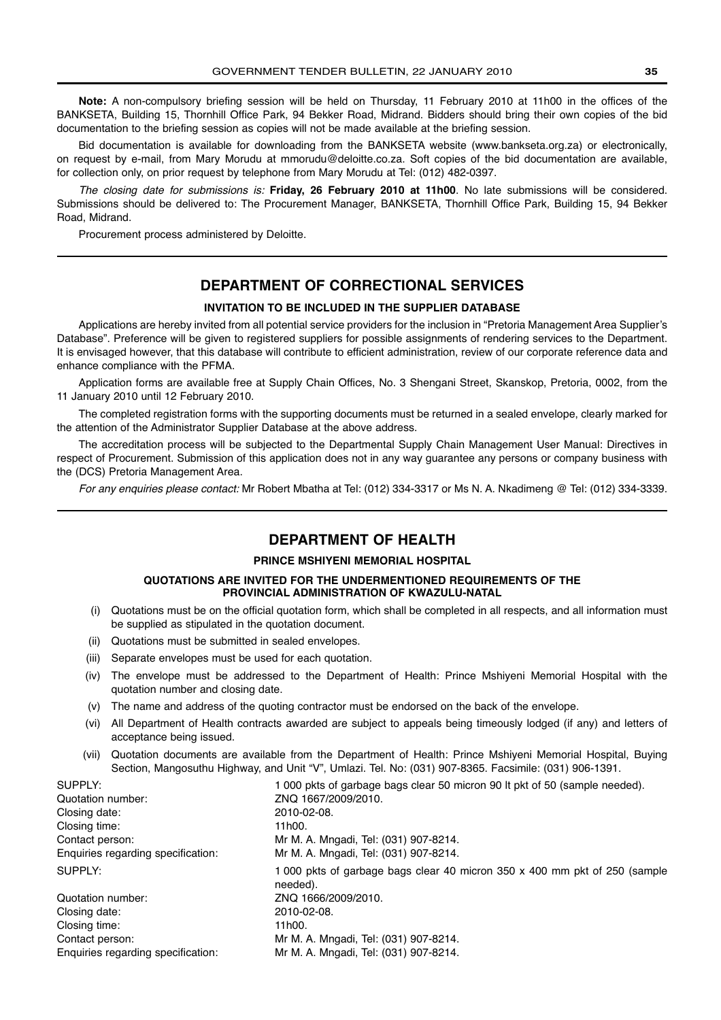**Note:** A non-compulsory briefing session will be held on Thursday, 11 February 2010 at 11h00 in the offices of the BANKSETA, Building 15, Thornhill Office Park, 94 Bekker Road, Midrand. Bidders should bring their own copies of the bid documentation to the briefing session as copies will not be made available at the briefing session.

Bid documentation is available for downloading from the BANKSETA website (www.bankseta.org.za) or electronically, on request by e-mail, from Mary Morudu at mmorudu@deloitte.co.za. Soft copies of the bid documentation are available, for collection only, on prior request by telephone from Mary Morudu at Tel: (012) 482-0397.

The closing date for submissions is: **Friday, 26 February 2010 at 11h00**. No late submissions will be considered. Submissions should be delivered to: The Procurement Manager, BANKSETA, Thornhill Office Park, Building 15, 94 Bekker Road, Midrand.

Procurement process administered by Deloitte.

## **DEPARTMENT OF CORRECTIONAL SERVICES**

## **INVITATION TO BE INCLUDED IN THE SUPPLIER DATABASE**

Applications are hereby invited from all potential service providers for the inclusion in "Pretoria Management Area Supplier's Database". Preference will be given to registered suppliers for possible assignments of rendering services to the Department. It is envisaged however, that this database will contribute to efficient administration, review of our corporate reference data and enhance compliance with the PFMA.

Application forms are available free at Supply Chain Offices, No. 3 Shengani Street, Skanskop, Pretoria, 0002, from the 11 January 2010 until 12 February 2010.

The completed registration forms with the supporting documents must be returned in a sealed envelope, clearly marked for the attention of the Administrator Supplier Database at the above address.

The accreditation process will be subjected to the Departmental Supply Chain Management User Manual: Directives in respect of Procurement. Submission of this application does not in any way guarantee any persons or company business with the (DCS) Pretoria Management Area.

For any enquiries please contact: Mr Robert Mbatha at Tel: (012) 334-3317 or Ms N. A. Nkadimeng @ Tel: (012) 334-3339.

## **DEPARTMENT OF HEALTH**

## **PRINCE MSHIYENI MEMORIAL HOSPITAL**

## **QUOTATIONS ARE INVITED FOR THE UNDERMENTIONED REQUIREMENTS OF THE PROVINCIAL ADMINISTRATION OF KWAZULU-NATAL**

- (i) Quotations must be on the official quotation form, which shall be completed in all respects, and all information must be supplied as stipulated in the quotation document.
- (ii) Quotations must be submitted in sealed envelopes.
- (iii) Separate envelopes must be used for each quotation.
- (iv) The envelope must be addressed to the Department of Health: Prince Mshiyeni Memorial Hospital with the quotation number and closing date.
- (v) The name and address of the quoting contractor must be endorsed on the back of the envelope.
- (vi) All Department of Health contracts awarded are subject to appeals being timeously lodged (if any) and letters of acceptance being issued.
- (vii) Quotation documents are available from the Department of Health: Prince Mshiyeni Memorial Hospital, Buying Section, Mangosuthu Highway, and Unit "V", Umlazi. Tel. No: (031) 907-8365. Facsimile: (031) 906-1391.

| SUPPLY:                            | 1000 pkts of garbage bags clear 50 micron 90 It pkt of 50 (sample needed).             |
|------------------------------------|----------------------------------------------------------------------------------------|
| Quotation number:                  | ZNQ 1667/2009/2010.                                                                    |
| Closing date:                      | 2010-02-08.                                                                            |
| Closing time:                      | 11h00.                                                                                 |
| Contact person:                    | Mr M. A. Mngadi, Tel: (031) 907-8214.                                                  |
| Enquiries regarding specification: | Mr M. A. Mngadi, Tel: (031) 907-8214.                                                  |
| SUPPLY:                            | 1 000 pkts of garbage bags clear 40 micron 350 x 400 mm pkt of 250 (sample<br>needed). |
| Quotation number:                  | ZNQ 1666/2009/2010.                                                                    |
| Closing date:                      | 2010-02-08.                                                                            |
| Closing time:                      | 11h00.                                                                                 |
| Contact person:                    | Mr M. A. Mngadi, Tel: (031) 907-8214.                                                  |
| Enquiries regarding specification: | Mr M. A. Mngadi, Tel: (031) 907-8214.                                                  |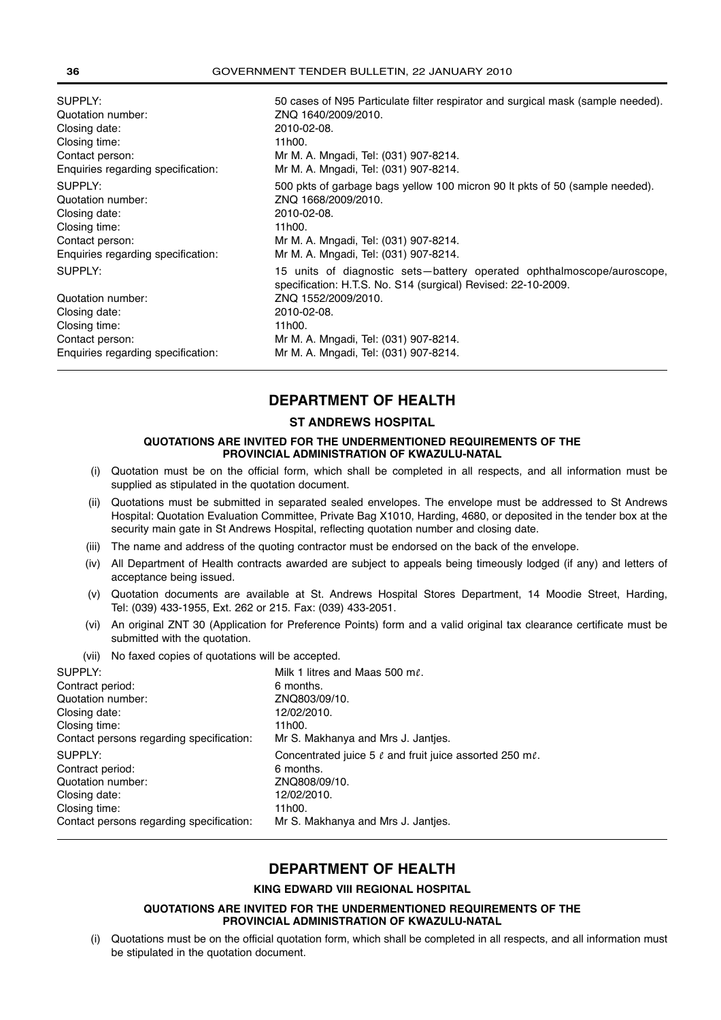| SUPPLY:                                                                                                                 | 50 cases of N95 Particulate filter respirator and surgical mask (sample needed).                                                                                                                                                                                          |
|-------------------------------------------------------------------------------------------------------------------------|---------------------------------------------------------------------------------------------------------------------------------------------------------------------------------------------------------------------------------------------------------------------------|
| Quotation number:                                                                                                       | ZNQ 1640/2009/2010.                                                                                                                                                                                                                                                       |
| Closing date:                                                                                                           | 2010-02-08.                                                                                                                                                                                                                                                               |
| Closing time:                                                                                                           | 11h00.                                                                                                                                                                                                                                                                    |
| Contact person:                                                                                                         | Mr M. A. Mngadi, Tel: (031) 907-8214.                                                                                                                                                                                                                                     |
| Enquiries regarding specification:                                                                                      | Mr M. A. Mngadi, Tel: (031) 907-8214.                                                                                                                                                                                                                                     |
| SUPPLY:                                                                                                                 | 500 pkts of garbage bags yellow 100 micron 90 lt pkts of 50 (sample needed).                                                                                                                                                                                              |
| Quotation number:                                                                                                       | ZNQ 1668/2009/2010.                                                                                                                                                                                                                                                       |
| Closing date:                                                                                                           | 2010-02-08.                                                                                                                                                                                                                                                               |
| Closing time:                                                                                                           | 11h00.                                                                                                                                                                                                                                                                    |
| Contact person:                                                                                                         | Mr M. A. Mngadi, Tel: (031) 907-8214.                                                                                                                                                                                                                                     |
| Enquiries regarding specification:                                                                                      | Mr M. A. Mngadi, Tel: (031) 907-8214.                                                                                                                                                                                                                                     |
| SUPPLY:<br>Quotation number:<br>Closing date:<br>Closing time:<br>Contact person:<br>Enquiries regarding specification: | 15 units of diagnostic sets—battery operated ophthalmoscope/auroscope,<br>specification: H.T.S. No. S14 (surgical) Revised: 22-10-2009.<br>ZNQ 1552/2009/2010.<br>2010-02-08.<br>11h00.<br>Mr M. A. Mngadi, Tel: (031) 907-8214.<br>Mr M. A. Mngadi, Tel: (031) 907-8214. |

## **DEPARTMENT OF HEALTH**

## **ST ANDREWS HOSPITAL**

## **QUOTATIONS ARE INVITED FOR THE UNDERMENTIONED REQUIREMENTS OF THE PROVINCIAL ADMINISTRATION OF KWAZULU-NATAL**

- (i) Quotation must be on the official form, which shall be completed in all respects, and all information must be supplied as stipulated in the quotation document.
- (ii) Quotations must be submitted in separated sealed envelopes. The envelope must be addressed to St Andrews Hospital: Quotation Evaluation Committee, Private Bag X1010, Harding, 4680, or deposited in the tender box at the security main gate in St Andrews Hospital, reflecting quotation number and closing date.
- (iii) The name and address of the quoting contractor must be endorsed on the back of the envelope.
- (iv) All Department of Health contracts awarded are subject to appeals being timeously lodged (if any) and letters of acceptance being issued.
- (v) Quotation documents are available at St. Andrews Hospital Stores Department, 14 Moodie Street, Harding, Tel: (039) 433-1955, Ext. 262 or 215. Fax: (039) 433-2051.
- (vi) An original ZNT 30 (Application for Preference Points) form and a valid original tax clearance certificate must be submitted with the quotation.
- (vii) No faxed copies of quotations will be accepted.

| SUPPLY:                                  | Milk 1 litres and Maas 500 ml.                                      |
|------------------------------------------|---------------------------------------------------------------------|
| Contract period:                         | 6 months.                                                           |
| Quotation number:                        | ZNQ803/09/10.                                                       |
| Closing date:                            | 12/02/2010.                                                         |
| Closing time:                            | 11h00.                                                              |
| Contact persons regarding specification: | Mr S. Makhanya and Mrs J. Jantjes.                                  |
| SUPPLY:                                  | Concentrated juice 5 $\ell$ and fruit juice assorted 250 m $\ell$ . |
| Contract period:                         | 6 months.                                                           |
| Quotation number:                        | ZNQ808/09/10.                                                       |
| Closing date:                            | 12/02/2010.                                                         |
| Closing time:                            | 11h00.                                                              |
| Contact persons regarding specification: | Mr S. Makhanya and Mrs J. Jantjes.                                  |
|                                          |                                                                     |

## **DEPARTMENT OF HEALTH**

## **KING EDWARD VIII REGIONAL HOSPITAL**

## **QUOTATIONS ARE INVITED FOR THE UNDERMENTIONED REQUIREMENTS OF THE PROVINCIAL ADMINISTRATION OF KWAZULU-NATAL**

(i) Quotations must be on the official quotation form, which shall be completed in all respects, and all information must be stipulated in the quotation document.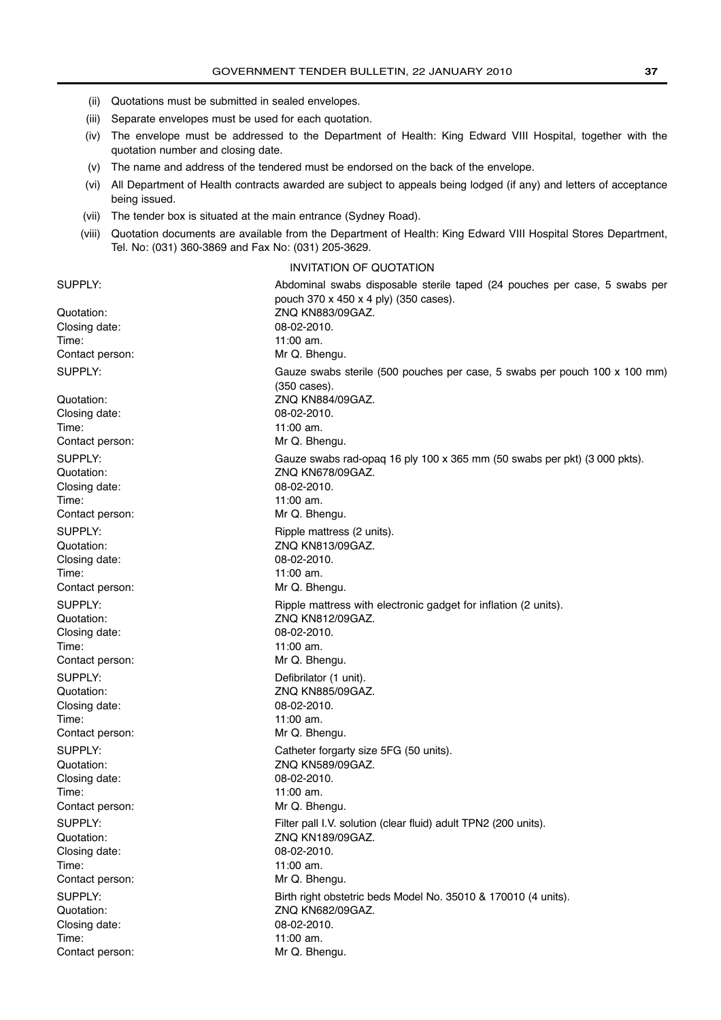- (ii) Quotations must be submitted in sealed envelopes.
- (iii) Separate envelopes must be used for each quotation.
- (iv) The envelope must be addressed to the Department of Health: King Edward VIII Hospital, together with the quotation number and closing date.
- (v) The name and address of the tendered must be endorsed on the back of the envelope.
- (vi) All Department of Health contracts awarded are subject to appeals being lodged (if any) and letters of acceptance being issued.
- (vii) The tender box is situated at the main entrance (Sydney Road).
- (viii) Quotation documents are available from the Department of Health: King Edward VIII Hospital Stores Department, Tel. No: (031) 360-3869 and Fax No: (031) 205-3629.

## INVITATION OF QUOTATION

| SUPPLY:         | Abdominal swabs disposable sterile taped (24 pouches per case, 5 swabs per                 |
|-----------------|--------------------------------------------------------------------------------------------|
|                 | pouch 370 x 450 x 4 ply) (350 cases).                                                      |
| Quotation:      | ZNQ KN883/09GAZ.                                                                           |
| Closing date:   | 08-02-2010.                                                                                |
| Time:           | 11:00 am.                                                                                  |
| Contact person: | Mr Q. Bhengu.                                                                              |
| SUPPLY:         | Gauze swabs sterile (500 pouches per case, 5 swabs per pouch 100 x 100 mm)<br>(350 cases). |
| Quotation:      | ZNQ KN884/09GAZ.                                                                           |
| Closing date:   | 08-02-2010.                                                                                |
| Time:           | 11:00 am.                                                                                  |
| Contact person: | Mr Q. Bhengu.                                                                              |
| SUPPLY:         | Gauze swabs rad-opaq 16 ply 100 x 365 mm (50 swabs per pkt) (3 000 pkts).                  |
| Quotation:      | ZNQ KN678/09GAZ.                                                                           |
| Closing date:   | 08-02-2010.                                                                                |
| Time:           | 11:00 am.                                                                                  |
| Contact person: | Mr Q. Bhengu.                                                                              |
| SUPPLY:         | Ripple mattress (2 units).                                                                 |
| Quotation:      | ZNQ KN813/09GAZ.                                                                           |
| Closing date:   | 08-02-2010.                                                                                |
| Time:           | 11:00 am.                                                                                  |
| Contact person: | Mr Q. Bhengu.                                                                              |
| SUPPLY:         | Ripple mattress with electronic gadget for inflation (2 units).                            |
| Quotation:      | ZNQ KN812/09GAZ.                                                                           |
| Closing date:   | 08-02-2010.                                                                                |
| Time:           | 11:00 am.                                                                                  |
| Contact person: | Mr Q. Bhengu.                                                                              |
| SUPPLY:         | Defibrilator (1 unit).                                                                     |
| Quotation:      | ZNQ KN885/09GAZ.                                                                           |
| Closing date:   | 08-02-2010.                                                                                |
| Time:           | 11:00 am.                                                                                  |
| Contact person: | Mr Q. Bhengu.                                                                              |
| SUPPLY:         | Catheter forgarty size 5FG (50 units).                                                     |
| Quotation:      | ZNQ KN589/09GAZ.                                                                           |
| Closing date:   | 08-02-2010.                                                                                |
| Time:           | 11:00 am.                                                                                  |
| Contact person: | Mr Q. Bhengu.                                                                              |
| SUPPLY:         | Filter pall I.V. solution (clear fluid) adult TPN2 (200 units).                            |
| Quotation:      | ZNQ KN189/09GAZ.                                                                           |
| Closing date:   | 08-02-2010.                                                                                |
| Time:           | 11:00 am.                                                                                  |
| Contact person: | Mr Q. Bhengu.                                                                              |
| SUPPLY:         | Birth right obstetric beds Model No. 35010 & 170010 (4 units).                             |
| Quotation:      | ZNQ KN682/09GAZ.                                                                           |
| Closing date:   | 08-02-2010.                                                                                |
| Time:           | 11:00 am.                                                                                  |
| Contact person: | Mr Q. Bhengu.                                                                              |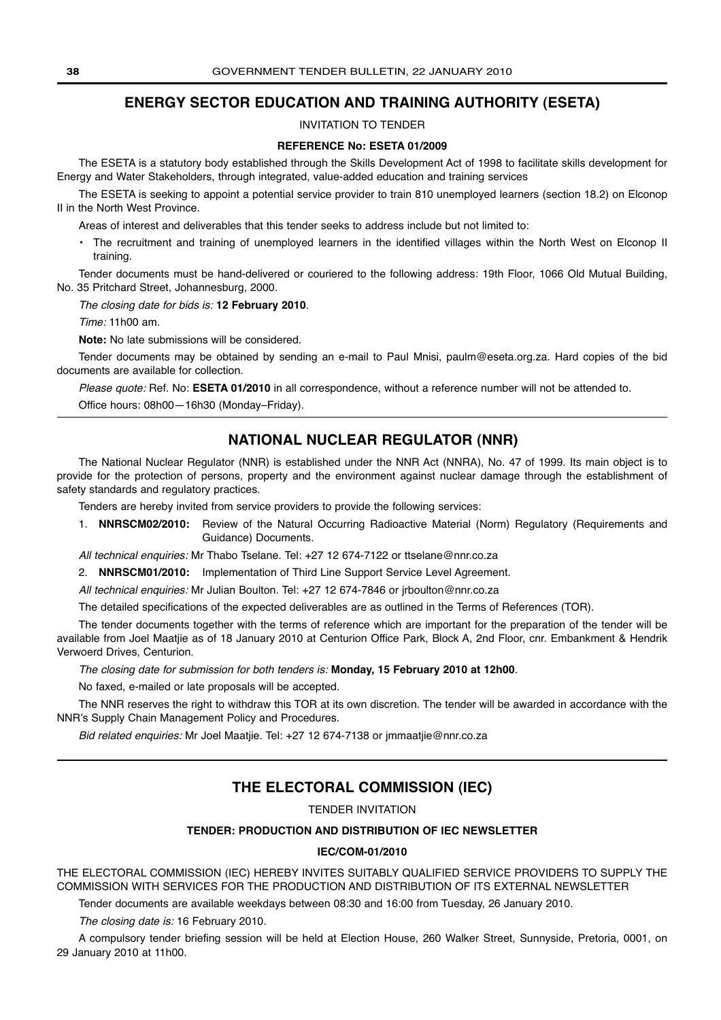## **ENERGY SECTOR EDUCATION AND TRAINING AUTHORITY (ESETA)**

INVITATION TO TENDER

## **REFERENCE No: ESETA 01/2009**

The ESETA is a statutory body established through the Skills Development Act of 1998 to facilitate skills development for Energy and Water Stakeholders, through integrated, value-added education and training services

The ESETA is seeking to appoint a potential service provider to train 810 unemployed learners (section 18.2) on Elconop II in the North West Province.

Areas of interest and deliverables that this tender seeks to address include but not limited to:

• The recruitment and training of unemployed learners in the identified villages within the North West on Elconop II training.

Tender documents must be hand-delivered or couriered to the following address: 19th Floor, 1066 Old Mutual Building, No. 35 Pritchard Street, Johannesburg, 2000.

The closing date for bids is: **12 February 2010**.

Time: 11h00 am.

**Note:** No late submissions will be considered.

Tender documents may be obtained by sending an e-mail to Paul Mnisi, paulm@eseta.org.za. Hard copies of the bid documents are available for collection.

Please quote: Ref. No: **ESETA 01/2010** in all correspondence, without a reference number will not be attended to.

Office hours: 08h00—16h30 (Monday–Friday).

## **NATIONAL NUCLEAR REGULATOR (NNR)**

The National Nuclear Regulator (NNR) is established under the NNR Act (NNRA), No. 47 of 1999. Its main object is to provide for the protection of persons, property and the environment against nuclear damage through the establishment of safety standards and regulatory practices.

Tenders are hereby invited from service providers to provide the following services:

1. **NNRSCM02/2010:** Review of the Natural Occurring Radioactive Material (Norm) Regulatory (Requirements and Guidance) Documents.

All technical enquiries: Mr Thabo Tselane. Tel: +27 12 674-7122 or ttselane@nnr.co.za

2. **NNRSCM01/2010:** Implementation of Third Line Support Service Level Agreement.

All technical enquiries: Mr Julian Boulton. Tel: +27 12 674-7846 or jrboulton@nnr.co.za

The detailed specifications of the expected deliverables are as outlined in the Terms of References (TOR).

The tender documents together with the terms of reference which are important for the preparation of the tender will be available from Joel Maatjie as of 18 January 2010 at Centurion Office Park, Block A, 2nd Floor, cnr. Embankment & Hendrik Verwoerd Drives, Centurion.

The closing date for submission for both tenders is: **Monday, 15 February 2010 at 12h00**.

No faxed, e-mailed or late proposals will be accepted.

The NNR reserves the right to withdraw this TOR at its own discretion. The tender will be awarded in accordance with the NNR's Supply Chain Management Policy and Procedures.

Bid related enquiries: Mr Joel Maatjie. Tel: +27 12 674-7138 or jmmaatjie@nnr.co.za

## **THE ELECTORAL COMMISSION (IEC)**

TENDER INVITATION

## **TENDER: PRODUCTION AND DISTRIBUTION OF IEC NEWSLETTER**

## **IEC/COM-01/2010**

THE ELECTORAL COMMISSION (IEC) HEREBY INVITES SUITABLY QUALIFIED SERVICE PROVIDERS TO SUPPLY THE COMMISSION WITH SERVICES FOR THE PRODUCTION AND DISTRIBUTION OF ITS EXTERNAL NEWSLETTER

Tender documents are available weekdays between 08:30 and 16:00 from Tuesday, 26 January 2010.

The closing date is: 16 February 2010.

A compulsory tender briefing session will be held at Election House, 260 Walker Street, Sunnyside, Pretoria, 0001, on 29 January 2010 at 11h00.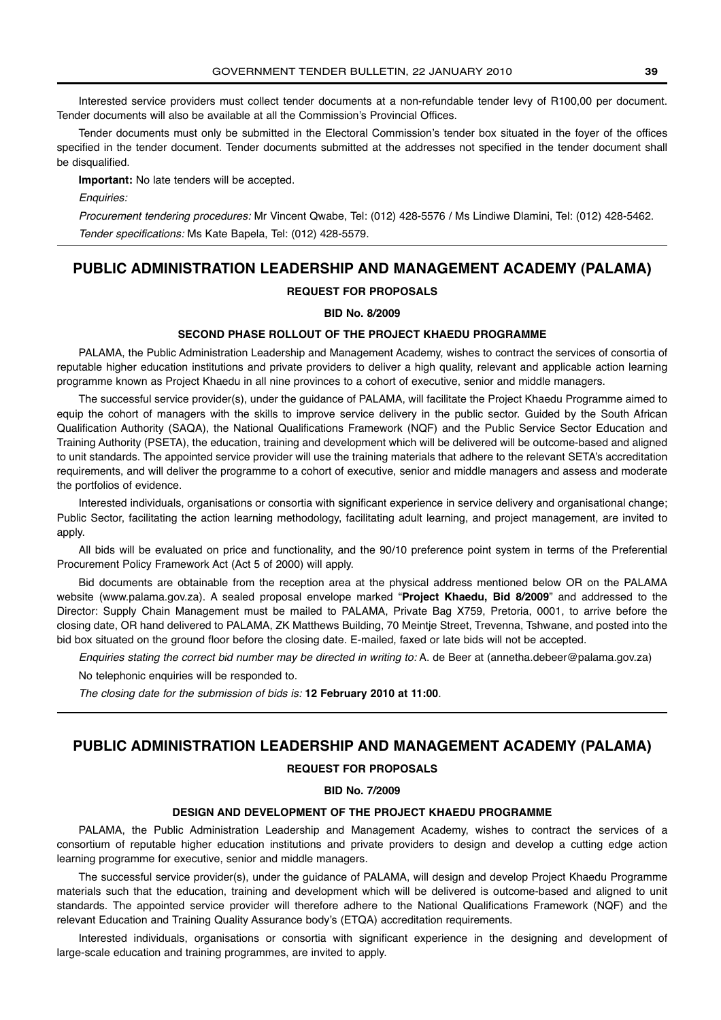Interested service providers must collect tender documents at a non-refundable tender levy of R100,00 per document. Tender documents will also be available at all the Commission's Provincial Offices.

Tender documents must only be submitted in the Electoral Commission's tender box situated in the foyer of the offices specified in the tender document. Tender documents submitted at the addresses not specified in the tender document shall be disqualified.

**Important:** No late tenders will be accepted.

Enquiries:

Procurement tendering procedures: Mr Vincent Qwabe, Tel: (012) 428-5576 / Ms Lindiwe Dlamini, Tel: (012) 428-5462. Tender specifications: Ms Kate Bapela, Tel: (012) 428-5579.

## **PUBLIC ADMINISTRATION LEADERSHIP AND MANAGEMENT ACADEMY (PALAMA)**

## **REQUEST FOR PROPOSALS**

## **BID No. 8/2009**

## **SECOND PHASE ROLLOUT OF THE PROJECT KHAEDU PROGRAMME**

PALAMA, the Public Administration Leadership and Management Academy, wishes to contract the services of consortia of reputable higher education institutions and private providers to deliver a high quality, relevant and applicable action learning programme known as Project Khaedu in all nine provinces to a cohort of executive, senior and middle managers.

The successful service provider(s), under the guidance of PALAMA, will facilitate the Project Khaedu Programme aimed to equip the cohort of managers with the skills to improve service delivery in the public sector. Guided by the South African Qualification Authority (SAQA), the National Qualifications Framework (NQF) and the Public Service Sector Education and Training Authority (PSETA), the education, training and development which will be delivered will be outcome-based and aligned to unit standards. The appointed service provider will use the training materials that adhere to the relevant SETA's accreditation requirements, and will deliver the programme to a cohort of executive, senior and middle managers and assess and moderate the portfolios of evidence.

Interested individuals, organisations or consortia with significant experience in service delivery and organisational change; Public Sector, facilitating the action learning methodology, facilitating adult learning, and project management, are invited to apply.

All bids will be evaluated on price and functionality, and the 90/10 preference point system in terms of the Preferential Procurement Policy Framework Act (Act 5 of 2000) will apply.

Bid documents are obtainable from the reception area at the physical address mentioned below OR on the PALAMA website (www.palama.gov.za). A sealed proposal envelope marked "**Project Khaedu, Bid 8/2009**" and addressed to the Director: Supply Chain Management must be mailed to PALAMA, Private Bag X759, Pretoria, 0001, to arrive before the closing date, OR hand delivered to PALAMA, ZK Matthews Building, 70 Meintje Street, Trevenna, Tshwane, and posted into the bid box situated on the ground floor before the closing date. E-mailed, faxed or late bids will not be accepted.

Enquiries stating the correct bid number may be directed in writing to: A. de Beer at (annetha.debeer@palama.gov.za)

No telephonic enquiries will be responded to.

The closing date for the submission of bids is: **12 February 2010 at 11:00**.

## **PUBLIC ADMINISTRATION LEADERSHIP AND MANAGEMENT ACADEMY (PALAMA)**

## **REQUEST FOR PROPOSALS**

## **BID No. 7/2009**

## **DESIGN AND DEVELOPMENT OF THE PROJECT KHAEDU PROGRAMME**

PALAMA, the Public Administration Leadership and Management Academy, wishes to contract the services of a consortium of reputable higher education institutions and private providers to design and develop a cutting edge action learning programme for executive, senior and middle managers.

The successful service provider(s), under the guidance of PALAMA, will design and develop Project Khaedu Programme materials such that the education, training and development which will be delivered is outcome-based and aligned to unit standards. The appointed service provider will therefore adhere to the National Qualifications Framework (NQF) and the relevant Education and Training Quality Assurance body's (ETQA) accreditation requirements.

Interested individuals, organisations or consortia with significant experience in the designing and development of large-scale education and training programmes, are invited to apply.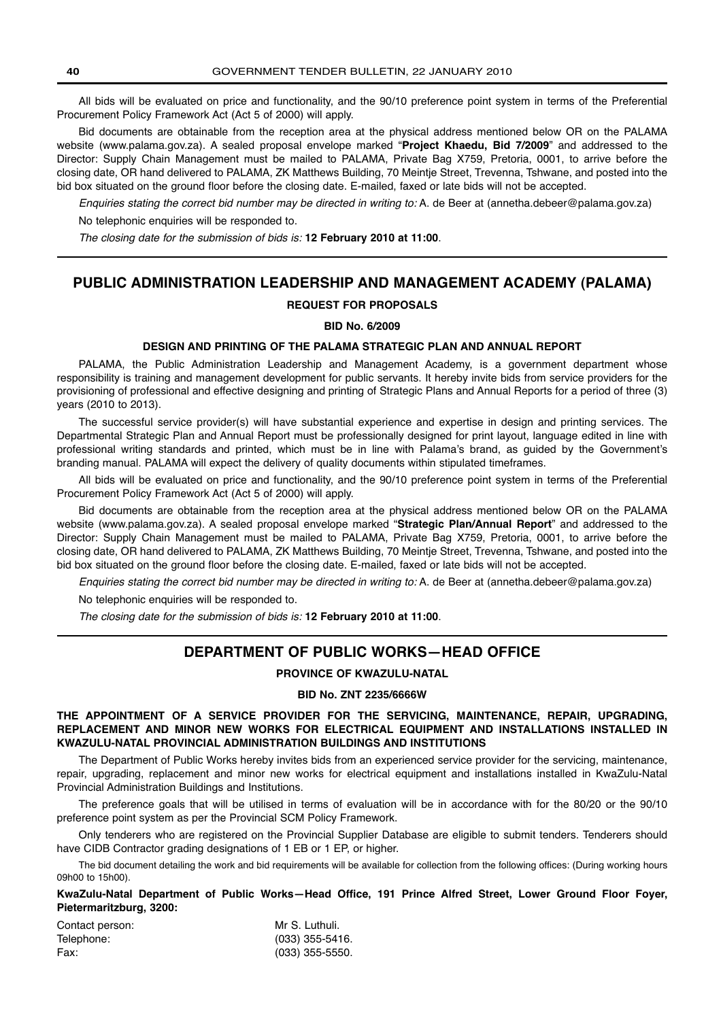All bids will be evaluated on price and functionality, and the 90/10 preference point system in terms of the Preferential Procurement Policy Framework Act (Act 5 of 2000) will apply.

Bid documents are obtainable from the reception area at the physical address mentioned below OR on the PALAMA website (www.palama.gov.za). A sealed proposal envelope marked "**Project Khaedu, Bid 7/2009**" and addressed to the Director: Supply Chain Management must be mailed to PALAMA, Private Bag X759, Pretoria, 0001, to arrive before the closing date, OR hand delivered to PALAMA, ZK Matthews Building, 70 Meintje Street, Trevenna, Tshwane, and posted into the bid box situated on the ground floor before the closing date. E-mailed, faxed or late bids will not be accepted.

Enquiries stating the correct bid number may be directed in writing to: A. de Beer at (annetha.debeer@palama.gov.za) No telephonic enquiries will be responded to.

The closing date for the submission of bids is: **12 February 2010 at 11:00**.

## **PUBLIC ADMINISTRATION LEADERSHIP AND MANAGEMENT ACADEMY (PALAMA)**

## **REQUEST FOR PROPOSALS**

## **BID No. 6/2009**

## **DESIGN AND PRINTING OF THE PALAMA STRATEGIC PLAN AND ANNUAL REPORT**

PALAMA, the Public Administration Leadership and Management Academy, is a government department whose responsibility is training and management development for public servants. It hereby invite bids from service providers for the provisioning of professional and effective designing and printing of Strategic Plans and Annual Reports for a period of three (3) years (2010 to 2013).

The successful service provider(s) will have substantial experience and expertise in design and printing services. The Departmental Strategic Plan and Annual Report must be professionally designed for print layout, language edited in line with professional writing standards and printed, which must be in line with Palama's brand, as guided by the Government's branding manual. PALAMA will expect the delivery of quality documents within stipulated timeframes.

All bids will be evaluated on price and functionality, and the 90/10 preference point system in terms of the Preferential Procurement Policy Framework Act (Act 5 of 2000) will apply.

Bid documents are obtainable from the reception area at the physical address mentioned below OR on the PALAMA website (www.palama.gov.za). A sealed proposal envelope marked "**Strategic Plan/Annual Report**" and addressed to the Director: Supply Chain Management must be mailed to PALAMA, Private Bag X759, Pretoria, 0001, to arrive before the closing date, OR hand delivered to PALAMA, ZK Matthews Building, 70 Meintje Street, Trevenna, Tshwane, and posted into the bid box situated on the ground floor before the closing date. E-mailed, faxed or late bids will not be accepted.

Enquiries stating the correct bid number may be directed in writing to: A. de Beer at (annetha.debeer@palama.gov.za)

No telephonic enquiries will be responded to.

The closing date for the submission of bids is: **12 February 2010 at 11:00**.

## **DEPARTMENT OF PUBLIC WORKS—HEAD OFFICE**

## **PROVINCE OF KWAZULU-NATAL**

## **BID No. ZNT 2235/6666W**

## **THE APPOINTMENT OF A SERVICE PROVIDER FOR THE SERVICING, MAINTENANCE, REPAIR, UPGRADING, REPLACEMENT AND MINOR NEW WORKS FOR ELECTRICAL EQUIPMENT AND INSTALLATIONS INSTALLED IN KWAZULU-NATAL PROVINCIAL ADMINISTRATION BUILDINGS AND INSTITUTIONS**

The Department of Public Works hereby invites bids from an experienced service provider for the servicing, maintenance, repair, upgrading, replacement and minor new works for electrical equipment and installations installed in KwaZulu-Natal Provincial Administration Buildings and Institutions.

The preference goals that will be utilised in terms of evaluation will be in accordance with for the 80/20 or the 90/10 preference point system as per the Provincial SCM Policy Framework.

Only tenderers who are registered on the Provincial Supplier Database are eligible to submit tenders. Tenderers should have CIDB Contractor grading designations of 1 EB or 1 EP, or higher.

The bid document detailing the work and bid requirements will be available for collection from the following offices: (During working hours 09h00 to 15h00).

**KwaZulu-Natal Department of Public Works—Head Office, 191 Prince Alfred Street, Lower Ground Floor Foyer, Pietermaritzburg, 3200:**

| Contact person: | Mr S. Luthuli.    |
|-----------------|-------------------|
| Telephone:      | $(033)$ 355-5416. |
| Fax:            | $(033)$ 355-5550. |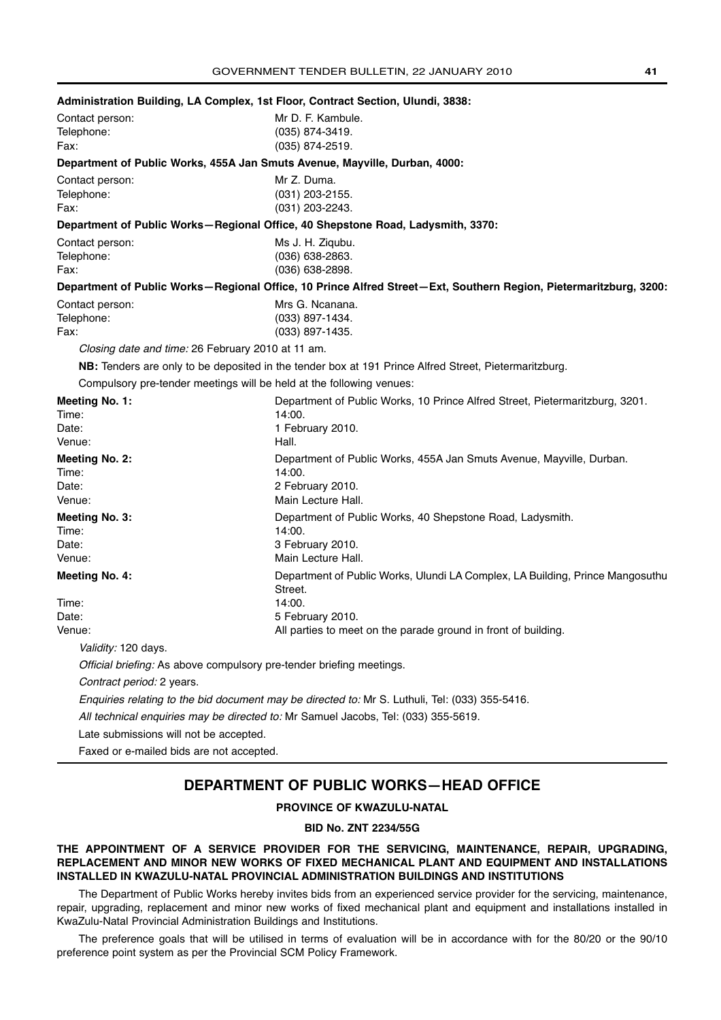| Administration Building, LA Complex, 1st Floor, Contract Section, Ulundi, 3838: |                                                                                                                   |
|---------------------------------------------------------------------------------|-------------------------------------------------------------------------------------------------------------------|
| Contact person:                                                                 | Mr D. F. Kambule.                                                                                                 |
| Telephone:<br>Fax:                                                              | (035) 874-3419.<br>(035) 874-2519.                                                                                |
|                                                                                 |                                                                                                                   |
| Department of Public Works, 455A Jan Smuts Avenue, Mayville, Durban, 4000:      |                                                                                                                   |
| Contact person:                                                                 | Mr Z. Duma.                                                                                                       |
| Telephone:<br>Fax:                                                              | $(031)$ 203-2155.                                                                                                 |
|                                                                                 | $(031)$ 203-2243.                                                                                                 |
|                                                                                 | Department of Public Works-Regional Office, 40 Shepstone Road, Ladysmith, 3370:                                   |
| Contact person:                                                                 | Ms J. H. Ziqubu.                                                                                                  |
| Telephone:<br>Fax:                                                              | (036) 638-2863.<br>(036) 638-2898.                                                                                |
|                                                                                 | Department of Public Works-Regional Office, 10 Prince Alfred Street-Ext, Southern Region, Pietermaritzburg, 3200: |
|                                                                                 | Mrs G. Ncanana.                                                                                                   |
| Contact person:<br>Telephone:                                                   | $(033)$ 897-1434.                                                                                                 |
| Fax:                                                                            | (033) 897-1435.                                                                                                   |
| Closing date and time: 26 February 2010 at 11 am.                               |                                                                                                                   |
|                                                                                 | NB: Tenders are only to be deposited in the tender box at 191 Prince Alfred Street, Pietermaritzburg.             |
| Compulsory pre-tender meetings will be held at the following venues:            |                                                                                                                   |
| Meeting No. 1:                                                                  | Department of Public Works, 10 Prince Alfred Street, Pietermaritzburg, 3201.                                      |
| Time:                                                                           | 14:00.                                                                                                            |
| Date:                                                                           | 1 February 2010.                                                                                                  |
| Venue:                                                                          | Hall.                                                                                                             |
| <b>Meeting No. 2:</b>                                                           | Department of Public Works, 455A Jan Smuts Avenue, Mayville, Durban.                                              |
| Time:                                                                           | 14:00.                                                                                                            |
| Date:                                                                           | 2 February 2010.                                                                                                  |
| Venue:                                                                          | Main Lecture Hall.                                                                                                |
| <b>Meeting No. 3:</b>                                                           | Department of Public Works, 40 Shepstone Road, Ladysmith.                                                         |
| Time:<br>Date:                                                                  | 14:00.<br>3 February 2010.                                                                                        |
| Venue:                                                                          | Main Lecture Hall.                                                                                                |
| <b>Meeting No. 4:</b>                                                           | Department of Public Works, Ulundi LA Complex, LA Building, Prince Mangosuthu                                     |
|                                                                                 | Street.                                                                                                           |
| Time:                                                                           | 14:00.                                                                                                            |
| Date:                                                                           | 5 February 2010.                                                                                                  |
| Venue:                                                                          | All parties to meet on the parade ground in front of building.                                                    |
| Validity: 120 days.                                                             |                                                                                                                   |
| Official briefing: As above compulsory pre-tender briefing meetings.            |                                                                                                                   |
| Contract period: 2 years.                                                       |                                                                                                                   |
|                                                                                 | Enquiries relating to the bid document may be directed to: Mr S. Luthuli, Tel: (033) 355-5416.                    |
|                                                                                 | All technical enquiries may be directed to: Mr Samuel Jacobs, Tel: (033) 355-5619.                                |
| Late submissions will not be accepted.                                          |                                                                                                                   |
| Faxed or e-mailed bids are not accepted.                                        |                                                                                                                   |

## **DEPARTMENT OF PUBLIC WORKS—HEAD OFFICE**

## **PROVINCE OF KWAZULU-NATAL**

## **BID No. ZNT 2234/55G**

## **THE APPOINTMENT OF A SERVICE PROVIDER FOR THE SERVICING, MAINTENANCE, REPAIR, UPGRADING, REPLACEMENT AND MINOR NEW WORKS OF FIXED MECHANICAL PLANT AND EQUIPMENT AND INSTALLATIONS INSTALLED IN KWAZULU-NATAL PROVINCIAL ADMINISTRATION BUILDINGS AND INSTITUTIONS**

The Department of Public Works hereby invites bids from an experienced service provider for the servicing, maintenance, repair, upgrading, replacement and minor new works of fixed mechanical plant and equipment and installations installed in KwaZulu-Natal Provincial Administration Buildings and Institutions.

The preference goals that will be utilised in terms of evaluation will be in accordance with for the 80/20 or the 90/10 preference point system as per the Provincial SCM Policy Framework.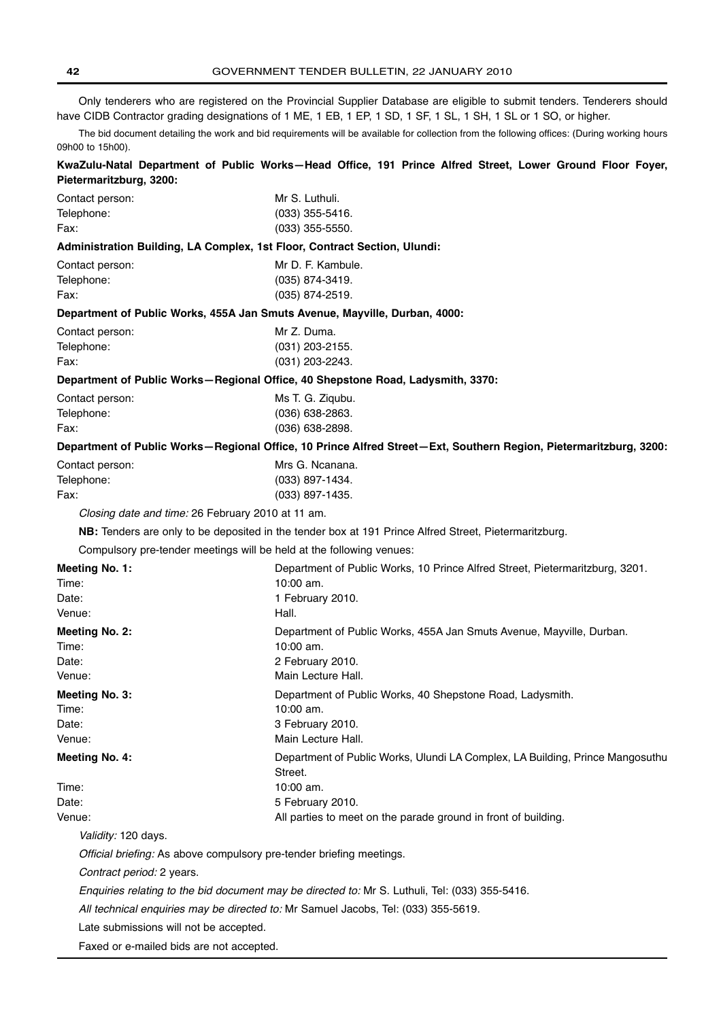Only tenderers who are registered on the Provincial Supplier Database are eligible to submit tenders. Tenderers should have CIDB Contractor grading designations of 1 ME, 1 EB, 1 EP, 1 SD, 1 SF, 1 SL, 1 SH, 1 SL or 1 SO, or higher.

The bid document detailing the work and bid requirements will be available for collection from the following offices: (During working hours 09h00 to 15h00).

**KwaZulu-Natal Department of Public Works—Head Office, 191 Prince Alfred Street, Lower Ground Floor Foyer, Pietermaritzburg, 3200:**

| Contact person:                                   | Mr S. Luthuli.                                                                                                    |
|---------------------------------------------------|-------------------------------------------------------------------------------------------------------------------|
| Telephone:                                        | (033) 355-5416.                                                                                                   |
| Fax:                                              | $(033)$ 355-5550.                                                                                                 |
|                                                   | Administration Building, LA Complex, 1st Floor, Contract Section, Ulundi:                                         |
| Contact person:                                   | Mr D. F. Kambule.                                                                                                 |
| Telephone:                                        | (035) 874-3419.                                                                                                   |
| Fax:                                              | $(035)$ 874-2519.                                                                                                 |
|                                                   | Department of Public Works, 455A Jan Smuts Avenue, Mayville, Durban, 4000:                                        |
| Contact person:                                   | Mr Z. Duma.                                                                                                       |
| Telephone:                                        | $(031)$ 203-2155.                                                                                                 |
| Fax:                                              | (031) 203-2243.                                                                                                   |
|                                                   | Department of Public Works-Regional Office, 40 Shepstone Road, Ladysmith, 3370:                                   |
| Contact person:                                   | Ms T. G. Ziqubu.                                                                                                  |
| Telephone:                                        | (036) 638-2863.                                                                                                   |
| Fax:                                              | $(036)$ 638-2898.                                                                                                 |
|                                                   | Department of Public Works-Regional Office, 10 Prince Alfred Street-Ext, Southern Region, Pietermaritzburg, 3200: |
| Contact person:                                   | Mrs G. Ncanana.                                                                                                   |
| Telephone:                                        | (033) 897-1434.                                                                                                   |
| Fax:                                              | (033) 897-1435.                                                                                                   |
| Closing date and time: 26 February 2010 at 11 am. |                                                                                                                   |
|                                                   | NB: Tenders are only to be deposited in the tender box at 191 Prince Alfred Street, Pietermaritzburg.             |
|                                                   | Compulsory pre-tender meetings will be held at the following venues:                                              |
| Meeting No. 1:                                    | Department of Public Works, 10 Prince Alfred Street, Pietermaritzburg, 3201.                                      |
| Time:                                             | 10:00 am.                                                                                                         |
| Date:                                             | 1 February 2010.                                                                                                  |
| Venue:                                            | Hall.                                                                                                             |
| Meeting No. 2:                                    | Department of Public Works, 455A Jan Smuts Avenue, Mayville, Durban.                                              |
| Time:                                             | 10:00 am.                                                                                                         |
| Date:                                             | 2 February 2010.                                                                                                  |
| Venue:                                            | Main Lecture Hall.                                                                                                |
| Meeting No. 3:                                    | Department of Public Works, 40 Shepstone Road, Ladysmith.                                                         |
| Time:                                             | 10:00 am.                                                                                                         |
| Date:                                             | 3 February 2010.                                                                                                  |
| Venue:                                            | Main Lecture Hall.                                                                                                |
| <b>Meeting No. 4:</b>                             | Department of Public Works, Ulundi LA Complex, LA Building, Prince Mangosuthu<br>Street.                          |
| Time:                                             | 10:00 am.                                                                                                         |
| Date:                                             | 5 February 2010.                                                                                                  |
| Venue:                                            | All parties to meet on the parade ground in front of building.                                                    |
| Validity: 120 days.                               |                                                                                                                   |
|                                                   | Official briefing: As above compulsory pre-tender briefing meetings.                                              |
| Contract period: 2 years.                         |                                                                                                                   |
|                                                   | Enquiries relating to the bid document may be directed to: Mr S. Luthuli, Tel: (033) 355-5416.                    |
|                                                   | All technical enquiries may be directed to: Mr Samuel Jacobs, Tel: (033) 355-5619.                                |
| Late submissions will not be accepted.            |                                                                                                                   |
| Faxed or e-mailed bids are not accepted.          |                                                                                                                   |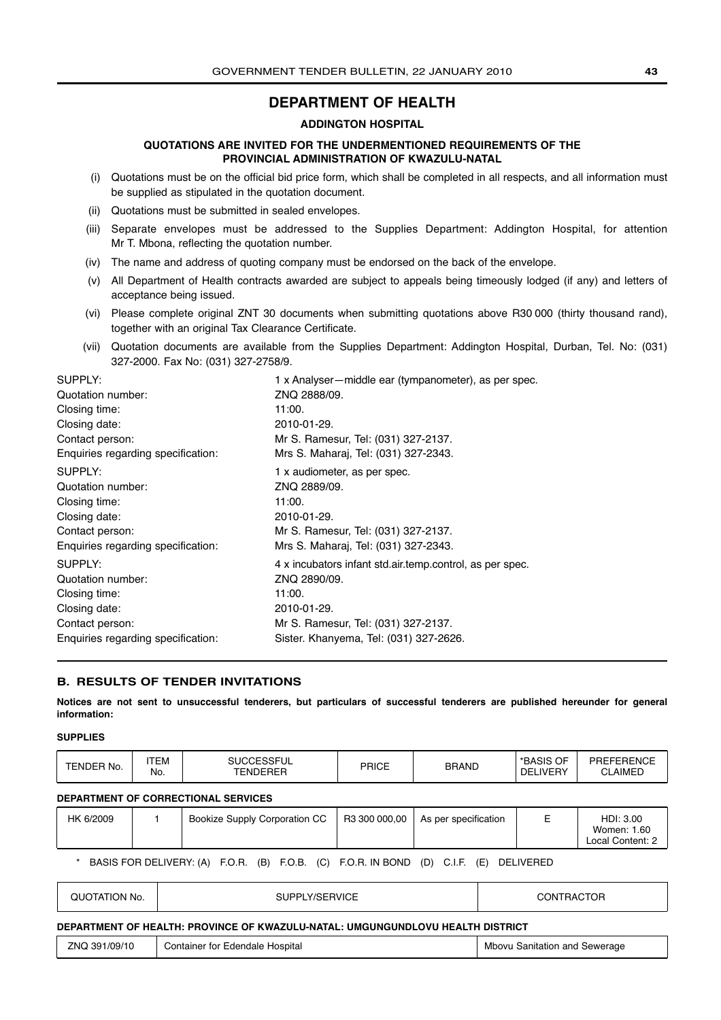## **DEPARTMENT OF HEALTH**

## **ADDINGTON HOSPITAL**

## **QUOTATIONS ARE INVITED FOR THE UNDERMENTIONED REQUIREMENTS OF THE PROVINCIAL ADMINISTRATION OF KWAZULU-NATAL**

- <span id="page-42-0"></span>(i) Quotations must be on the official bid price form, which shall be completed in all respects, and all information must be supplied as stipulated in the quotation document.
- (ii) Quotations must be submitted in sealed envelopes.
- (iii) Separate envelopes must be addressed to the Supplies Department: Addington Hospital, for attention Mr T. Mbona, reflecting the quotation number.
- (iv) The name and address of quoting company must be endorsed on the back of the envelope.
- (v) All Department of Health contracts awarded are subject to appeals being timeously lodged (if any) and letters of acceptance being issued.
- (vi) Please complete original ZNT 30 documents when submitting quotations above R30 000 (thirty thousand rand), together with an original Tax Clearance Certificate.
- (vii) Quotation documents are available from the Supplies Department: Addington Hospital, Durban, Tel. No: (031) 327-2000. Fax No: (031) 327-2758/9.

| SUPPLY:                            | 1 x Analyser—middle ear (tympanometer), as per spec.     |
|------------------------------------|----------------------------------------------------------|
| Quotation number:                  | ZNQ 2888/09.                                             |
| Closing time:                      | 11:00.                                                   |
| Closing date:                      | 2010-01-29.                                              |
| Contact person:                    | Mr S. Ramesur, Tel: (031) 327-2137.                      |
| Enquiries regarding specification: | Mrs S. Maharaj, Tel: (031) 327-2343.                     |
| SUPPLY:                            | 1 x audiometer, as per spec.                             |
| Quotation number:                  | ZNQ 2889/09.                                             |
| Closing time:                      | 11:00.                                                   |
| Closing date:                      | 2010-01-29.                                              |
| Contact person:                    | Mr S. Ramesur, Tel: (031) 327-2137.                      |
| Enquiries regarding specification: | Mrs S. Maharaj, Tel: (031) 327-2343.                     |
| SUPPLY:                            | 4 x incubators infant std.air.temp.control, as per spec. |
| Quotation number:                  | ZNQ 2890/09.                                             |
| Closing time:                      | 11:00.                                                   |
| Closing date:                      | 2010-01-29.                                              |
| Contact person:                    | Mr S. Ramesur, Tel: (031) 327-2137.                      |
| Enquiries regarding specification: | Sister. Khanyema, Tel: (031) 327-2626.                   |

## **B. RESULTS OF TENDER INVITATIONS**

**Notices are not sent to unsuccessful tenderers, but particulars of successful tenderers are published hereunder for general information:**

## **SUPPLIES**

| TENDER No. | <b>SUCCESSEUL</b><br>'TEM<br>キンシト<br>'UL<br>No.<br><b>ENDERER</b> |  | PRICE | BRAND | OF<br>*BASIS<br>LIVERY<br>DE | PREFERENCE<br><b>AIMEI</b><br>◡∟ |
|------------|-------------------------------------------------------------------|--|-------|-------|------------------------------|----------------------------------|
|------------|-------------------------------------------------------------------|--|-------|-------|------------------------------|----------------------------------|

## **DEPARTMENT OF CORRECTIONAL SERVICES**

| HK 6/2009 |                                   | Bookize Supply Corporation CC |      | R3 300 000,00               | As per specification ** |            | HDI: 3.00<br>Women: 1.60<br>Local Content: 2 |
|-----------|-----------------------------------|-------------------------------|------|-----------------------------|-------------------------|------------|----------------------------------------------|
|           | <b>DACIC COD DEI IVEDV.</b> $(A)$ | (D)<br>E O D                  | EN R | $(0)$ EOD IN ROND $(0)$ CIE | $\sqrt{2}$              | DEI IVEDED |                                              |

| * BASIS FOR DELIVERY: (A) F.O.R. (B) F.O.B. (C) F.O.R. IN BOND (D) C.I.F. (E) DELIVERED |  |  |  |  |  |
|-----------------------------------------------------------------------------------------|--|--|--|--|--|
|                                                                                         |  |  |  |  |  |

| QUOTATION No. | SUPPLY/SERVICE | <b>CONTRACTOR</b> |
|---------------|----------------|-------------------|
|---------------|----------------|-------------------|

## **DEPARTMENT OF HEALTH: PROVINCE OF KWAZULU-NATAL: UMGUNGUNDLOVU HEALTH DISTRICT**

| 391/09/10<br>7NG. | Hospital<br>. Edendale '<br>∵tor I<br>Container | Mbovu<br>Sewerage<br>Sanitation and |
|-------------------|-------------------------------------------------|-------------------------------------|
|-------------------|-------------------------------------------------|-------------------------------------|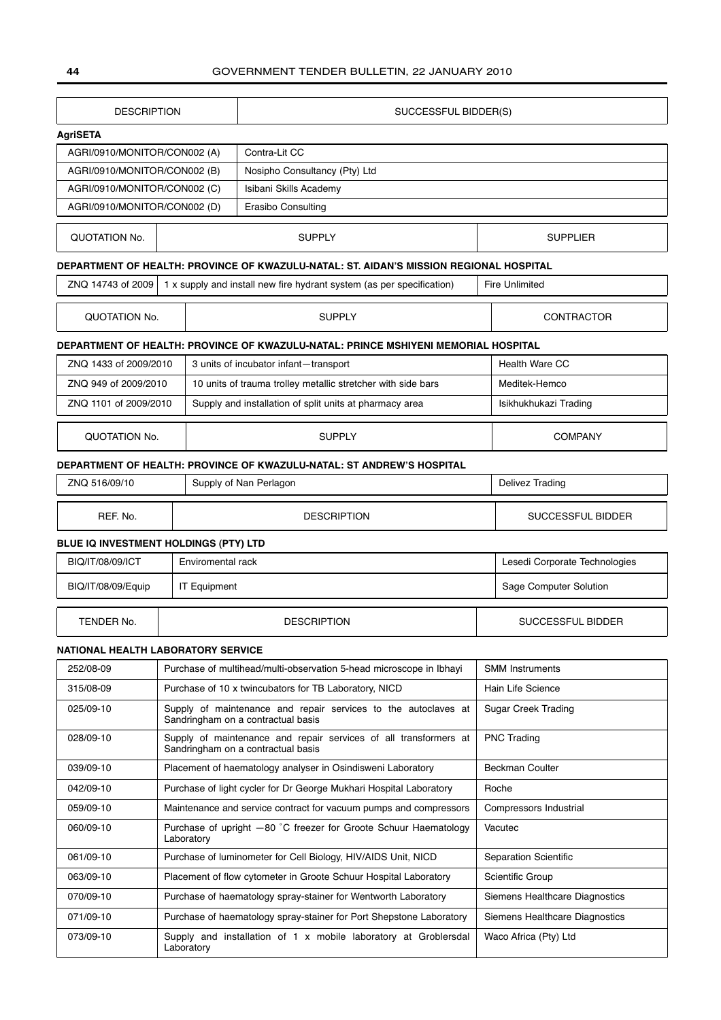| <b>DESCRIPTION</b>                        |                                                    |                                                                                | SUCCESSFUL BIDDER(S)                                                                                   |                              |                                |  |  |
|-------------------------------------------|----------------------------------------------------|--------------------------------------------------------------------------------|--------------------------------------------------------------------------------------------------------|------------------------------|--------------------------------|--|--|
| <b>AgriSETA</b>                           |                                                    |                                                                                |                                                                                                        |                              |                                |  |  |
|                                           | Contra-Lit CC<br>AGRI/0910/MONITOR/CON002 (A)      |                                                                                |                                                                                                        |                              |                                |  |  |
| AGRI/0910/MONITOR/CON002 (B)              |                                                    |                                                                                | Nosipho Consultancy (Pty) Ltd                                                                          |                              |                                |  |  |
| AGRI/0910/MONITOR/CON002 (C)              |                                                    |                                                                                |                                                                                                        |                              |                                |  |  |
|                                           | Erasibo Consulting<br>AGRI/0910/MONITOR/CON002 (D) |                                                                                |                                                                                                        |                              |                                |  |  |
| <b>QUOTATION No.</b>                      |                                                    |                                                                                | <b>SUPPLY</b>                                                                                          |                              | <b>SUPPLIER</b>                |  |  |
|                                           |                                                    |                                                                                | DEPARTMENT OF HEALTH: PROVINCE OF KWAZULU-NATAL: ST. AIDAN'S MISSION REGIONAL HOSPITAL                 |                              |                                |  |  |
| ZNQ 14743 of 2009                         |                                                    |                                                                                | 1 x supply and install new fire hydrant system (as per specification)                                  |                              | <b>Fire Unlimited</b>          |  |  |
| QUOTATION No.                             |                                                    |                                                                                | <b>SUPPLY</b>                                                                                          |                              | <b>CONTRACTOR</b>              |  |  |
|                                           |                                                    |                                                                                | DEPARTMENT OF HEALTH: PROVINCE OF KWAZULU-NATAL: PRINCE MSHIYENI MEMORIAL HOSPITAL                     |                              |                                |  |  |
| ZNQ 1433 of 2009/2010                     |                                                    |                                                                                | 3 units of incubator infant-transport                                                                  |                              | Health Ware CC                 |  |  |
| ZNQ 949 of 2009/2010                      |                                                    |                                                                                | 10 units of trauma trolley metallic stretcher with side bars                                           |                              | Meditek-Hemco                  |  |  |
| ZNO 1101 of 2009/2010                     |                                                    |                                                                                | Supply and installation of split units at pharmacy area                                                |                              | Isikhukhukazi Trading          |  |  |
| QUOTATION No.                             |                                                    |                                                                                | <b>SUPPLY</b>                                                                                          |                              | <b>COMPANY</b>                 |  |  |
|                                           |                                                    |                                                                                | DEPARTMENT OF HEALTH: PROVINCE OF KWAZULU-NATAL: ST ANDREW'S HOSPITAL                                  |                              |                                |  |  |
| ZNQ 516/09/10                             |                                                    |                                                                                | Supply of Nan Perlagon                                                                                 |                              | <b>Delivez Trading</b>         |  |  |
| REF. No.                                  |                                                    |                                                                                | <b>DESCRIPTION</b>                                                                                     |                              | SUCCESSFUL BIDDER              |  |  |
| BLUE IQ INVESTMENT HOLDINGS (PTY) LTD     |                                                    |                                                                                |                                                                                                        |                              |                                |  |  |
| BIQ/IT/08/09/ICT                          |                                                    | Enviromental rack                                                              |                                                                                                        |                              | Lesedi Corporate Technologies  |  |  |
| BIQ/IT/08/09/Equip                        |                                                    | <b>IT Equipment</b>                                                            |                                                                                                        |                              | Sage Computer Solution         |  |  |
| TENDER No.                                |                                                    |                                                                                | <b>DESCRIPTION</b>                                                                                     |                              | <b>SUCCESSFUL BIDDER</b>       |  |  |
| <b>NATIONAL HEALTH LABORATORY SERVICE</b> |                                                    |                                                                                |                                                                                                        |                              |                                |  |  |
| 252/08-09                                 |                                                    |                                                                                | Purchase of multihead/multi-observation 5-head microscope in Ibhayi                                    |                              | <b>SMM Instruments</b>         |  |  |
| 315/08-09                                 |                                                    |                                                                                | Purchase of 10 x twincubators for TB Laboratory, NICD                                                  |                              | Hain Life Science              |  |  |
| 025/09-10                                 |                                                    |                                                                                | Supply of maintenance and repair services to the autoclaves at<br>Sandringham on a contractual basis   |                              | <b>Sugar Creek Trading</b>     |  |  |
| 028/09-10                                 |                                                    |                                                                                | Supply of maintenance and repair services of all transformers at<br>Sandringham on a contractual basis |                              | <b>PNC Trading</b>             |  |  |
| 039/09-10                                 |                                                    |                                                                                | Placement of haematology analyser in Osindisweni Laboratory                                            |                              | Beckman Coulter                |  |  |
| 042/09-10                                 |                                                    |                                                                                | Purchase of light cycler for Dr George Mukhari Hospital Laboratory                                     |                              | Roche                          |  |  |
| 059/09-10                                 |                                                    |                                                                                | Maintenance and service contract for vacuum pumps and compressors                                      |                              | Compressors Industrial         |  |  |
| 060/09-10                                 |                                                    | Purchase of upright -80 °C freezer for Groote Schuur Haematology<br>Laboratory |                                                                                                        |                              | Vacutec                        |  |  |
| 061/09-10                                 |                                                    |                                                                                | Purchase of luminometer for Cell Biology, HIV/AIDS Unit, NICD                                          | <b>Separation Scientific</b> |                                |  |  |
| 063/09-10                                 |                                                    |                                                                                | Placement of flow cytometer in Groote Schuur Hospital Laboratory                                       |                              | Scientific Group               |  |  |
| 070/09-10                                 |                                                    |                                                                                | Purchase of haematology spray-stainer for Wentworth Laboratory                                         |                              | Siemens Healthcare Diagnostics |  |  |
| 071/09-10                                 |                                                    |                                                                                | Purchase of haematology spray-stainer for Port Shepstone Laboratory                                    |                              | Siemens Healthcare Diagnostics |  |  |
| 073/09-10                                 |                                                    | Laboratory                                                                     | Supply and installation of 1 x mobile laboratory at Groblersdal                                        |                              | Waco Africa (Pty) Ltd          |  |  |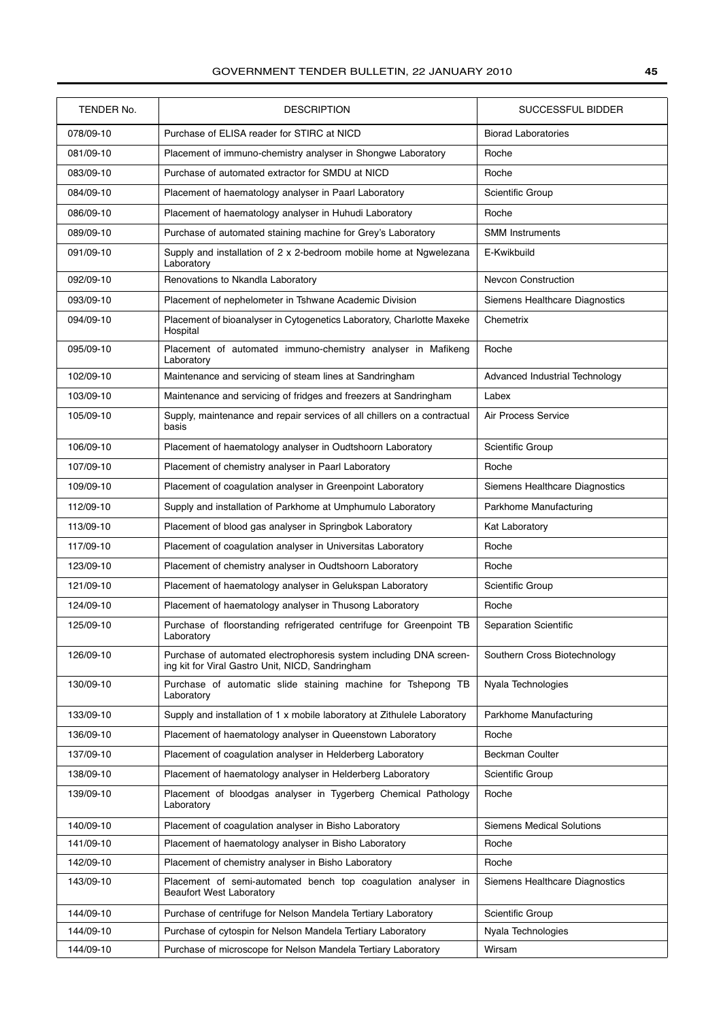| TENDER No. | <b>DESCRIPTION</b>                                                                                                     | <b>SUCCESSFUL BIDDER</b>         |
|------------|------------------------------------------------------------------------------------------------------------------------|----------------------------------|
| 078/09-10  | Purchase of ELISA reader for STIRC at NICD                                                                             | <b>Biorad Laboratories</b>       |
| 081/09-10  | Placement of immuno-chemistry analyser in Shongwe Laboratory                                                           | Roche                            |
| 083/09-10  | Purchase of automated extractor for SMDU at NICD                                                                       | Roche                            |
| 084/09-10  | Placement of haematology analyser in Paarl Laboratory                                                                  | Scientific Group                 |
| 086/09-10  | Placement of haematology analyser in Huhudi Laboratory                                                                 | Roche                            |
| 089/09-10  | Purchase of automated staining machine for Grey's Laboratory                                                           | <b>SMM Instruments</b>           |
| 091/09-10  | Supply and installation of 2 x 2-bedroom mobile home at Ngwelezana<br>Laboratory                                       | E-Kwikbuild                      |
| 092/09-10  | Renovations to Nkandla Laboratory                                                                                      | <b>Nevcon Construction</b>       |
| 093/09-10  | Placement of nephelometer in Tshwane Academic Division                                                                 | Siemens Healthcare Diagnostics   |
| 094/09-10  | Placement of bioanalyser in Cytogenetics Laboratory, Charlotte Maxeke<br>Hospital                                      | Chemetrix                        |
| 095/09-10  | Placement of automated immuno-chemistry analyser in Mafikeng<br>Laboratory                                             | Roche                            |
| 102/09-10  | Maintenance and servicing of steam lines at Sandringham                                                                | Advanced Industrial Technology   |
| 103/09-10  | Maintenance and servicing of fridges and freezers at Sandringham                                                       | Labex                            |
| 105/09-10  | Supply, maintenance and repair services of all chillers on a contractual<br>basis                                      | Air Process Service              |
| 106/09-10  | Placement of haematology analyser in Oudtshoorn Laboratory                                                             | Scientific Group                 |
| 107/09-10  | Placement of chemistry analyser in Paarl Laboratory                                                                    | Roche                            |
| 109/09-10  | Placement of coagulation analyser in Greenpoint Laboratory                                                             | Siemens Healthcare Diagnostics   |
| 112/09-10  | Supply and installation of Parkhome at Umphumulo Laboratory                                                            | Parkhome Manufacturing           |
| 113/09-10  | Placement of blood gas analyser in Springbok Laboratory                                                                | Kat Laboratory                   |
| 117/09-10  | Placement of coagulation analyser in Universitas Laboratory                                                            | Roche                            |
| 123/09-10  | Placement of chemistry analyser in Oudtshoorn Laboratory                                                               | Roche                            |
| 121/09-10  | Placement of haematology analyser in Gelukspan Laboratory                                                              | Scientific Group                 |
| 124/09-10  | Placement of haematology analyser in Thusong Laboratory                                                                | Roche                            |
| 125/09-10  | Purchase of floorstanding refrigerated centrifuge for Greenpoint TB<br>Laboratory                                      | <b>Separation Scientific</b>     |
| 126/09-10  | Purchase of automated electrophoresis system including DNA screen-<br>ing kit for Viral Gastro Unit, NICD, Sandringham | Southern Cross Biotechnology     |
| 130/09-10  | Purchase of automatic slide staining machine for Tshepong TB<br>Laboratory                                             | Nyala Technologies               |
| 133/09-10  | Supply and installation of 1 x mobile laboratory at Zithulele Laboratory                                               | Parkhome Manufacturing           |
| 136/09-10  | Placement of haematology analyser in Queenstown Laboratory                                                             | Roche                            |
| 137/09-10  | Placement of coagulation analyser in Helderberg Laboratory                                                             | <b>Beckman Coulter</b>           |
| 138/09-10  | Placement of haematology analyser in Helderberg Laboratory                                                             | Scientific Group                 |
| 139/09-10  | Placement of bloodgas analyser in Tygerberg Chemical Pathology<br>Laboratory                                           | Roche                            |
| 140/09-10  | Placement of coagulation analyser in Bisho Laboratory                                                                  | <b>Siemens Medical Solutions</b> |
| 141/09-10  | Placement of haematology analyser in Bisho Laboratory                                                                  | Roche                            |
| 142/09-10  | Placement of chemistry analyser in Bisho Laboratory                                                                    | Roche                            |
| 143/09-10  | Placement of semi-automated bench top coagulation analyser in<br><b>Beaufort West Laboratory</b>                       | Siemens Healthcare Diagnostics   |
| 144/09-10  | Purchase of centrifuge for Nelson Mandela Tertiary Laboratory                                                          | Scientific Group                 |
| 144/09-10  | Purchase of cytospin for Nelson Mandela Tertiary Laboratory                                                            | Nyala Technologies               |
| 144/09-10  | Purchase of microscope for Nelson Mandela Tertiary Laboratory                                                          | Wirsam                           |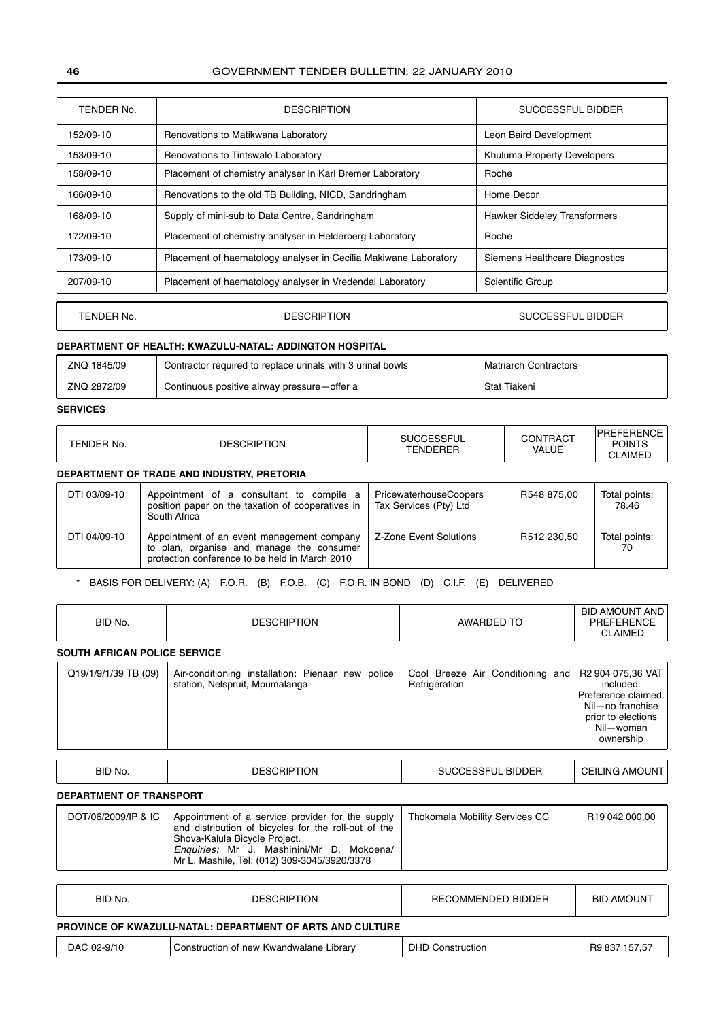| TENDER No. | <b>DESCRIPTION</b>                                               | SUCCESSFUL BIDDER                   |
|------------|------------------------------------------------------------------|-------------------------------------|
| 152/09-10  | Renovations to Matikwana Laboratory                              | Leon Baird Development              |
| 153/09-10  | Renovations to Tintswalo Laboratory                              | Khuluma Property Developers         |
| 158/09-10  | Placement of chemistry analyser in Karl Bremer Laboratory        | Roche                               |
| 166/09-10  | Renovations to the old TB Building, NICD, Sandringham            | Home Decor                          |
| 168/09-10  | Supply of mini-sub to Data Centre, Sandringham                   | <b>Hawker Siddeley Transformers</b> |
| 172/09-10  | Placement of chemistry analyser in Helderberg Laboratory         | Roche                               |
| 173/09-10  | Placement of haematology analyser in Cecilia Makiwane Laboratory | Siemens Healthcare Diagnostics      |
| 207/09-10  | Placement of haematology analyser in Vredendal Laboratory        | Scientific Group                    |
|            |                                                                  |                                     |
| TENDER No. | <b>DESCRIPTION</b>                                               | SUCCESSFUL BIDDER                   |

## **DEPARTMENT OF HEALTH: KWAZULU-NATAL: ADDINGTON HOSPITAL**

| ZNQ 1845/09 | Contractor required to replace urinals with 3 urinal bowls | <b>Matriarch Contractors</b> |
|-------------|------------------------------------------------------------|------------------------------|
| ZNQ 2872/09 | Continuous positive airway pressure—offer a                | Stat Tiakeni                 |

## **SERVICES**

| TENDER No.                                 | <b>DESCRIPTION</b> | <b>SUCCESSFUL</b><br><b>TFNDFRFR</b> | CONTRACT<br>VALUE | <b>POINTS</b><br>CLAIMED |  |
|--------------------------------------------|--------------------|--------------------------------------|-------------------|--------------------------|--|
| DEPARTMENT OF TRADE AND INDUSTRY, PRETORIA |                    |                                      |                   |                          |  |

| DTI 03/09-10 | Appointment of a consultant to compile a<br>position paper on the taxation of cooperatives in<br>South Africa                             | PricewaterhouseCoopers<br>Tax Services (Pty) Ltd | R548 875.00 | Total points:<br>78.46 |
|--------------|-------------------------------------------------------------------------------------------------------------------------------------------|--------------------------------------------------|-------------|------------------------|
| DTI 04/09-10 | Appointment of an event management company<br>to plan, organise and manage the consumer<br>protection conference to be held in March 2010 | Z-Zone Event Solutions                           | R512 230.50 | Total points:<br>70    |

## \* BASIS FOR DELIVERY: (A) F.O.R. (B) F.O.B. (C) F.O.R. IN BOND (D) C.I.F. (E) DELIVERED

| BID No.                             | <b>DESCRIPTION</b>                                                                  | AWARDED TO                                        | <b>BID AMOUNT AND</b><br><b>PREFERENCE</b><br><b>CLAIMED</b>                                                              |
|-------------------------------------|-------------------------------------------------------------------------------------|---------------------------------------------------|---------------------------------------------------------------------------------------------------------------------------|
| <b>SOUTH AFRICAN POLICE SERVICE</b> |                                                                                     |                                                   |                                                                                                                           |
| Q19/1/9/1/39 TB (09)                | Air-conditioning installation: Pienaar new police<br>station, Nelspruit, Mpumalanga | Cool Breeze Air Conditioning and<br>Refrigeration | R2 904 075,36 VAT<br>included.<br>Preference claimed.<br>Nil-no franchise<br>prior to elections<br>Nil-woman<br>ownership |
|                                     |                                                                                     |                                                   |                                                                                                                           |
| BID No.                             | <b>DESCRIPTION</b>                                                                  | <b>SUCCESSFUL BIDDER</b>                          | <b>CEILING AMOUNT</b>                                                                                                     |

## **DEPARTMENT OF TRANSPORT**

ŗ

| DOT/06/2009/IP & IC   Appointment of a service provider for the supply<br>and distribution of bicycles for the roll-out of the<br>Shova-Kalula Bicycle Project.<br>Enquiries: Mr J. Mashinini/Mr D. Mokoena/<br>Mr L. Mashile, Tel: (012) 309-3045/3920/3378 | Thokomala Mobility Services CC | R <sub>19</sub> 042 000.00 |
|--------------------------------------------------------------------------------------------------------------------------------------------------------------------------------------------------------------------------------------------------------------|--------------------------------|----------------------------|
|--------------------------------------------------------------------------------------------------------------------------------------------------------------------------------------------------------------------------------------------------------------|--------------------------------|----------------------------|

| BID No.                                                          | <b>DESCRIPTION</b>                      | RECOMMENDED BIDDER      | <b>BID AMOUNT</b> |  |
|------------------------------------------------------------------|-----------------------------------------|-------------------------|-------------------|--|
| <b>PROVINCE OF KWAZULU-NATAL: DEPARTMENT OF ARTS AND CULTURE</b> |                                         |                         |                   |  |
| DAC 02-9/10                                                      | Construction of new Kwandwalane Library | <b>DHD Construction</b> | R9 837 157,57     |  |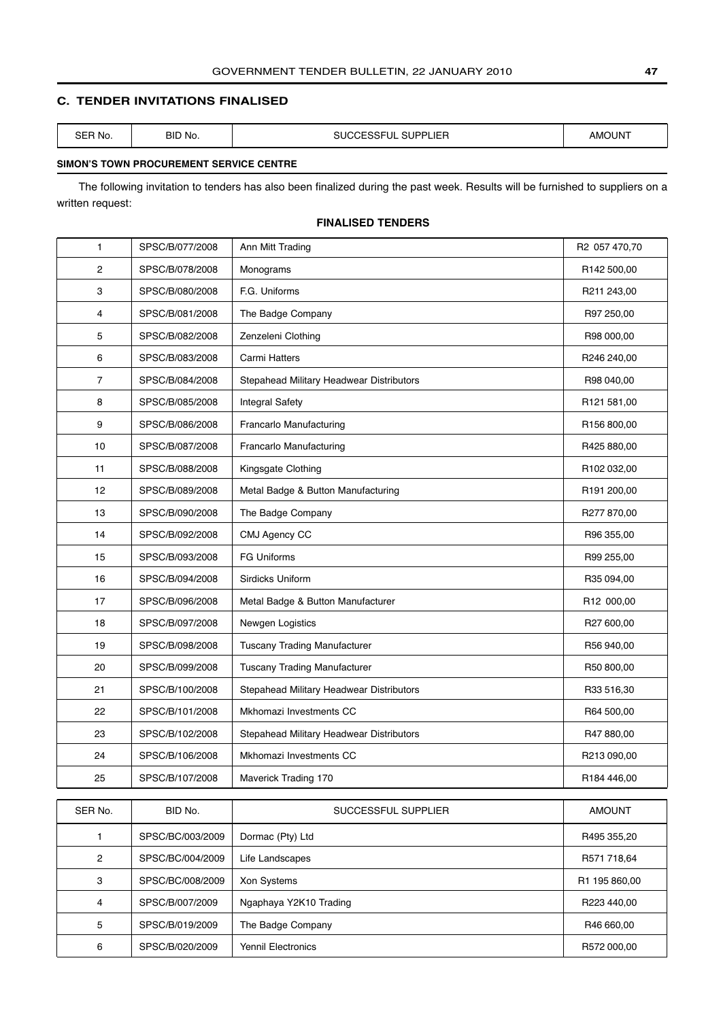## <span id="page-46-0"></span>**C. TENDER INVITATIONS FINALISED**

| ∼г<br>No.<br>SЕ<br>_______ | BID No. | $\sim$<br>$- -$<br>י המו<br>,,,,<br>$- -$<br>5UP<br>л. –<br>u<br>.ാ⊃⊏'<br>_<br>--- | רוחו ור<br>AMC |
|----------------------------|---------|------------------------------------------------------------------------------------|----------------|
|                            |         |                                                                                    |                |

## **SIMON'S TOWN PROCUREMENT SERVICE CENTRE**

The following invitation to tenders has also been finalized during the past week. Results will be furnished to suppliers on a written request:

## **FINALISED TENDERS**

| $\mathbf{1}$   | SPSC/B/077/2008 | Ann Mitt Trading                         | R2 057 470,70 |
|----------------|-----------------|------------------------------------------|---------------|
| $\overline{c}$ | SPSC/B/078/2008 | Monograms                                | R142 500,00   |
| 3              | SPSC/B/080/2008 | F.G. Uniforms                            | R211 243,00   |
| 4              | SPSC/B/081/2008 | The Badge Company                        | R97 250,00    |
| 5              | SPSC/B/082/2008 | Zenzeleni Clothing                       | R98 000,00    |
| 6              | SPSC/B/083/2008 | Carmi Hatters                            | R246 240,00   |
| $\overline{7}$ | SPSC/B/084/2008 | Stepahead Military Headwear Distributors | R98 040,00    |
| 8              | SPSC/B/085/2008 | <b>Integral Safety</b>                   | R121 581,00   |
| 9              | SPSC/B/086/2008 | Francarlo Manufacturing                  | R156 800,00   |
| 10             | SPSC/B/087/2008 | Francarlo Manufacturing                  | R425 880,00   |
| 11             | SPSC/B/088/2008 | Kingsgate Clothing                       | R102 032,00   |
| 12             | SPSC/B/089/2008 | Metal Badge & Button Manufacturing       | R191 200,00   |
| 13             | SPSC/B/090/2008 | The Badge Company                        | R277 870,00   |
| 14             | SPSC/B/092/2008 | CMJ Agency CC                            | R96 355,00    |
| 15             | SPSC/B/093/2008 | <b>FG Uniforms</b>                       | R99 255,00    |
| 16             | SPSC/B/094/2008 | Sirdicks Uniform                         | R35 094,00    |
| 17             | SPSC/B/096/2008 | Metal Badge & Button Manufacturer        | R12 000,00    |
| 18             | SPSC/B/097/2008 | Newgen Logistics                         | R27 600,00    |
| 19             | SPSC/B/098/2008 | <b>Tuscany Trading Manufacturer</b>      | R56 940,00    |
| 20             | SPSC/B/099/2008 | <b>Tuscany Trading Manufacturer</b>      | R50 800,00    |
| 21             | SPSC/B/100/2008 | Stepahead Military Headwear Distributors | R33 516,30    |
| 22             | SPSC/B/101/2008 | Mkhomazi Investments CC                  | R64 500,00    |
| 23             | SPSC/B/102/2008 | Stepahead Military Headwear Distributors | R47880,00     |
| 24             | SPSC/B/106/2008 | Mkhomazi Investments CC                  | R213 090,00   |
| 25             | SPSC/B/107/2008 | Maverick Trading 170                     | R184 446,00   |
|                |                 |                                          |               |
| SER No.        | BID No.         | SUCCESSFUL SUPPLIER                      | <b>AMOUNT</b> |

| SER No. | BID No.          | SUCCESSFUL SUPPLIER       | AMOUNT        |
|---------|------------------|---------------------------|---------------|
|         | SPSC/BC/003/2009 | Dormac (Pty) Ltd          | R495 355,20   |
| 2       | SPSC/BC/004/2009 | Life Landscapes           | R571 718,64   |
| 3       | SPSC/BC/008/2009 | <b>Xon Systems</b>        | R1 195 860,00 |
| 4       | SPSC/B/007/2009  | Ngaphaya Y2K10 Trading    | R223 440,00   |
| 5       | SPSC/B/019/2009  | The Badge Company         | R46 660,00    |
| 6       | SPSC/B/020/2009  | <b>Yennil Electronics</b> | R572 000,00   |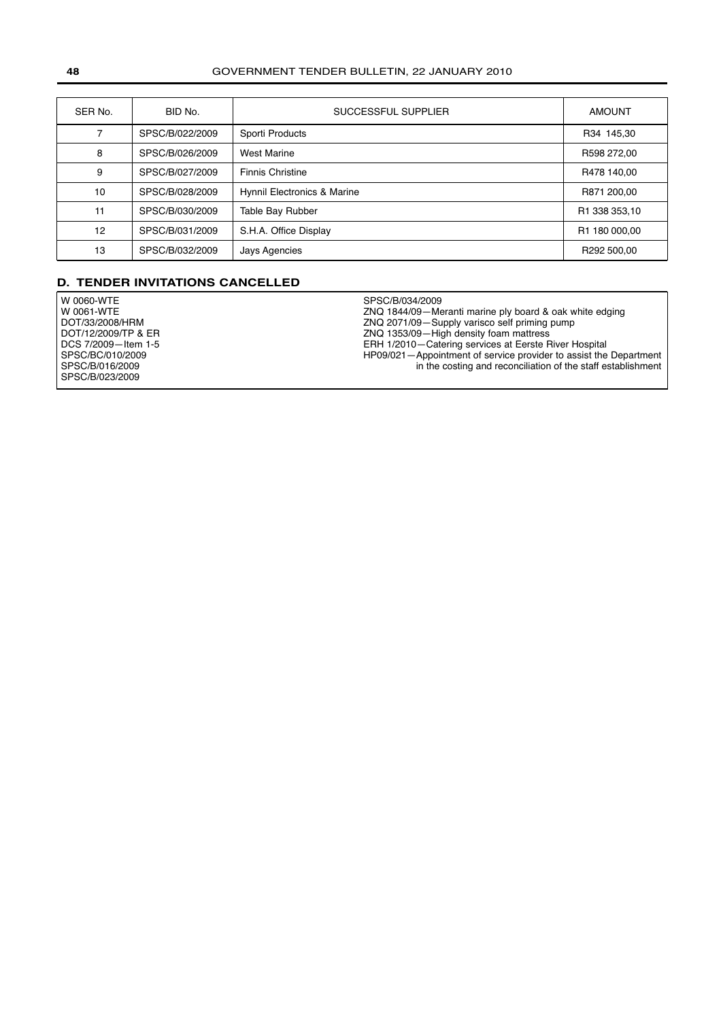<span id="page-47-0"></span>

| SER No. | BID No.         | SUCCESSFUL SUPPLIER         | <b>AMOUNT</b> |
|---------|-----------------|-----------------------------|---------------|
|         | SPSC/B/022/2009 | Sporti Products             | R34 145,30    |
| 8       | SPSC/B/026/2009 | <b>West Marine</b>          | R598 272,00   |
| 9       | SPSC/B/027/2009 | <b>Finnis Christine</b>     | R478 140,00   |
| 10      | SPSC/B/028/2009 | Hynnil Electronics & Marine | R871 200,00   |
| 11      | SPSC/B/030/2009 | Table Bay Rubber            | R1 338 353,10 |
| 12      | SPSC/B/031/2009 | S.H.A. Office Display       | R1 180 000,00 |
| 13      | SPSC/B/032/2009 | Jays Agencies               | R292 500.00   |

## **D. TENDER INVITATIONS CANCELLED**

| W 0060-WTE          | SPSC/B/034/2009                                                     |
|---------------------|---------------------------------------------------------------------|
| W 0061-WTE          | ZNQ 1844/09-Meranti marine ply board & oak white edging             |
| DOT/33/2008/HRM     | ZNQ 2071/09-Supply varisco self priming pump                        |
| DOT/12/2009/TP & ER | ZNQ 1353/09-High density foam mattress                              |
| DCS 7/2009-Item 1-5 | ERH 1/2010–Catering services at Eerste River Hospital               |
| SPSC/BC/010/2009    | HP09/021 – Appointment of service provider to assist the Department |
| SPSC/B/016/2009     | in the costing and reconciliation of the staff establishment        |
| SPSC/B/023/2009     |                                                                     |
|                     |                                                                     |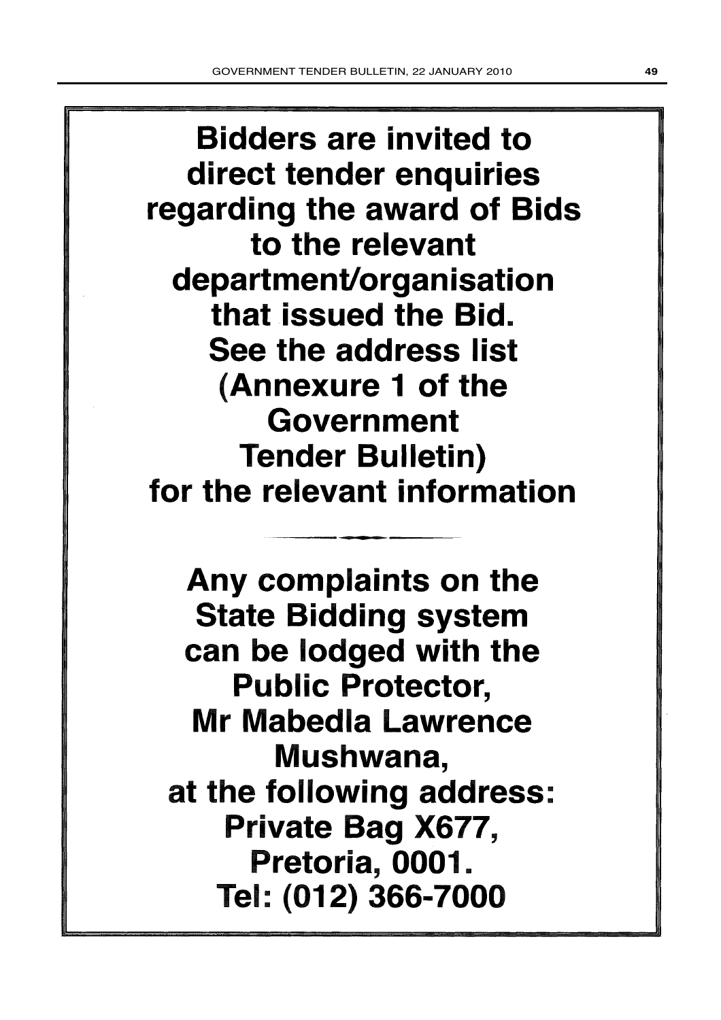**Bidders are invited to** direct tender enquiries regarding the award of Bids to the relevant department/organisation that issued the Bid. See the address list (Annexure 1 of the Government **Tender Bulletin)** for the relevant information

Any complaints on the **State Bidding system** can be lodged with the **Public Protector,** Mr Mabedla Lawrence Mushwana, at the following address: Private Bag X677, Pretoria, 0001. Tel: (012) 366-7000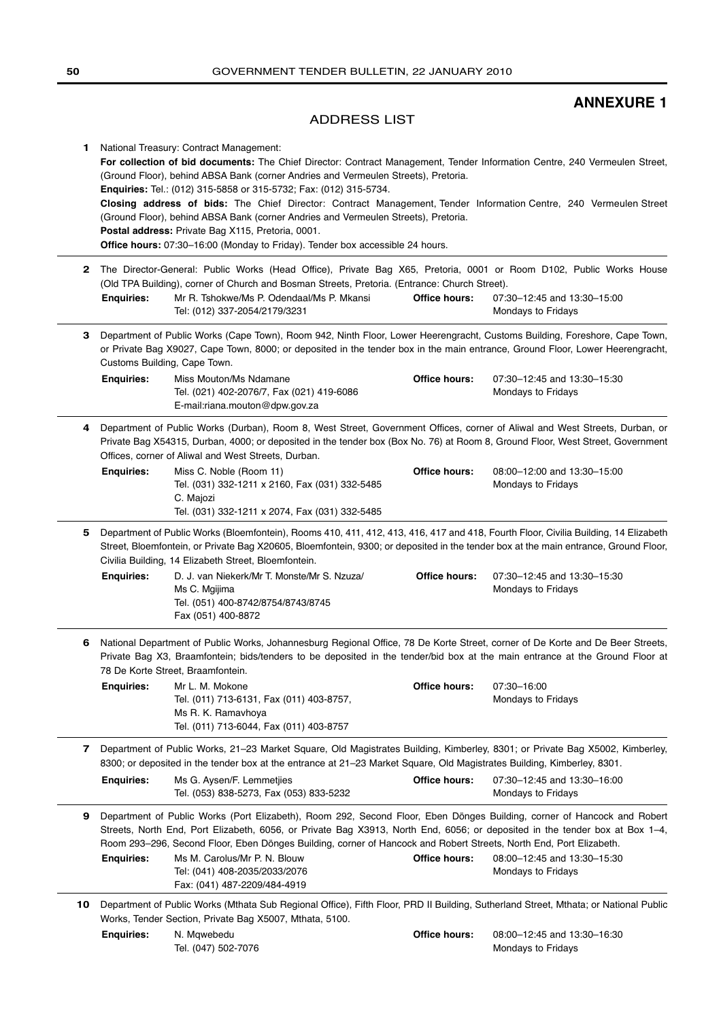## **ANNEXURE 1**

## ADDRESS LIST

<span id="page-49-0"></span>

| <b>1</b> National Treasury: Contract Management:                                                                           |  |  |  |  |
|----------------------------------------------------------------------------------------------------------------------------|--|--|--|--|
| For collection of bid documents: The Chief Director: Contract Management, Tender Information Centre, 240 Vermeulen Street, |  |  |  |  |
| (Ground Floor), behind ABSA Bank (corner Andries and Vermeulen Streets), Pretoria.                                         |  |  |  |  |
| <b>Enquiries:</b> Tel.: (012) 315-5858 or 315-5732; Fax: (012) 315-5734.                                                   |  |  |  |  |
| Closing address of bids: The Chief Director: Contract Management, Tender Information Centre, 240 Vermeulen Street          |  |  |  |  |
| (Ground Floor), behind ABSA Bank (corner Andries and Vermeulen Streets), Pretoria.                                         |  |  |  |  |
| Postal address: Private Bag X115, Pretoria, 0001.                                                                          |  |  |  |  |
| <b>Office hours:</b> 07:30–16:00 (Monday to Friday). Tender box accessible 24 hours.                                       |  |  |  |  |
|                                                                                                                            |  |  |  |  |

- **2** The Director-General: Public Works (Head Office), Private Bag X65, Pretoria, 0001 or Room D102, Public Works House (Old TPA Building), corner of Church and Bosman Streets, Pretoria. (Entrance: Church Street). **Office hours:** 07:30–12:45 and 13:30–15:00 Mondays to Fridays **Enquiries:** Mr R. Tshokwe/Ms P. Odendaal/Ms P. Mkansi Tel: (012) 337-2054/2179/3231
- **3** Department of Public Works (Cape Town), Room 942, Ninth Floor, Lower Heerengracht, Customs Building, Foreshore, Cape Town, or Private Bag X9027, Cape Town, 8000; or deposited in the tender box in the main entrance, Ground Floor, Lower Heerengracht, Customs Building, Cape Town.

**Office hours:** 07:30–12:45 and 13:30–15:30 Mondays to Fridays **Enquiries:** Miss Mouton/Ms Ndamane Tel. (021) 402-2076/7, Fax (021) 419-6086 E-mail:riana.mouton@dpw.gov.za

**4** Department of Public Works (Durban), Room 8, West Street, Government Offices, corner of Aliwal and West Streets, Durban, or Private Bag X54315, Durban, 4000; or deposited in the tender box (Box No. 76) at Room 8, Ground Floor, West Street, Government Offices, corner of Aliwal and West Streets, Durban.

| <b>Enguiries:</b> | Miss C. Noble (Room 11)                        | Office hours: | 08:00-12:00 and 13:30-15:00 |  |
|-------------------|------------------------------------------------|---------------|-----------------------------|--|
|                   | Tel. (031) 332-1211 x 2160, Fax (031) 332-5485 |               | Mondays to Fridays          |  |
|                   | C. Maiozi                                      |               |                             |  |
|                   | Tel. (031) 332-1211 x 2074, Fax (031) 332-5485 |               |                             |  |

- **5** Department of Public Works (Bloemfontein), Rooms 410, 411, 412, 413, 416, 417 and 418, Fourth Floor, Civilia Building, 14 Elizabeth Street, Bloemfontein, or Private Bag X20605, Bloemfontein, 9300; or deposited in the tender box at the main entrance, Ground Floor, Civilia Building, 14 Elizabeth Street, Bloemfontein. **Office hours:** 07:30–12:45 and 13:30–15:30 **Enquiries:** D. J. van Niekerk/Mr T. Monste/Mr S. Nzuza/
	- Mondays to Fridays Ms C. Mgijima Tel. (051) 400-8742/8754/8743/8745 Fax (051) 400-8872
- **6** National Department of Public Works, Johannesburg Regional Office, 78 De Korte Street, corner of De Korte and De Beer Streets, Private Bag X3, Braamfontein; bids/tenders to be deposited in the tender/bid box at the main entrance at the Ground Floor at 78 De Korte Street, Braamfontein.

| <b>Enguiries:</b> | Mr L. M. Mokone                          | <b>Office hours:</b> | 07:30-16:00        |
|-------------------|------------------------------------------|----------------------|--------------------|
|                   | Tel. (011) 713-6131, Fax (011) 403-8757, |                      | Mondays to Fridays |
|                   | Ms R. K. Ramavhova                       |                      |                    |
|                   | Tel. (011) 713-6044, Fax (011) 403-8757  |                      |                    |

**7** Department of Public Works, 21–23 Market Square, Old Magistrates Building, Kimberley, 8301; or Private Bag X5002, Kimberley, 8300; or deposited in the tender box at the entrance at 21–23 Market Square, Old Magistrates Building, Kimberley, 8301.

| <b>Enguiries:</b> | Ms G. Aysen/F. Lemmetijes               | Office hours: | 07:30–12:45 and 13:30–16:00 |
|-------------------|-----------------------------------------|---------------|-----------------------------|
|                   | Tel. (053) 838-5273, Fax (053) 833-5232 |               | Mondays to Fridays          |

- **9** Department of Public Works (Port Elizabeth), Room 292, Second Floor, Eben Dönges Building, corner of Hancock and Robert Streets, North End, Port Elizabeth, 6056, or Private Bag X3913, North End, 6056; or deposited in the tender box at Box 1–4, Room 293–296, Second Floor, Eben Dönges Building, corner of Hancock and Robert Streets, North End, Port Elizabeth. **Office hours:** 08:00–12:45 and 13:30–15:30 Mondays to Fridays **Enquiries:** Ms M. Carolus/Mr P. N. Blouw Tel: (041) 408-2035/2033/2076 Fax: (041) 487-2209/484-4919
- **10** Department of Public Works (Mthata Sub Regional Office), Fifth Floor, PRD II Building, Sutherland Street, Mthata; or National Public Works, Tender Section, Private Bag X5007, Mthata, 5100.

**Office hours:** 08:00–12:45 and 13:30–16:30 Mondays to Fridays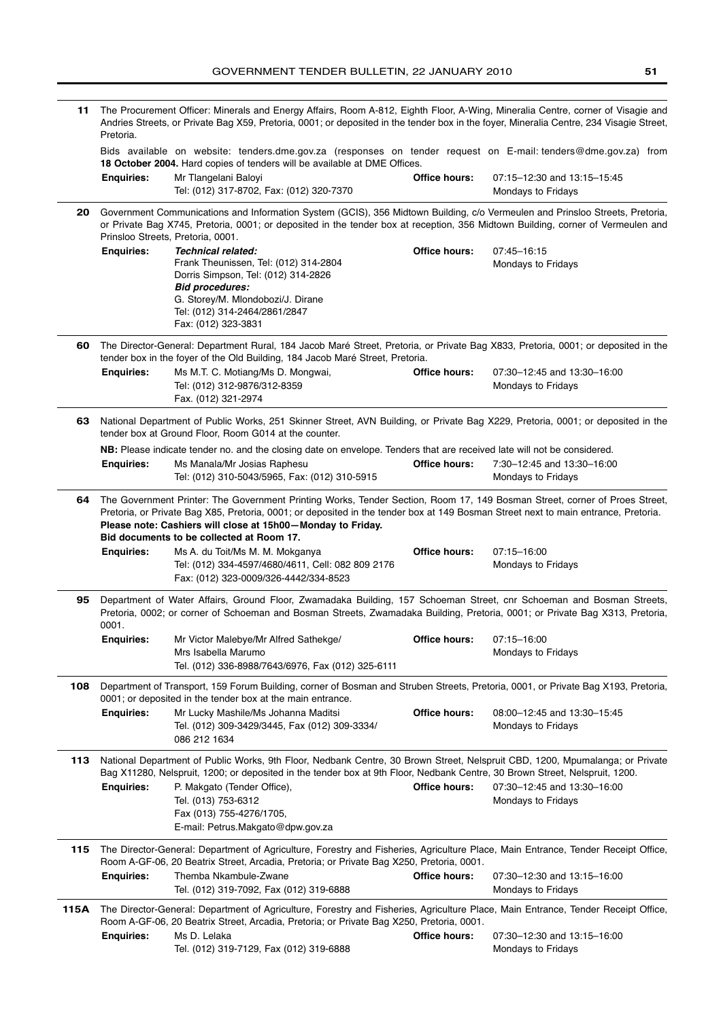| 11   | The Procurement Officer: Minerals and Energy Affairs, Room A-812, Eighth Floor, A-Wing, Mineralia Centre, corner of Visagie and<br>Andries Streets, or Private Bag X59, Pretoria, 0001; or deposited in the tender box in the foyer, Mineralia Centre, 234 Visagie Street,<br>Pretoria.                                                                                      |                                                                                                                                                                                                                                                                                                                                                                                    |               |                                                          |
|------|------------------------------------------------------------------------------------------------------------------------------------------------------------------------------------------------------------------------------------------------------------------------------------------------------------------------------------------------------------------------------|------------------------------------------------------------------------------------------------------------------------------------------------------------------------------------------------------------------------------------------------------------------------------------------------------------------------------------------------------------------------------------|---------------|----------------------------------------------------------|
|      |                                                                                                                                                                                                                                                                                                                                                                              | Bids available on website: tenders.dme.gov.za (responses on tender request on E-mail: tenders@dme.gov.za) from<br>18 October 2004. Hard copies of tenders will be available at DME Offices.                                                                                                                                                                                        |               |                                                          |
|      | <b>Enquiries:</b>                                                                                                                                                                                                                                                                                                                                                            | Mr Tlangelani Baloyi<br>Tel: (012) 317-8702, Fax: (012) 320-7370                                                                                                                                                                                                                                                                                                                   | Office hours: | 07:15-12:30 and 13:15-15:45<br>Mondays to Fridays        |
| 20   |                                                                                                                                                                                                                                                                                                                                                                              | Government Communications and Information System (GCIS), 356 Midtown Building, c/o Vermeulen and Prinsloo Streets, Pretoria,<br>or Private Bag X745, Pretoria, 0001; or deposited in the tender box at reception, 356 Midtown Building, corner of Vermeulen and<br>Prinsloo Streets, Pretoria, 0001.                                                                               |               |                                                          |
|      | <b>Enquiries:</b>                                                                                                                                                                                                                                                                                                                                                            | <b>Technical related:</b><br>Frank Theunissen, Tel: (012) 314-2804<br>Dorris Simpson, Tel: (012) 314-2826<br><b>Bid procedures:</b><br>G. Storey/M. Mlondobozi/J. Dirane<br>Tel: (012) 314-2464/2861/2847<br>Fax: (012) 323-3831                                                                                                                                                   | Office hours: | 07:45-16:15<br>Mondays to Fridays                        |
| 60   | The Director-General: Department Rural, 184 Jacob Maré Street, Pretoria, or Private Bag X833, Pretoria, 0001; or deposited in the<br>tender box in the foyer of the Old Building, 184 Jacob Maré Street, Pretoria.                                                                                                                                                           |                                                                                                                                                                                                                                                                                                                                                                                    |               |                                                          |
|      | <b>Enquiries:</b>                                                                                                                                                                                                                                                                                                                                                            | Ms M.T. C. Motiang/Ms D. Mongwai,<br>Tel: (012) 312-9876/312-8359<br>Fax. (012) 321-2974                                                                                                                                                                                                                                                                                           | Office hours: | 07:30-12:45 and 13:30-16:00<br><b>Mondays to Fridays</b> |
| 63   | National Department of Public Works, 251 Skinner Street, AVN Building, or Private Bag X229, Pretoria, 0001; or deposited in the<br>tender box at Ground Floor, Room G014 at the counter.                                                                                                                                                                                     |                                                                                                                                                                                                                                                                                                                                                                                    |               |                                                          |
|      | <b>Enquiries:</b>                                                                                                                                                                                                                                                                                                                                                            | NB: Please indicate tender no. and the closing date on envelope. Tenders that are received late will not be considered.<br>Ms Manala/Mr Josias Raphesu<br>Tel: (012) 310-5043/5965, Fax: (012) 310-5915                                                                                                                                                                            | Office hours: | 7:30-12:45 and 13:30-16:00<br>Mondays to Fridays         |
| 64   | The Government Printer: The Government Printing Works, Tender Section, Room 17, 149 Bosman Street, corner of Proes Street,<br>Pretoria, or Private Bag X85, Pretoria, 0001; or deposited in the tender box at 149 Bosman Street next to main entrance, Pretoria.<br>Please note: Cashiers will close at 15h00-Monday to Friday.<br>Bid documents to be collected at Room 17. |                                                                                                                                                                                                                                                                                                                                                                                    |               |                                                          |
|      | <b>Enquiries:</b>                                                                                                                                                                                                                                                                                                                                                            | Ms A. du Toit/Ms M. M. Mokganya<br>Tel: (012) 334-4597/4680/4611, Cell: 082 809 2176<br>Fax: (012) 323-0009/326-4442/334-8523                                                                                                                                                                                                                                                      | Office hours: | 07:15-16:00<br>Mondays to Fridays                        |
| 95   | 0001.                                                                                                                                                                                                                                                                                                                                                                        | Department of Water Affairs, Ground Floor, Zwamadaka Building, 157 Schoeman Street, cnr Schoeman and Bosman Streets,<br>Pretoria, 0002; or corner of Schoeman and Bosman Streets, Zwamadaka Building, Pretoria, 0001; or Private Bag X313, Pretoria,                                                                                                                               |               |                                                          |
|      | <b>Enquiries:</b>                                                                                                                                                                                                                                                                                                                                                            | Mr Victor Malebye/Mr Alfred Sathekge/<br>Mrs Isabella Marumo<br>Tel. (012) 336-8988/7643/6976, Fax (012) 325-6111                                                                                                                                                                                                                                                                  | Office hours: | 07:15-16:00<br>Mondays to Fridays                        |
| 108  |                                                                                                                                                                                                                                                                                                                                                                              | Department of Transport, 159 Forum Building, corner of Bosman and Struben Streets, Pretoria, 0001, or Private Bag X193, Pretoria,<br>0001; or deposited in the tender box at the main entrance.                                                                                                                                                                                    |               |                                                          |
|      | <b>Enquiries:</b>                                                                                                                                                                                                                                                                                                                                                            | Mr Lucky Mashile/Ms Johanna Maditsi<br>Tel. (012) 309-3429/3445, Fax (012) 309-3334/<br>086 212 1634                                                                                                                                                                                                                                                                               | Office hours: | 08:00-12:45 and 13:30-15:45<br>Mondays to Fridays        |
| 113  | <b>Enquiries:</b>                                                                                                                                                                                                                                                                                                                                                            | National Department of Public Works, 9th Floor, Nedbank Centre, 30 Brown Street, Nelspruit CBD, 1200, Mpumalanga; or Private<br>Bag X11280, Nelspruit, 1200; or deposited in the tender box at 9th Floor, Nedbank Centre, 30 Brown Street, Nelspruit, 1200.<br>P. Makgato (Tender Office),<br>Tel. (013) 753-6312<br>Fax (013) 755-4276/1705,<br>E-mail: Petrus.Makgato@dpw.gov.za | Office hours: | 07:30-12:45 and 13:30-16:00<br>Mondays to Fridays        |
| 115  | <b>Enquiries:</b>                                                                                                                                                                                                                                                                                                                                                            | The Director-General: Department of Agriculture, Forestry and Fisheries, Agriculture Place, Main Entrance, Tender Receipt Office,<br>Room A-GF-06, 20 Beatrix Street, Arcadia, Pretoria; or Private Bag X250, Pretoria, 0001.<br>Themba Nkambule-Zwane                                                                                                                             | Office hours: | 07:30-12:30 and 13:15-16:00                              |
| 115A |                                                                                                                                                                                                                                                                                                                                                                              | Tel. (012) 319-7092, Fax (012) 319-6888<br>The Director-General: Department of Agriculture, Forestry and Fisheries, Agriculture Place, Main Entrance, Tender Receipt Office,                                                                                                                                                                                                       |               | Mondays to Fridays                                       |
|      | <b>Enquiries:</b>                                                                                                                                                                                                                                                                                                                                                            | Room A-GF-06, 20 Beatrix Street, Arcadia, Pretoria; or Private Bag X250, Pretoria, 0001.<br>Ms D. Lelaka<br>Tel. (012) 319-7129, Fax (012) 319-6888                                                                                                                                                                                                                                | Office hours: | 07:30-12:30 and 13:15-16:00<br>Mondays to Fridays        |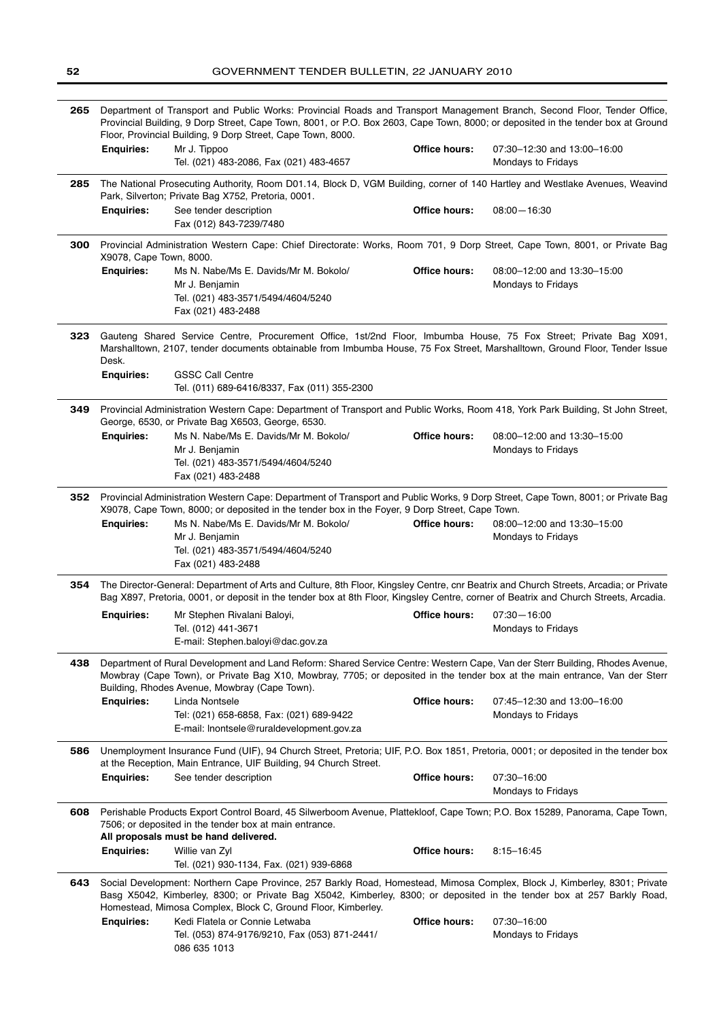| 265 |                                                                                                                                                                                                                                                                               | Department of Transport and Public Works: Provincial Roads and Transport Management Branch, Second Floor, Tender Office,<br>Provincial Building, 9 Dorp Street, Cape Town, 8001, or P.O. Box 2603, Cape Town, 8000; or deposited in the tender box at Ground<br>Floor, Provincial Building, 9 Dorp Street, Cape Town, 8000. |               |                                                          |  |
|-----|-------------------------------------------------------------------------------------------------------------------------------------------------------------------------------------------------------------------------------------------------------------------------------|-----------------------------------------------------------------------------------------------------------------------------------------------------------------------------------------------------------------------------------------------------------------------------------------------------------------------------|---------------|----------------------------------------------------------|--|
|     | <b>Enquiries:</b>                                                                                                                                                                                                                                                             | Mr J. Tippoo<br>Tel. (021) 483-2086, Fax (021) 483-4657                                                                                                                                                                                                                                                                     | Office hours: | 07:30-12:30 and 13:00-16:00<br>Mondays to Fridays        |  |
| 285 |                                                                                                                                                                                                                                                                               | The National Prosecuting Authority, Room D01.14, Block D, VGM Building, corner of 140 Hartley and Westlake Avenues, Weavind<br>Park, Silverton; Private Bag X752, Pretoria, 0001.                                                                                                                                           |               |                                                          |  |
|     | <b>Enquiries:</b>                                                                                                                                                                                                                                                             | See tender description<br>Fax (012) 843-7239/7480                                                                                                                                                                                                                                                                           | Office hours: | $08:00 - 16:30$                                          |  |
| 300 | X9078, Cape Town, 8000.                                                                                                                                                                                                                                                       | Provincial Administration Western Cape: Chief Directorate: Works, Room 701, 9 Dorp Street, Cape Town, 8001, or Private Bag                                                                                                                                                                                                  |               |                                                          |  |
|     | <b>Enquiries:</b>                                                                                                                                                                                                                                                             | Ms N. Nabe/Ms E. Davids/Mr M. Bokolo/<br>Mr J. Benjamin<br>Tel. (021) 483-3571/5494/4604/5240<br>Fax (021) 483-2488                                                                                                                                                                                                         | Office hours: | 08:00-12:00 and 13:30-15:00<br>Mondays to Fridays        |  |
| 323 | Desk.                                                                                                                                                                                                                                                                         | Gauteng Shared Service Centre, Procurement Office, 1st/2nd Floor, Imbumba House, 75 Fox Street; Private Bag X091,<br>Marshalltown, 2107, tender documents obtainable from Imbumba House, 75 Fox Street, Marshalltown, Ground Floor, Tender Issue                                                                            |               |                                                          |  |
|     | <b>Enquiries:</b>                                                                                                                                                                                                                                                             | <b>GSSC Call Centre</b><br>Tel. (011) 689-6416/8337, Fax (011) 355-2300                                                                                                                                                                                                                                                     |               |                                                          |  |
| 349 |                                                                                                                                                                                                                                                                               | Provincial Administration Western Cape: Department of Transport and Public Works, Room 418, York Park Building, St John Street,<br>George, 6530, or Private Bag X6503, George, 6530.                                                                                                                                        |               |                                                          |  |
|     | <b>Enquiries:</b>                                                                                                                                                                                                                                                             | Ms N. Nabe/Ms E. Davids/Mr M. Bokolo/<br>Mr J. Benjamin<br>Tel. (021) 483-3571/5494/4604/5240<br>Fax (021) 483-2488                                                                                                                                                                                                         | Office hours: | 08:00-12:00 and 13:30-15:00<br>Mondays to Fridays        |  |
| 352 | Provincial Administration Western Cape: Department of Transport and Public Works, 9 Dorp Street, Cape Town, 8001; or Private Bag<br>X9078, Cape Town, 8000; or deposited in the tender box in the Foyer, 9 Dorp Street, Cape Town.                                            |                                                                                                                                                                                                                                                                                                                             |               |                                                          |  |
|     | <b>Enquiries:</b>                                                                                                                                                                                                                                                             | Ms N. Nabe/Ms E. Davids/Mr M. Bokolo/<br>Mr J. Benjamin<br>Tel. (021) 483-3571/5494/4604/5240<br>Fax (021) 483-2488                                                                                                                                                                                                         | Office hours: | 08:00-12:00 and 13:30-15:00<br>Mondays to Fridays        |  |
| 354 | The Director-General: Department of Arts and Culture, 8th Floor, Kingsley Centre, cnr Beatrix and Church Streets, Arcadia; or Private<br>Bag X897, Pretoria, 0001, or deposit in the tender box at 8th Floor, Kingsley Centre, corner of Beatrix and Church Streets, Arcadia. |                                                                                                                                                                                                                                                                                                                             |               |                                                          |  |
|     | <b>Enquiries:</b>                                                                                                                                                                                                                                                             | Mr Stephen Rivalani Baloyi,<br>Tel. (012) 441-3671<br>E-mail: Stephen.baloyi@dac.gov.za                                                                                                                                                                                                                                     | Office hours: | $07:30 - 16:00$<br>Mondays to Fridays                    |  |
| 438 | Department of Rural Development and Land Reform: Shared Service Centre: Western Cape, Van der Sterr Building, Rhodes Avenue,<br>Mowbray (Cape Town), or Private Bag X10, Mowbray, 7705; or deposited in the tender box at the main entrance, Van der Sterr                    |                                                                                                                                                                                                                                                                                                                             |               |                                                          |  |
|     | <b>Enquiries:</b>                                                                                                                                                                                                                                                             | Building, Rhodes Avenue, Mowbray (Cape Town).<br>Linda Nontsele<br>Tel: (021) 658-6858, Fax: (021) 689-9422<br>E-mail: Inontsele@ruraldevelopment.gov.za                                                                                                                                                                    | Office hours: | 07:45-12:30 and 13:00-16:00<br><b>Mondays to Fridays</b> |  |
| 586 | Unemployment Insurance Fund (UIF), 94 Church Street, Pretoria; UIF, P.O. Box 1851, Pretoria, 0001; or deposited in the tender box<br>at the Reception, Main Entrance, UIF Building, 94 Church Street.                                                                         |                                                                                                                                                                                                                                                                                                                             |               |                                                          |  |
|     | <b>Enquiries:</b>                                                                                                                                                                                                                                                             | See tender description                                                                                                                                                                                                                                                                                                      | Office hours: | 07:30-16:00<br>Mondays to Fridays                        |  |
| 608 |                                                                                                                                                                                                                                                                               | Perishable Products Export Control Board, 45 Silwerboom Avenue, Plattekloof, Cape Town; P.O. Box 15289, Panorama, Cape Town,<br>7506; or deposited in the tender box at main entrance.<br>All proposals must be hand delivered.                                                                                             |               |                                                          |  |
|     | <b>Enquiries:</b>                                                                                                                                                                                                                                                             | Willie van Zyl<br>Tel. (021) 930-1134, Fax. (021) 939-6868                                                                                                                                                                                                                                                                  | Office hours: | 8:15-16:45                                               |  |
| 643 |                                                                                                                                                                                                                                                                               | Social Development: Northern Cape Province, 257 Barkly Road, Homestead, Mimosa Complex, Block J, Kimberley, 8301; Private<br>Basg X5042, Kimberley, 8300; or Private Bag X5042, Kimberley, 8300; or deposited in the tender box at 257 Barkly Road,<br>Homestead, Mimosa Complex, Block C, Ground Floor, Kimberley.         |               |                                                          |  |
|     | <b>Enquiries:</b>                                                                                                                                                                                                                                                             | Kedi Flatela or Connie Letwaba<br>Tel. (053) 874-9176/9210, Fax (053) 871-2441/<br>086 635 1013                                                                                                                                                                                                                             | Office hours: | 07:30-16:00<br>Mondays to Fridays                        |  |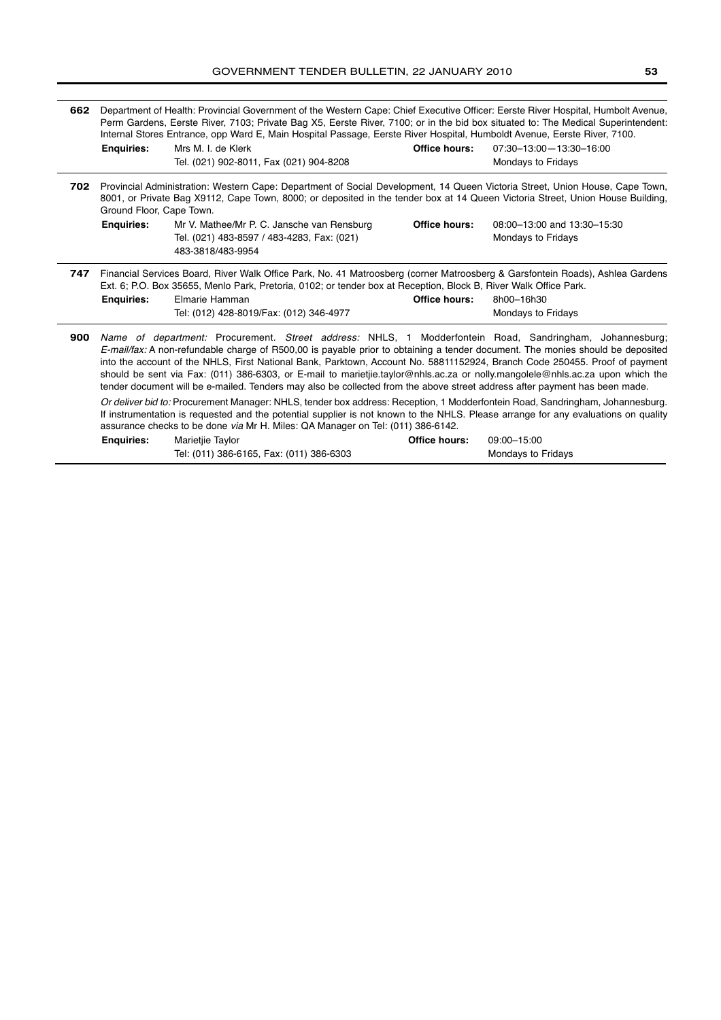| 662 |                                                                                                                                                                                                                                                                                                                                                               | Department of Health: Provincial Government of the Western Cape: Chief Executive Officer: Eerste River Hospital, Humbolt Avenue,<br>Perm Gardens, Eerste River, 7103; Private Bag X5, Eerste River, 7100; or in the bid box situated to: The Medical Superintendent:<br>Internal Stores Entrance, opp Ward E, Main Hospital Passage, Eerste River Hospital, Humboldt Avenue, Eerste River, 7100.                                                                                                                                                                                                                                       |                      |                                                   |  |
|-----|---------------------------------------------------------------------------------------------------------------------------------------------------------------------------------------------------------------------------------------------------------------------------------------------------------------------------------------------------------------|----------------------------------------------------------------------------------------------------------------------------------------------------------------------------------------------------------------------------------------------------------------------------------------------------------------------------------------------------------------------------------------------------------------------------------------------------------------------------------------------------------------------------------------------------------------------------------------------------------------------------------------|----------------------|---------------------------------------------------|--|
|     | <b>Enquiries:</b>                                                                                                                                                                                                                                                                                                                                             | Mrs M. I. de Klerk<br>Tel. (021) 902-8011, Fax (021) 904-8208                                                                                                                                                                                                                                                                                                                                                                                                                                                                                                                                                                          | Office hours:        | 07:30-13:00-13:30-16:00<br>Mondays to Fridays     |  |
|     | Provincial Administration: Western Cape: Department of Social Development, 14 Queen Victoria Street, Union House, Cape Town,<br>702<br>8001, or Private Bag X9112, Cape Town, 8000; or deposited in the tender box at 14 Queen Victoria Street, Union House Building,<br>Ground Floor, Cape Town.                                                             |                                                                                                                                                                                                                                                                                                                                                                                                                                                                                                                                                                                                                                        |                      |                                                   |  |
|     | <b>Enquiries:</b>                                                                                                                                                                                                                                                                                                                                             | Mr V. Mathee/Mr P. C. Jansche van Rensburg<br>Tel. (021) 483-8597 / 483-4283, Fax: (021)<br>483-3818/483-9954                                                                                                                                                                                                                                                                                                                                                                                                                                                                                                                          | <b>Office hours:</b> | 08:00-13:00 and 13:30-15:30<br>Mondays to Fridays |  |
| 747 | <b>Enquiries:</b>                                                                                                                                                                                                                                                                                                                                             | Financial Services Board, River Walk Office Park, No. 41 Matroosberg (corner Matroosberg & Garsfontein Roads), Ashlea Gardens<br>Ext. 6; P.O. Box 35655, Menlo Park, Pretoria, 0102; or tender box at Reception, Block B, River Walk Office Park.<br>Elmarie Hamman<br>Tel: (012) 428-8019/Fax: (012) 346-4977                                                                                                                                                                                                                                                                                                                         | Office hours:        | 8h00-16h30<br><b>Mondays to Fridays</b>           |  |
| 900 |                                                                                                                                                                                                                                                                                                                                                               | Name of department: Procurement. Street address: NHLS, 1 Modderfontein Road, Sandringham, Johannesburg;<br>E-mail/fax: A non-refundable charge of R500.00 is payable prior to obtaining a tender document. The monies should be deposited<br>into the account of the NHLS, First National Bank, Parktown, Account No. 58811152924, Branch Code 250455. Proof of payment<br>should be sent via Fax: (011) 386-6303, or E-mail to marietije.taylor@nhls.ac.za or nolly.mangolele@nhls.ac.za upon which the<br>tender document will be e-mailed. Tenders may also be collected from the above street address after payment has been made. |                      |                                                   |  |
|     | Or deliver bid to: Procurement Manager: NHLS, tender box address: Reception, 1 Modderfontein Road, Sandringham, Johannesburg.<br>If instrumentation is requested and the potential supplier is not known to the NHLS. Please arrange for any evaluations on quality<br>assurance checks to be done <i>via</i> Mr H. Miles: QA Manager on Tel: (011) 386-6142. |                                                                                                                                                                                                                                                                                                                                                                                                                                                                                                                                                                                                                                        |                      |                                                   |  |
|     | <b>Enquiries:</b>                                                                                                                                                                                                                                                                                                                                             | Marietjie Taylor<br>Tel: (011) 386-6165, Fax: (011) 386-6303                                                                                                                                                                                                                                                                                                                                                                                                                                                                                                                                                                           | Office hours:        | 09:00-15:00<br><b>Mondays to Fridays</b>          |  |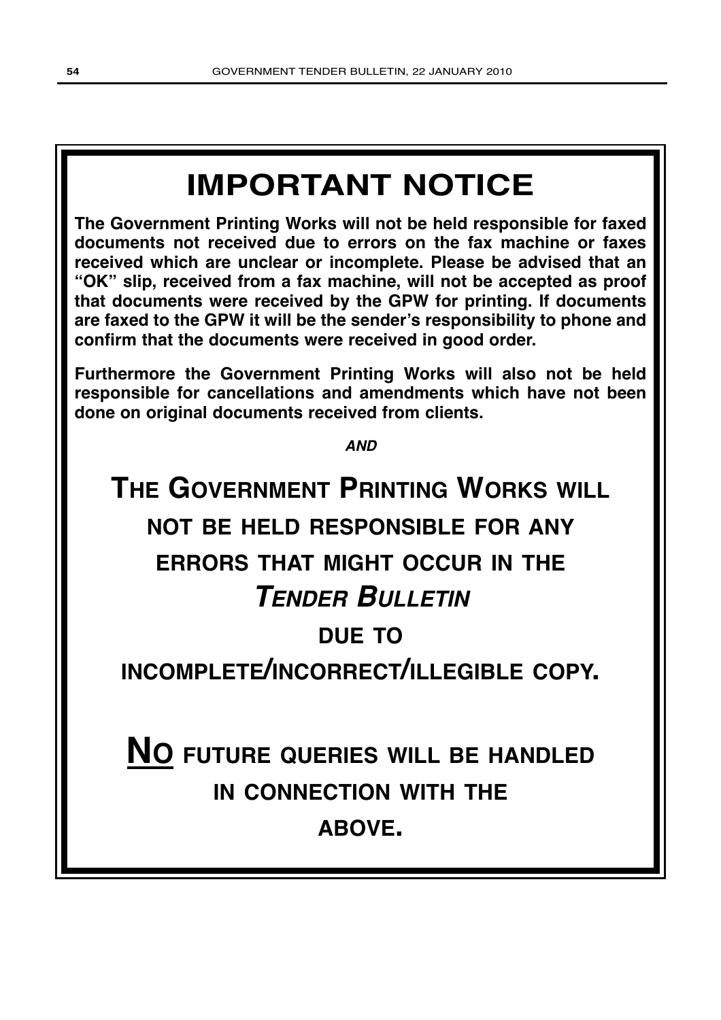# **IMPORTANT NOTICE**

**The Government Printing Works will not be held responsible for faxed documents not received due to errors on the fax machine or faxes received which are unclear or incomplete. Please be advised that an "OK" slip, received from a fax machine, will not be accepted as proof that documents were received by the GPW for printing. If documents are faxed to the GPW it will be the sender's responsibility to phone and confirm that the documents were received in good order.**

**Furthermore the Government Printing Works will also not be held responsible for cancellations and amendments which have not been done on original documents received from clients.**

**AND**

# **THE GOVERNMENT PRINTING WORKS WILL NOT BE HELD RESPONSIBLE FOR ANY ERRORS THAT MIGHT OCCUR IN THE TENDER BULLETIN DUE TO**

**INCOMPLETE/INCORRECT/ILLEGIBLE COPY.**

**NO FUTURE QUERIES WILL BE HANDLED IN CONNECTION WITH THE ABOVE.**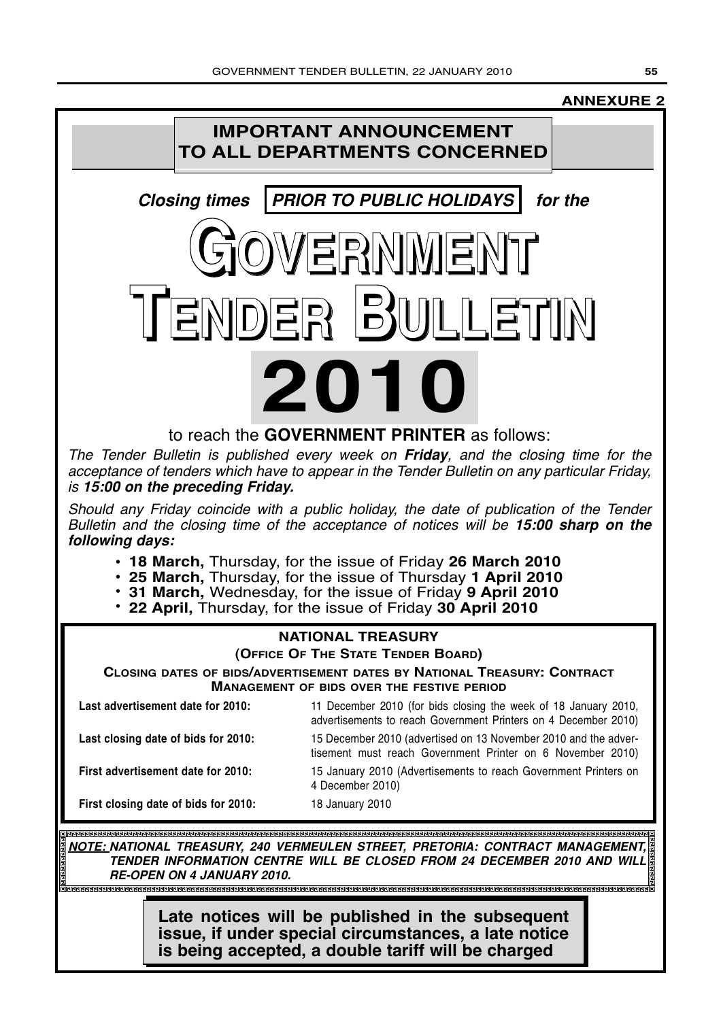## **ANNEXURE 2**